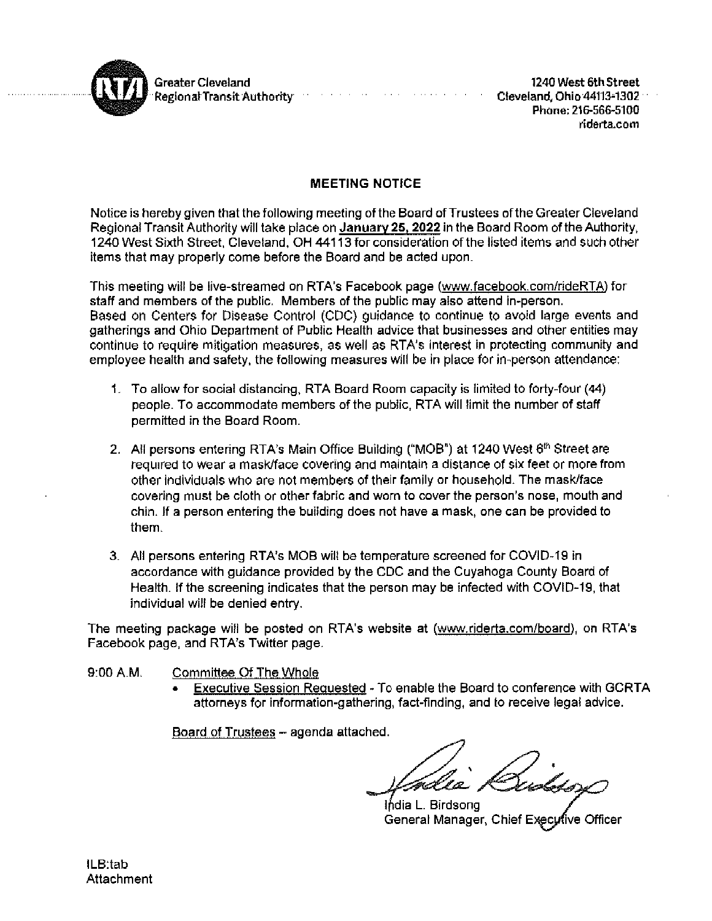

Greater Cleveland **Regional Transit Authority** 

1240 West 6th Street Cleveland, Ohio 44113-1302 Phone: 216-566-5100 riderta.com

# **MEETING NOTICE**

where  $\alpha$  is a subset of  $\alpha$  ,  $\alpha$  ,  $\alpha$ 

Notice is hereby given that the following meeting of the Board of Trustees of the Greater Cleveland Regional Transit Authority will take place on January 25, 2022 in the Board Room of the Authority, 1240 West Sixth Street, Clevetand, OH 44113 for consideration of the listed items and such other items that may properly come before the Board and be acted upon.

This meeting will be live-streamed on RTA's Facebook page (www.facebook.com/rideRTA) for staff and members of the public. Members of the public may also attend in-person. Based on Centers for Disease Control (CDC) guidance to continue to avoid large events and gatherings and Ohio Department of Public Health advice that businesses and other entities may continue to require mitigation measures, as well as RTA's interest in protecting community and employee health and safety, the following measures will be in place for in-person attendance:

- 1. To allow for social distancing, RTA Board Room capacity is limited to forty-four (44) people. To accommodate members of the public. RTA will limit the number of staff permitted in the Board Room.
- 2. All persons entering RTA's Main Office Building ("MOB") at 1240 West 6<sup>th</sup> Street are required to wear a mask/face covering and maintain a distance of six feet or more from other individuals who are not members of their family or household. The mask/face covering must be cloth or other fabric and worn to cover the person's nose, mouth and chin. If a person entering the building does not have a mask, one can be provided to them.
- 3. All persons entering RTA's MOB will be temperature screened for COVID-19 in accordance with guidance provided by the CDC and the Cuyahoga County Board of Health. If the screening indicates that the person may be infected with COVID-19, that individual will be denied entry.

The meeting package will be posted on RTA's website at (www.riderta.com/board), on RTA's Facebook page, and RTA's Twitter page.

- 9:00 A.M. Committee Of The Whole
	- Executive Session Requested To enable the Board to conference with GCRTA attorneys for information-gathering, fact-finding, and to receive legal advice.

Board of Trustees - agenda attached.

India L. Birdsong General Manager, Chief Executive Officer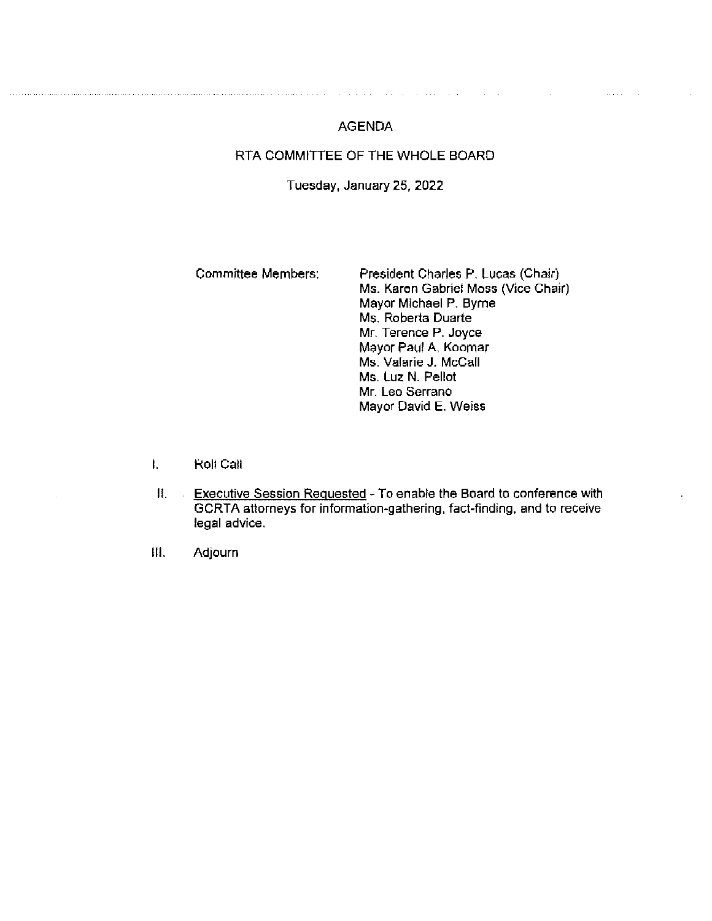# **AGENDA**

 $\sim 10^{-10}$  km

 $\sim$ 

and and the state

# RTA COMMITTEE OF THE WHOLE BOARD

## Tuesday, January 25, 2022

#### **Committee Members:** President Charles P. Lucas (Chair) Ms. Karen Gabriel Moss (Vice Chair) Mayor Michael P. Byrne Ms. Roberta Duarte Mr. Terence P. Joyce Mayor Paul A. Koomar Ms. Valarie J. McCall Ms. Luz N. Pellot Mr. Leo Serrano Mayor David E. Weiss

- $\mathbf{L}$ Roll Call
- П. Executive Session Requested - To enable the Board to conference with  $\sim$ GCRTA attorneys for information-gathering, fact-finding, and to receive legal advice.
- **III.** Adjourn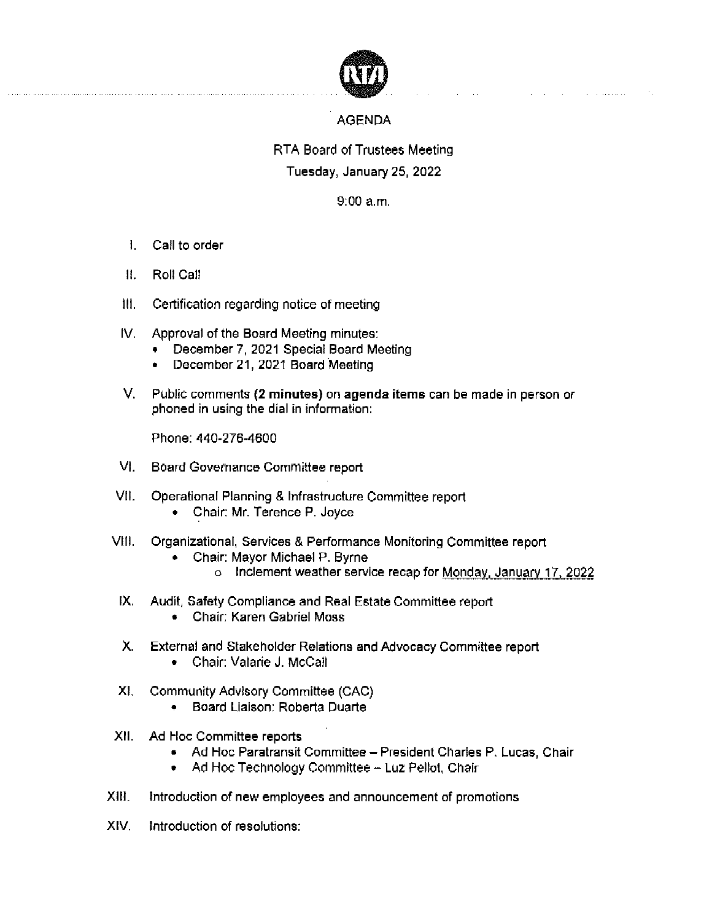

# **AGENDA**

 $\mathcal{L}_{\text{max}}$  and  $\mathcal{L}_{\text{max}}$  are the set of the set of the set of the set of the  $\mathcal{L}_{\text{max}}$ 

# RTA Board of Trustees Meeting Tuesday, January 25, 2022

 $9.00 a.m.$ 

- 1. Call to order
- $\mathbf{H}$ Roll Call
- Ш. Certification regarding notice of meeting
- IV. Approval of the Board Meeting minutes:
	- December 7, 2021 Special Board Meeting
	- December 21, 2021 Board Meeting  $\bullet$
- V. Public comments (2 minutes) on agenda items can be made in person or phoned in using the dial in information:

Phone: 440-276-4600

- VI. Board Governance Committee report
- Operational Planning & Infrastructure Committee report VII.
	- Chair: Mr. Terence P. Joyce
- VIII. I Organizational, Services & Performance Monitoring Committee report
	- Chair: Mayor Michael P. Byrne
		- o Inclement weather service recap for Monday, January 17, 2022
- IX. Audit, Safety Compliance and Real Estate Committee report
	- Chair: Karen Gabriel Moss
- X. External and Stakeholder Relations and Advocacy Committee report
	- Chair: Valarie J. McCall
- Community Advisory Committee (CAC) XI.
	- Board Liaison: Roberta Duarte
- XII. Ad Hoc Committee reports
	- Ad Hoc Paratransit Committee President Charles P. Lucas, Chair
	- Ad Hoc Technology Committee Luz Pellot, Chair
- XIII. Introduction of new employees and announcement of promotions
- XIV. Introduction of resolutions: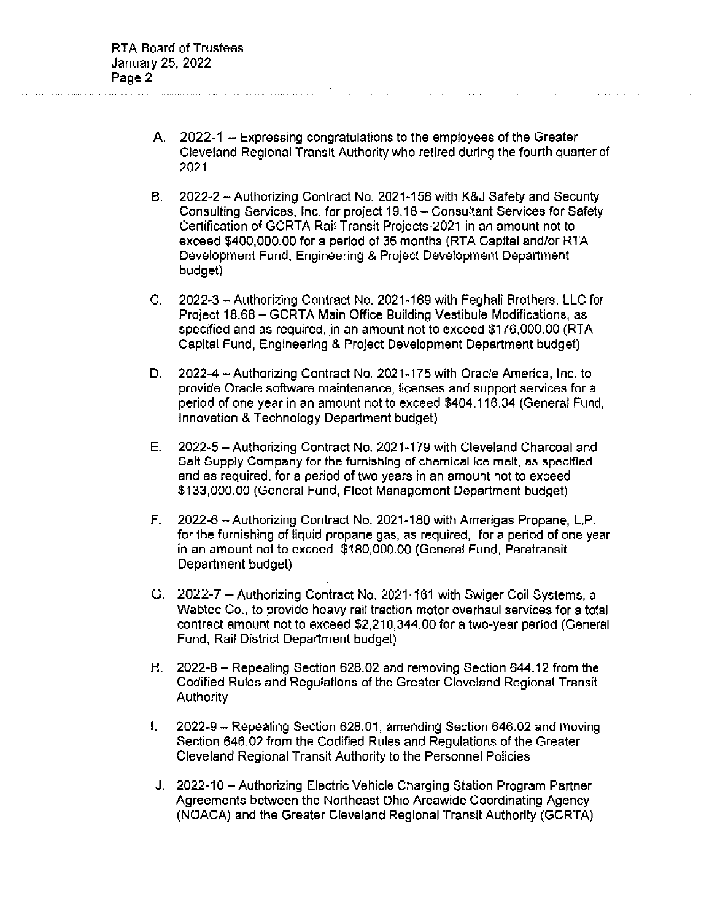A. 2022-1 - Expressing congratulations to the employees of the Greater Cleveland Regional Transit Authority who retired during the fourth quarter of 2021

- В., 2022-2 - Authorizing Contract No. 2021-156 with K&J Safety and Security Consulting Services, Inc. for project 19.18 - Consultant Services for Safety Certification of GCRTA Rail Transit Projects-2021 in an amount not to exceed \$400,000.00 for a period of 36 months (RTA Capital and/or RTA Development Fund, Engineering & Project Development Department budget)
- 2022-3 Authorizing Contract No. 2021-169 with Feghali Brothers, LLC for C. Project 18.68 - GCRTA Main Office Building Vestibule Modifications, as specified and as required, in an amount not to exceed \$176,000.00 (RTA Capital Fund, Engineering & Project Development Department budget)
- 2022-4 Authorizing Contract No. 2021-175 with Oracle America, Inc. to D. provide Oracle software maintenance, licenses and support services for a period of one year in an amount not to exceed \$404,116.34 (General Fund, Innovation & Technology Department budget)
- 2022-5 Authorizing Contract No. 2021-179 with Cleveland Charcoal and Е. Salt Supply Company for the furnishing of chemical ice melt, as specified and as required, for a period of two years in an amount not to exceed \$133,000.00 (General Fund, Fleet Management Department budget)
- 2022-6 Authorizing Contract No. 2021-180 with Amerigas Propane, L.P. F. for the furnishing of liquid propane gas, as required, for a period of one year in an amount not to exceed \$180,000.00 (General Fund, Paratransit Department budget)
- G. 2022-7 Authorizing Contract No. 2021-161 with Swiger Coil Systems, a Wabtec Co., to provide heavy rail traction motor overhaul services for a total contract amount not to exceed \$2,210,344.00 for a two-year period (General Fund, Rail District Department budget)
- H. 2022-8 Repealing Section 628.02 and removing Section 644.12 from the Codified Rules and Regulations of the Greater Cleveland Regional Transit Authority
- 2022-9 Repealing Section 628.01, amending Section 646.02 and moving  $\mathbf{I}$ . Section 646.02 from the Codified Rules and Regulations of the Greater Cleveland Regional Transit Authority to the Personnel Policies
- J. 2022-10 Authorizing Electric Vehicle Charging Station Program Partner Agreements between the Northeast Ohio Areawide Coordinating Agency (NOACA) and the Greater Cleveland Regional Transit Authority (GCRTA)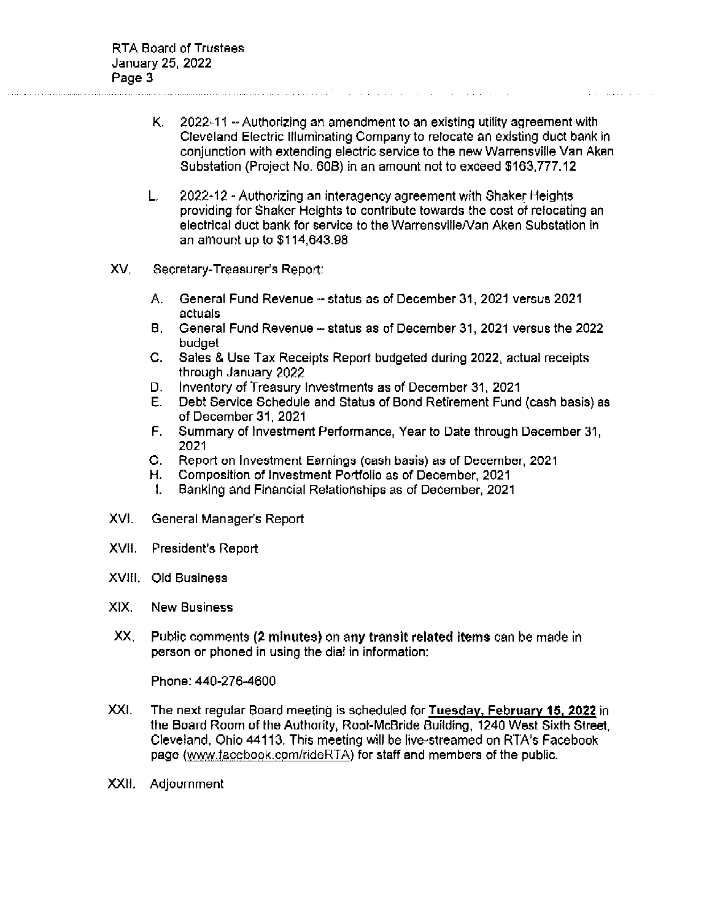2022-11 - Authorizing an amendment to an existing utility agreement with К. Cleveland Electric Illuminating Company to relocate an existing duct bank in conjunction with extending electric service to the new Warrensville Van Aken Substation (Project No. 60B) in an amount not to exceed \$163,777.12

- L. 2022-12 - Authorizing an interagency agreement with Shaker Heights providing for Shaker Heights to contribute towards the cost of relocating an electrical duct bank for service to the Warrensville/Van Aken Substation in an amount up to \$114,643.98
- XV. Secretary-Treasurer's Report:
	- A. General Fund Revenue - status as of December 31, 2021 versus 2021 actuals
	- B. General Fund Revenue status as of December 31, 2021 versus the 2022 budget
	- C. Sales & Use Tax Receipts Report budgeted during 2022, actual receipts through January 2022
	- Inventory of Treasury investments as of December 31, 2021 D.
	- Е. Debt Service Schedule and Status of Bond Retirement Fund (cash basis) as of December 31, 2021
	- F. Summary of Investment Performance, Year to Date through December 31, 2021
	- G. Report on Investment Earnings (cash basis) as of December, 2021
	- Composition of Investment Portfolio as of December, 2021 Н.
	- $\mathbf{1}$ Banking and Financial Relationships as of December, 2021
- XVI. General Manager's Report
- XVII. President's Report
- XVIII. Old Business
- XIX. New Business
- XX. Public comments (2 minutes) on any transit related items can be made in person or phoned in using the dial in information:

Phone: 440-276-4600

- XXI. The next regular Board meeting is scheduled for Tuesday, February 15, 2022 in the Board Room of the Authority, Root-McBride Building, 1240 West Sixth Street, Cleveland, Ohio 44113. This meeting will be live-streamed on RTA's Facebook page (www.facebook.com/rideRTA) for staff and members of the public.
- XXII. Adjournment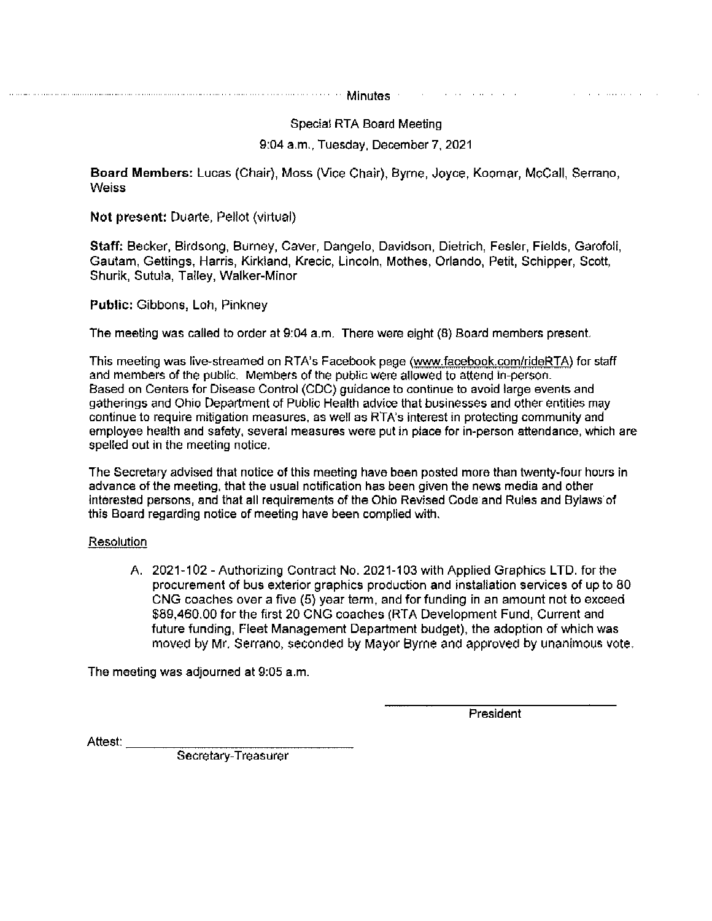Minutes and the company of the company 

Special RTA Board Meeting

9:04 a.m., Tuesday, December 7, 2021

Board Members: Lucas (Chair), Moss (Vice Chair), Byrne, Joyce, Koomar, McCall, Serrano, **Weiss** 

Not present: Duarte, Pellot (virtual)

Staff: Becker, Birdsong, Burney, Caver, Dangelo, Davidson, Dietrich, Fesler, Fields, Garofoli, Gautam, Gettings, Harris, Kirkland, Krecic, Lincoln, Mothes, Orlando, Petit, Schipper, Scott, Shurik, Sutula, Talley, Walker-Minor

**Public: Gibbons, Loh, Pinkney** 

The meeting was called to order at 9:04 a.m. There were eight (8) Board members present.

This meeting was live-streamed on RTA's Facebook page (www.facebook.com/rideRTA) for staff and members of the public. Members of the public were allowed to attend in-person. Based on Centers for Disease Control (CDC) guidance to continue to avoid large events and gatherings and Ohio Department of Public Health advice that businesses and other entities may continue to require mitigation measures, as well as RTA's interest in protecting community and employee health and safety, several measures were put in place for in-person attendance, which are spelled out in the meeting notice.

The Secretary advised that notice of this meeting have been posted more than twenty-four hours in advance of the meeting, that the usual notification has been given the news media and other interested persons, and that all requirements of the Ohio Revised Code and Rules and Bylaws of this Board regarding notice of meeting have been complied with.

#### Resolution

A. 2021-102 - Authorizing Contract No. 2021-103 with Applied Graphics LTD. for the procurement of bus exterior graphics production and installation services of up to 80 CNG coaches over a five (5) year term, and for funding in an amount not to exceed \$89,460.00 for the first 20 CNG coaches (RTA Development Fund, Current and future funding. Fleet Management Department budget), the adoption of which was moved by Mr. Serrano, seconded by Mayor Byrne and approved by unanimous vote.

The meeting was adjourned at 9:05 a.m.

President

the contract of the contract and con-

Attest:

Secretary-Treasurer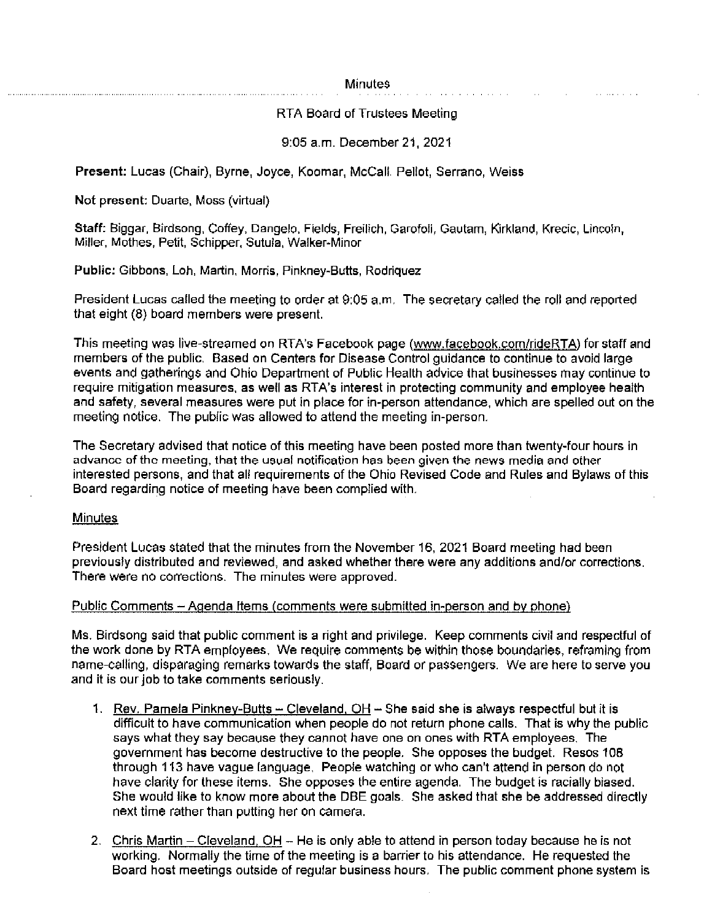#### **Minutes**

and a straight and a

## RTA Board of Trustees Meeting

## 9:05 a.m. December 21, 2021

Present: Lucas (Chair), Byrne, Joyce, Koomar, McCall, Pellot, Serrano, Weiss

Not present: Duarte, Moss (virtual)

Staff: Biggar, Birdsong, Coffey, Dangelo, Fields, Freilich, Garofoli, Gautam, Kirkland, Krecic, Lincoln, Miller, Mothes, Petit, Schipper, Sutula, Walker-Minor

Public: Gibbons, Loh, Martin, Morris, Pinkney-Butts, Rodriguez

President Lucas called the meeting to order at 9:05 a.m. The secretary called the roll and reported that eight (8) board members were present.

This meeting was live-streamed on RTA's Facebook page (www.facebook.com/rideRTA) for staff and members of the public. Based on Centers for Disease Control guidance to continue to avoid large events and gatherings and Ohio Department of Public Health advice that businesses may continue to require mitigation measures, as well as RTA's interest in protecting community and employee health and safety, several measures were put in place for in-person attendance, which are spelled out on the meeting notice. The public was allowed to attend the meeting in-person.

The Secretary advised that notice of this meeting have been posted more than twenty-four hours in advance of the meeting, that the usual notification has been given the news media and other interested persons, and that all requirements of the Ohio Revised Code and Rules and Bylaws of this Board regarding notice of meeting have been complied with.

# **Minutes**

President Lucas stated that the minutes from the November 16, 2021 Board meeting had been previously distributed and reviewed, and asked whether there were any additions and/or corrections. There were no corrections. The minutes were approved.

#### Public Comments – Agenda Items (comments were submitted in-person and by phone)

Ms. Birdsong said that public comment is a right and privilege. Keep comments civil and respectful of the work done by RTA employees. We require comments be within those boundaries, reframing from name-calling, disparaging remarks towards the staff, Board or passengers. We are here to serve you and it is our job to take comments seriously.

- 1. Rev. Pamela Pinkney-Butts -- Cleveland, OH -- She said she is always respectful but it is difficult to have communication when people do not return phone calls. That is why the public says what they say because they cannot have one on ones with RTA employees. The government has become destructive to the people. She opposes the budget. Resos 108 through 113 have vague language. People watching or who can't attend in person do not have clarity for these items. She opposes the entire agenda. The budget is racially biased. She would like to know more about the DBE goals. She asked that she be addressed directly next time rather than putting her on camera.
- 2. Chris Martin Cleveland, OH He is only able to attend in person today because he is not working. Normally the time of the meeting is a barrier to his attendance. He requested the Board host meetings outside of regular business hours. The public comment phone system is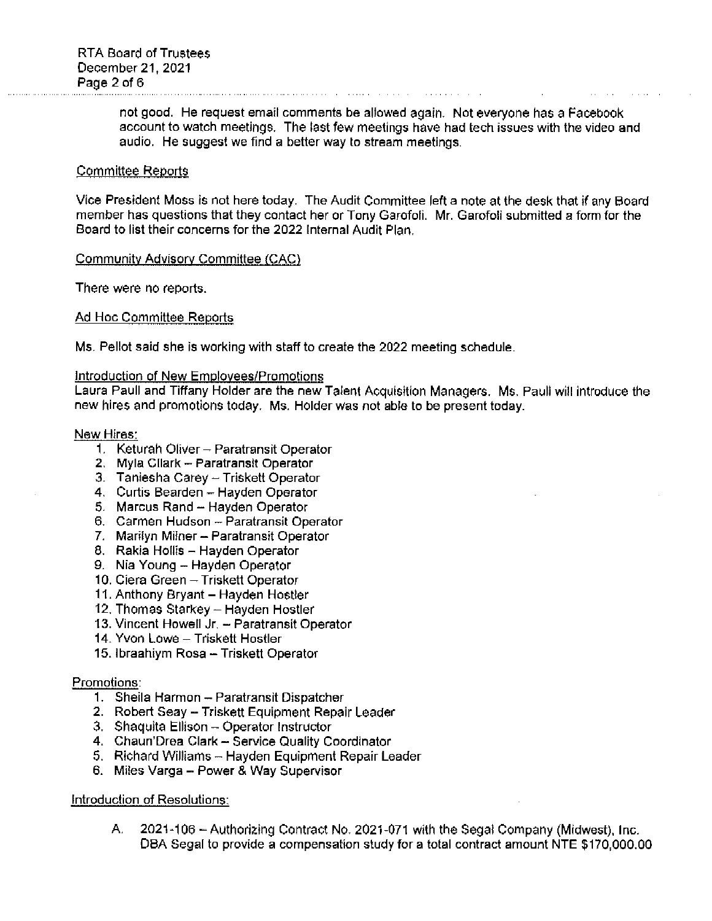not good. He request email comments be allowed again. Not everyone has a Facebook account to watch meetings. The last few meetings have had tech issues with the video and audio. He suggest we find a better way to stream meetings.

#### **Committee Reports**

Vice President Moss is not here today. The Audit Committee left a note at the desk that if any Board member has questions that they contact her or Tony Garofoli. Mr. Garofoli submitted a form for the Board to list their concerns for the 2022 Internal Audit Plan.

#### Community Advisory Committee (CAC)

There were no reports.

#### Ad Hoc Committee Reports

Ms. Pellot said she is working with staff to create the 2022 meeting schedule.

#### Introduction of New Employees/Promotions

Laura Paull and Tiffany Holder are the new Talent Acquisition Managers. Ms. Pauli will introduce the new hires and promotions today. Ms. Holder was not able to be present today.

#### New Hires:

- 1. Keturah Oliver Paratransit Operator
- 2. Myla Cllark Paratransit Operator
- 3. Taniesha Carey Triskett Operator
- 4. Curtis Bearden Hayden Operator
- 5. Marcus Rand Hayden Operator
- 6. Carmen Hudson Paratransit Operator
- 7. Marilyn Milner Paratransit Operator
- 8. Rakia Hollis Hayden Operator
- 9. Nia Young Hayden Operator
- 10. Ciera Green Triskett Operator
- 11. Anthony Bryant Hayden Hostler
- 12. Thomas Starkey Hayden Hostler
- 13. Vincent Howell Jr. Paratransit Operator
- 14. Yvon Lowe Triskett Hostler
- 15. Ibraahiym Rosa Triskett Operator

#### Promotions:

- 1. Sheila Harmon Paratransit Dispatcher
- 2. Robert Seay Triskett Equipment Repair Leader
- 3. Shaquita Ellison Operator Instructor
- 4. Chaun'Drea Clark Service Quality Coordinator
- 5. Richard Williams Hayden Equipment Repair Leader
- 6. Miles Varga Power & Way Supervisor

#### **Introduction of Resolutions:**

A. 2021-106 - Authorizing Contract No. 2021-071 with the Segal Company (Midwest), Inc. DBA Segal to provide a compensation study for a total contract amount NTE \$170,000.00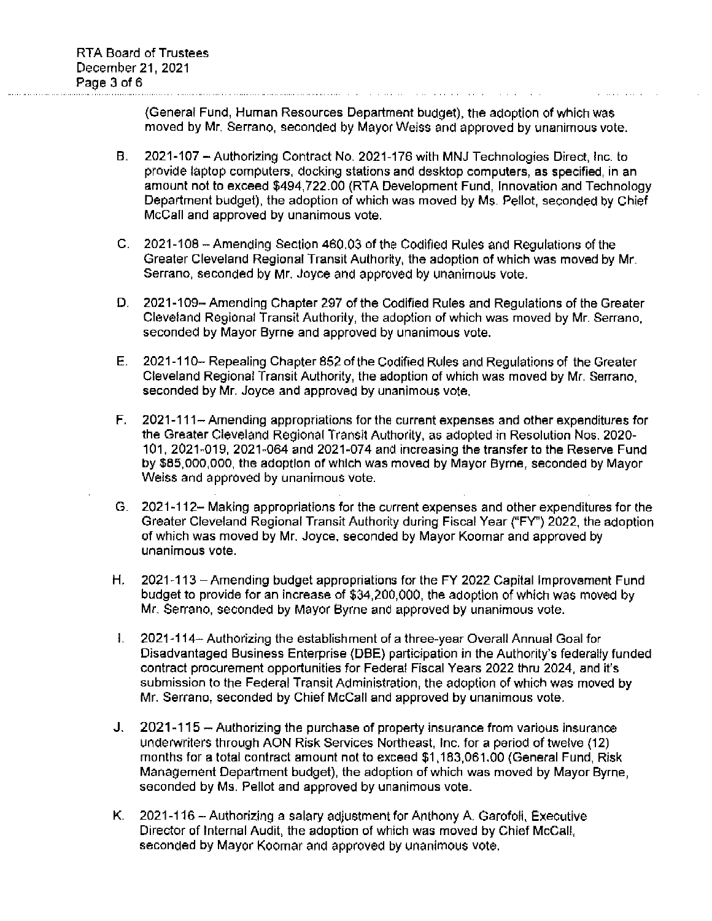(General Fund, Human Resources Department budget), the adoption of which was moved by Mr. Serrano, seconded by Mayor Weiss and approved by unanimous vote.

- В. 2021-107 - Authorizing Contract No. 2021-176 with MNJ Technologies Direct. Inc. to provide laptop computers, docking stations and desktop computers, as specified, in an amount not to exceed \$494,722.00 (RTA Development Fund, Innovation and Technology Department budget), the adoption of which was moved by Ms. Pellot, seconded by Chief McCall and approved by unanimous vote.
- C. 2021-108 Amending Section 460.03 of the Codified Rules and Regulations of the Greater Cleveland Regional Transit Authority, the adoption of which was moved by Mr. Serrano, seconded by Mr. Joyce and approved by unanimous vote.
- D. 2021-109- Amending Chapter 297 of the Codified Rules and Regulations of the Greater Cleveland Regional Transit Authority, the adoption of which was moved by Mr. Serrano, seconded by Mayor Byrne and approved by unanimous vote.
- E. 2021-110– Repealing Chapter 852 of the Codified Rules and Regulations of the Greater Cleveland Regional Transit Authority, the adoption of which was moved by Mr. Serrano, seconded by Mr. Joyce and approved by unanimous vote.
- $E_{\rm{c}}$ 2021-111- Amending appropriations for the current expenses and other expenditures for the Greater Cleveland Regional Transit Authority, as adopted in Resolution Nos. 2020-101, 2021-019, 2021-064 and 2021-074 and increasing the transfer to the Reserve Fund by \$85,000,000, the adoption of which was moved by Mayor Byrne, seconded by Mayor Weiss and approved by unanimous vote.
- G. 2021-112-Making appropriations for the current expenses and other expenditures for the Greater Cleveland Regional Transit Authority during Fiscal Year ("FY") 2022, the adoption of which was moved by Mr. Joyce, seconded by Mayor Koomar and approved by unanimous vote.
- Η. 2021-113 – Amending budget appropriations for the FY 2022 Capital Improvement Fund budget to provide for an increase of \$34,200,000, the adoption of which was moved by Mr. Serrano, seconded by Mayor Byrne and approved by unanimous vote.
- $\mathbf{L}$ 2021-114- Authorizing the establishment of a three-year Overall Annual Goal for Disadvantaged Business Enterprise (DBE) participation in the Authority's federally funded contract procurement opportunities for Federal Fiscal Years 2022 thru 2024, and it's submission to the Federal Transit Administration, the adoption of which was moved by Mr. Serrano, seconded by Chief McCall and approved by unanimous vote.
- J. 2021-115 - Authorizing the purchase of property insurance from various insurance underwriters through AON Risk Services Northeast, Inc. for a period of twelve (12) months for a total contract amount not to exceed \$1,183,061.00 (General Fund, Risk Management Department budget), the adoption of which was moved by Mayor Byrne. seconded by Ms. Pellot and approved by unanimous vote.
- К. 2021-116 - Authorizing a salary adjustment for Anthony A. Garofoli, Executive Director of Internal Audit, the adoption of which was moved by Chief McCall, seconded by Mayor Koomar and approved by unanimous vote.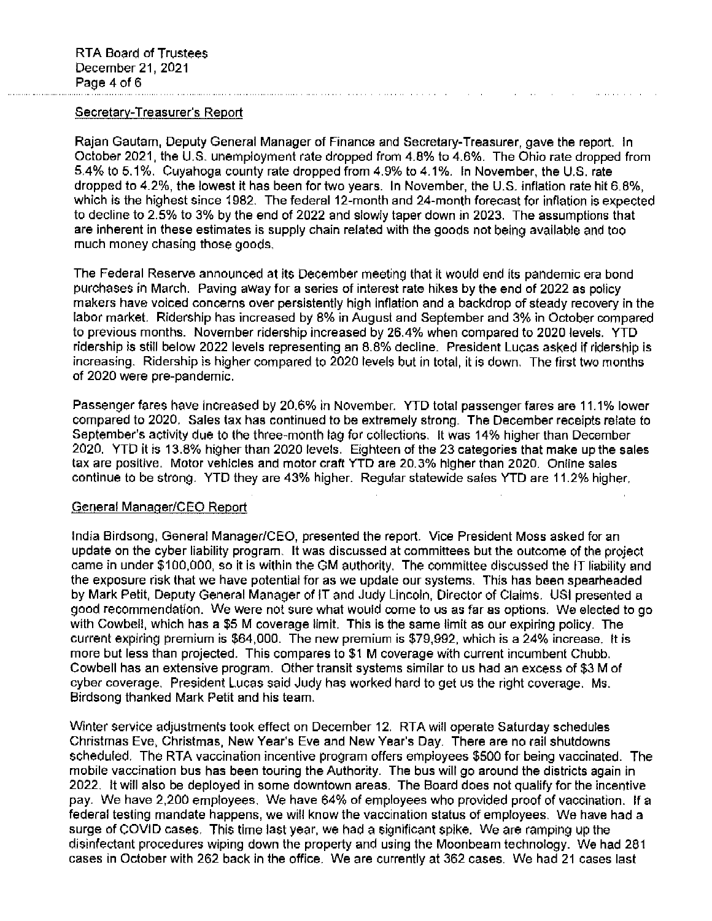### Secretary-Treasurer's Report

Raian Gautam, Deputy General Manager of Finance and Secretary-Treasurer, gave the report. In October 2021, the U.S. unemployment rate dropped from 4.8% to 4.6%. The Ohio rate dropped from 5.4% to 5.1%. Cuyahoga county rate dropped from 4.9% to 4.1%. In November, the U.S. rate dropped to 4.2%, the lowest it has been for two years. In November, the U.S. inflation rate hit 6.8%, which is the highest since 1982. The federal 12-month and 24-month forecast for inflation is expected to decline to 2.5% to 3% by the end of 2022 and slowly taper down in 2023. The assumptions that are inherent in these estimates is supply chain related with the goods not being available and too much money chasing those goods.

The Federal Reserve announced at its December meeting that it would end its pandemic era bond purchases in March. Paving away for a series of interest rate hikes by the end of 2022 as policy makers have voiced concerns over persistently high inflation and a backdrop of steady recovery in the labor market. Ridership has increased by 8% in August and September and 3% in October compared to previous months. November ridership increased by 26.4% when compared to 2020 levels. YTD ridership is still below 2022 levels representing an 8.8% decline. President Lucas asked if ridership is increasing. Ridership is higher compared to 2020 levels but in total, it is down. The first two months of 2020 were pre-pandemic.

Passenger fares have increased by 20.6% in November. YTD total passenger fares are 11.1% lower compared to 2020. Sales tax has continued to be extremely strong. The December receipts relate to September's activity due to the three-month lag for collections. It was 14% higher than December 2020. YTD it is 13.8% higher than 2020 levels. Eighteen of the 23 categories that make up the sales tax are positive. Motor vehicles and motor craft YTD are 20.3% higher than 2020. Online sales continue to be strong. YTD they are 43% higher. Regular statewide sales YTD are 11.2% higher.

#### General Manager/CEO Report

India Birdsong, General Manager/CEO, presented the report. Vice President Moss asked for an update on the cyber liability program. It was discussed at committees but the outcome of the project came in under \$100,000, so it is within the GM authority. The committee discussed the IT liability and the exposure risk that we have potential for as we update our systems. This has been spearheaded by Mark Petit, Deputy General Manager of IT and Judy Lincoln, Director of Claims. USI presented a good recommendation. We were not sure what would come to us as far as options. We elected to go with Cowbell, which has a \$5 M coverage limit. This is the same limit as our expiring policy. The current expiring premium is \$64,000. The new premium is \$79,992, which is a 24% increase. It is more but less than projected. This compares to \$1 M coverage with current incumbent Chubb. Cowbell has an extensive program. Other transit systems similar to us had an excess of \$3 M of cyber coverage. President Lucas said Judy has worked hard to get us the right coverage. Ms. Birdsong thanked Mark Petit and his team.

Winter service adjustments took effect on December 12. RTA will operate Saturday schedules Christmas Eve, Christmas, New Year's Eve and New Year's Day. There are no rail shutdowns scheduled. The RTA vaccination incentive program offers employees \$500 for being vaccinated. The mobile vaccination bus has been touring the Authority. The bus will go around the districts again in 2022. It will also be deployed in some downtown areas. The Board does not qualify for the incentive pay. We have 2,200 employees. We have 64% of employees who provided proof of vaccination. If a federal testing mandate happens, we will know the vaccination status of employees. We have had a surge of COVID cases. This time last year, we had a significant spike. We are ramping up the disinfectant procedures wiping down the property and using the Moonbeam technology. We had 281 cases in October with 262 back in the office. We are currently at 362 cases. We had 21 cases last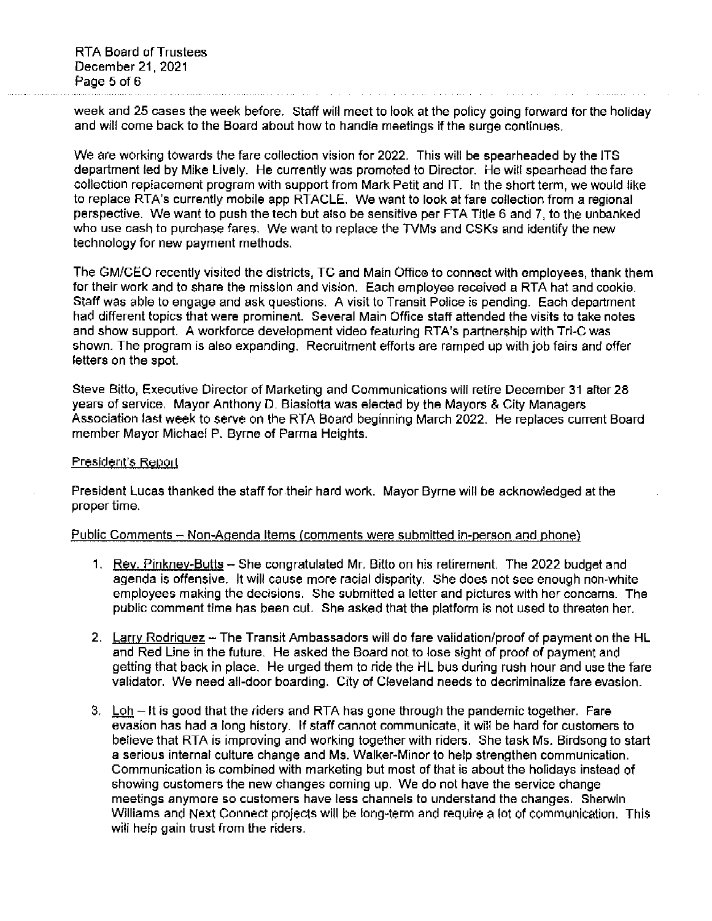week and 25 cases the week before. Staff will meet to look at the policy going forward for the holiday and will come back to the Board about how to handle meetings if the surge continues.

We are working towards the fare collection vision for 2022. This will be spearheaded by the ITS department led by Mike Lively. He currently was promoted to Director. He will spearhead the fare collection replacement program with support from Mark Petit and IT. In the short term, we would like to replace RTA's currently mobile app RTACLE. We want to look at fare collection from a regional perspective. We want to push the tech but also be sensitive per FTA Title 6 and 7, to the unbanked who use cash to purchase fares. We want to replace the TVMs and CSKs and identify the new technology for new payment methods.

The GM/CEO recently visited the districts, TC and Main Office to connect with employees, thank them for their work and to share the mission and vision. Each employee received a RTA hat and cookie. Staff was able to engage and ask questions. A visit to Transit Police is pending. Each department had different topics that were prominent. Several Main Office staff attended the visits to take notes and show support. A workforce development video featuring RTA's partnership with Tri-C was shown. The program is also expanding. Recruitment efforts are ramped up with job fairs and offer letters on the spot.

Steve Bitto, Executive Director of Marketing and Communications will retire December 31 after 28 years of service. Mayor Anthony D. Biasjotta was elected by the Mayors & City Managers Association last week to serve on the RTA Board beginning March 2022. He replaces current Board member Mayor Michael P. Byrne of Parma Heights.

#### President's Report

President Lucas thanked the staff for their hard work. Mayor Byrne will be acknowledged at the proper time.

#### Public Comments – Non-Agenda Items (comments were submitted in-person and phone)

- 1. Rev. Pinkney-Butts She congratulated Mr. Bitto on his retirement. The 2022 budget and agenda is offensive. It will cause more racial disparity. She does not see enough non-white employees making the decisions. She submitted a letter and pictures with her concerns. The public comment time has been cut. She asked that the platform is not used to threaten her.
- 2. Larry Rodriguez The Transit Ambassadors will do fare validation/proof of payment on the HL and Red Line in the future. He asked the Board not to lose sight of proof of payment and getting that back in place. He urged them to ride the HL bus during rush hour and use the fare validator. We need all-door boarding. City of Cleveland needs to decriminalize fare evasion.
- 3. Loh  $-$  It is good that the riders and RTA has gone through the pandemic together. Fare evasion has had a long history. If staff cannot communicate, it will be hard for customers to believe that RTA is improving and working together with riders. She task Ms. Birdsong to start a serious internal culture change and Ms. Walker-Minor to help strengthen communication. Communication is combined with marketing but most of that is about the holidays instead of showing customers the new changes coming up. We do not have the service change meetings anymore so customers have less channels to understand the changes. Sherwin Williams and Next Connect projects will be long-term and require a lot of communication. This will help gain trust from the riders.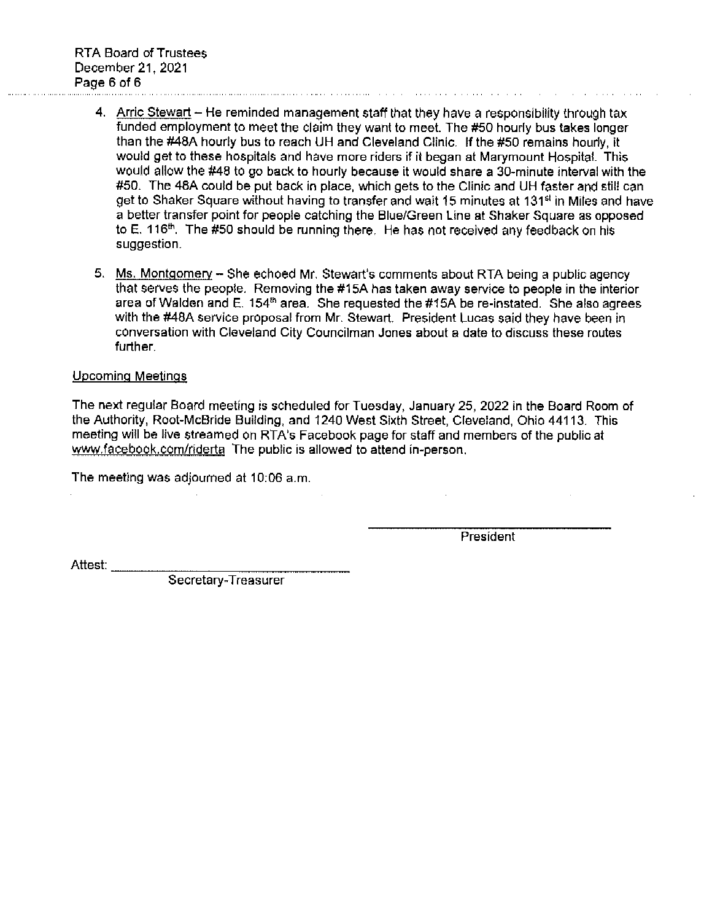- 4. Arric Stewart He reminded management staff that they have a responsibility through tax funded employment to meet the claim they want to meet. The #50 hourly bus takes longer than the #48A hourly bus to reach UH and Cleveland Clinic. If the #50 remains hourly, it would get to these hospitals and have more riders if it began at Marymount Hospital. This would allow the #48 to go back to hourly because it would share a 30-minute interval with the #50. The 48A could be put back in place, which gets to the Clinic and UH faster and still can get to Shaker Square without having to transfer and wait 15 minutes at 131<sup>st</sup> in Miles and have a better transfer point for people catching the Blue/Green Line at Shaker Square as opposed to E. 116<sup>th</sup>. The #50 should be running there. He has not received any feedback on his suggestion.
- 5. Ms. Montgomery She echoed Mr. Stewart's comments about RTA being a public agency that serves the people. Removing the #15A has taken away service to people in the interior area of Walden and E. 154<sup>th</sup> area. She requested the #15A be re-instated. She also agrees with the #48A service proposal from Mr. Stewart. President Lucas said they have been in conversation with Cleveland City Councilman Jones about a date to discuss these routes further.

#### **Upcoming Meetings**

The next regular Board meeting is scheduled for Tuesday, January 25, 2022 in the Board Room of the Authority, Root-McBride Building, and 1240 West Sixth Street, Cleveland, Ohio 44113. This meeting will be live streamed on RTA's Facebook page for staff and members of the public at www.facebook.com/riderta The public is allowed to attend in-person.

The meeting was adjourned at 10:06 a.m.

President

Attest: \_\_\_\_\_\_\_\_

Secretary-Treasurer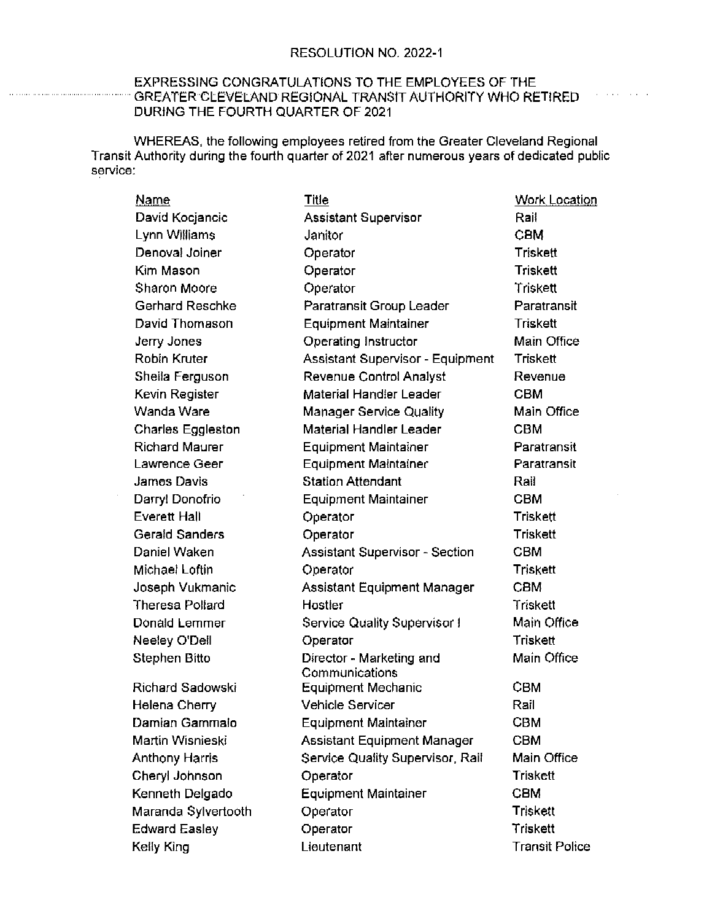$\mathcal{L}^{\mathcal{A}}$  and  $\mathcal{L}^{\mathcal{A}}$  are also the set of the  $\mathcal{L}^{\mathcal{A}}$ 

## EXPRESSING CONGRATULATIONS TO THE EMPLOYEES OF THE GREATER CLEVELAND REGIONAL TRANSIT AUTHORITY WHO RETIRED DURING THE FOURTH QUARTER OF 2021

WHEREAS, the following employees retired from the Greater Cleveland Regional Transit Authority during the fourth quarter of 2021 after numerous years of dedicated public service:

| Name                     | <u>Title</u>                               | <b>Work Location</b>  |
|--------------------------|--------------------------------------------|-----------------------|
| David Kocjancic          | Assistant Supervisor                       | Rail                  |
| Lynn Williams            | Janitor                                    | <b>CBM</b>            |
| Denoval Joiner           | Operator                                   | Triskett              |
| Kim Mason                | Operator                                   | Triskett              |
| Sharon Moore             | Operator                                   | Triskett              |
| Gerhard Reschke          | Paratransit Group Leader                   | Paratransit           |
| David Thomason           | <b>Equipment Maintainer</b>                | Triskett              |
| Jerry Jones              | Operating Instructor                       | Main Office           |
| Robin Kruter             | Assistant Supervisor - Equipment           | Triskett              |
| Sheila Ferguson          | Revenue Control Analyst                    | Revenue               |
| Kevin Register           | Material Handier Leader                    | CBM                   |
| Wanda Ware               | <b>Manager Service Quality</b>             | Main Office           |
| <b>Charles Eggleston</b> | Material Handler Leader                    | CBM                   |
| <b>Richard Maurer</b>    | <b>Equipment Maintainer</b>                | Paratransit           |
| Lawrence Geer            | <b>Equipment Maintainer</b>                | Paratransit           |
| James Davis              | <b>Station Attendant</b>                   | Rail                  |
| Darryl Donofrio          | <b>Equipment Maintainer</b>                | CBM                   |
| <b>Everett Hall</b>      | Operator                                   | Triskett              |
| Gerald Sanders           | Operator                                   | Triskett              |
| Daniel Waken             | <b>Assistant Supervisor - Section</b>      | CBM                   |
| Michael Loftin           | Operator                                   | Triskett              |
| Joseph Vukmanic          | Assistant Equipment Manager                | <b>CBM</b>            |
| <b>Theresa Pollard</b>   | Hostler                                    | Triskett              |
| Donald Lemmer            | Service Quality Supervisor!                | Main Office           |
| Neeley O'Dell            | Operator                                   | Triskett              |
| Stephen Bitto            | Director - Marketing and<br>Communications | Main Office           |
| Richard Sadowski         | Equipment Mechanic                         | CBM                   |
| Helena Cherry            | <b>Vehicle Servicer</b>                    | Rail                  |
| Damian Gammalo           | <b>Equipment Maintainer</b>                | CBM                   |
| Martin Wisnieski         | Assistant Equipment Manager                | <b>CBM</b>            |
| <b>Anthony Harris</b>    | Service Quality Supervisor, Rail           | Main Office           |
| Cheryl Johnson           | Operator                                   | <b>Triskett</b>       |
| Kenneth Delgado          | <b>Equipment Maintainer</b>                | <b>CBM</b>            |
| Maranda Sylvertooth      | Operator                                   | <b>Triskett</b>       |
| <b>Edward Easley</b>     | Operator                                   | Triskett              |
| Kelly King               | Lieutenant                                 | <b>Transit Police</b> |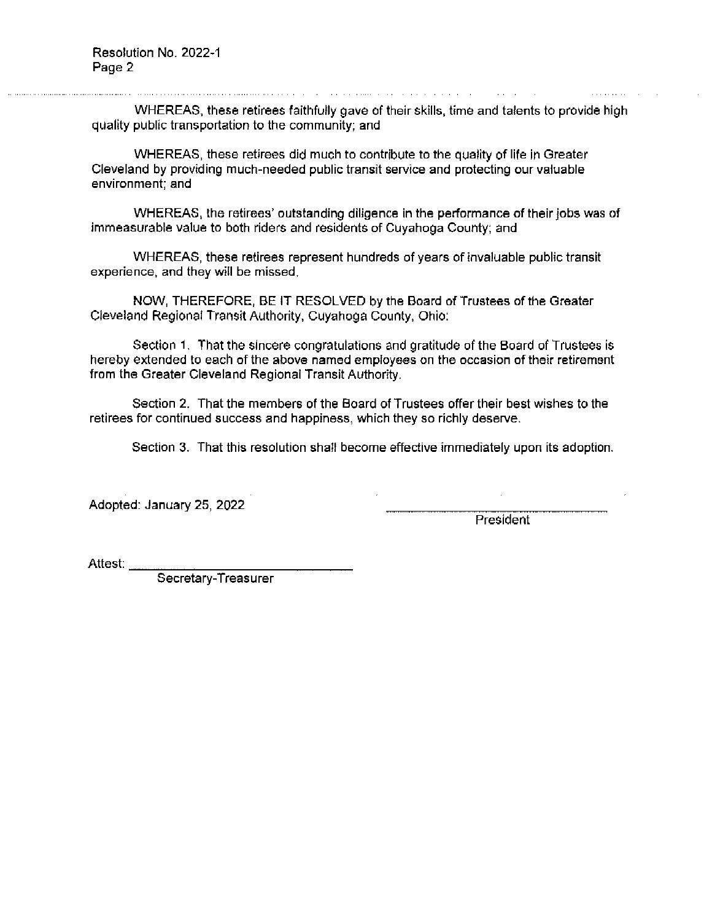WHEREAS, these retirees faithfully gave of their skills, time and talents to provide high quality public transportation to the community; and

WHEREAS, these retirees did much to contribute to the quality of life in Greater Cleveland by providing much-needed public transit service and protecting our valuable environment; and

WHEREAS, the retirees' outstanding diligence in the performance of their jobs was of immeasurable value to both riders and residents of Cuyahoga County; and

WHEREAS, these retirees represent hundreds of years of invaluable public transit experience, and they will be missed.

NOW, THEREFORE, BE IT RESOLVED by the Board of Trustees of the Greater Cleveland Regional Transit Authority, Cuyahoga County, Ohio:

Section 1. That the sincere congratulations and gratitude of the Board of Trustees is hereby extended to each of the above named employees on the occasion of their retirement from the Greater Cleveland Regional Transit Authority.

Section 2. That the members of the Board of Trustees offer their best wishes to the retirees for continued success and happiness, which they so richly deserve.

Section 3. That this resolution shall become effective immediately upon its adoption.

Adopted: January 25, 2022

President

Attest:

Secretary-Treasurer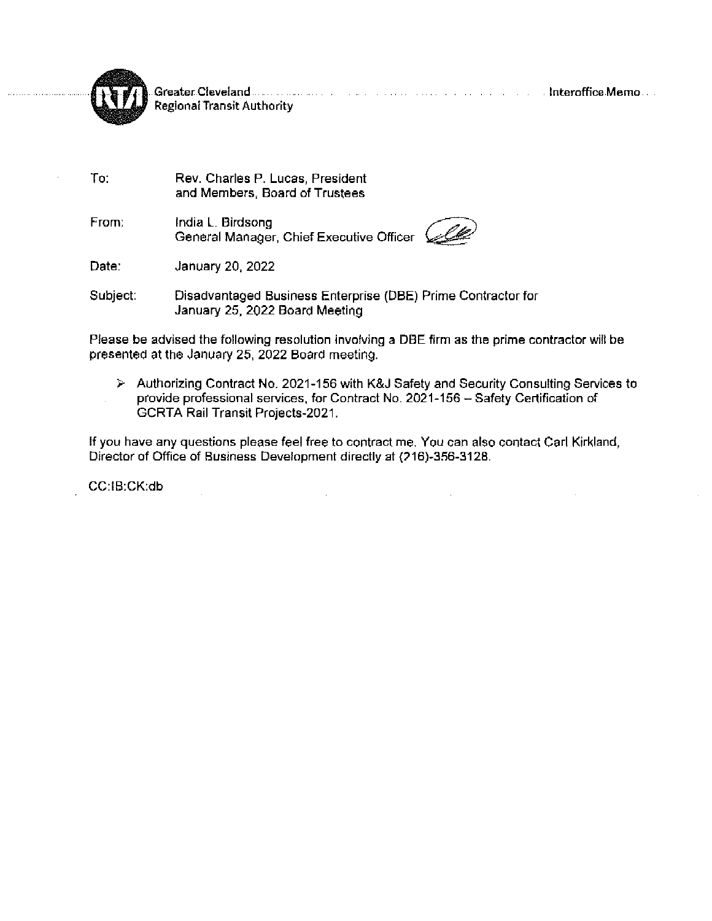



To:

**Regional Transit Authority** 

Rev. Charles P. Lucas, President and Members, Board of Trustees

From: India L. Birdsong General Manager, Chief Executive Officer (



January 20, 2022 Date:

Subject: Disadvantaged Business Enterprise (DBE) Prime Contractor for January 25, 2022 Board Meeting

Please be advised the following resolution involving a DBE firm as the prime contractor will be presented at the January 25, 2022 Board meeting.

> Authorizing Contract No. 2021-156 with K&J Safety and Security Consulting Services to provide professional services, for Contract No. 2021-156 - Safety Certification of GCRTA Rail Transit Projects-2021.

If you have any questions please feel free to contract me. You can also contact Carl Kirkland, Director of Office of Business Development directly at (216)-356-3128.

CC:IB:CK:db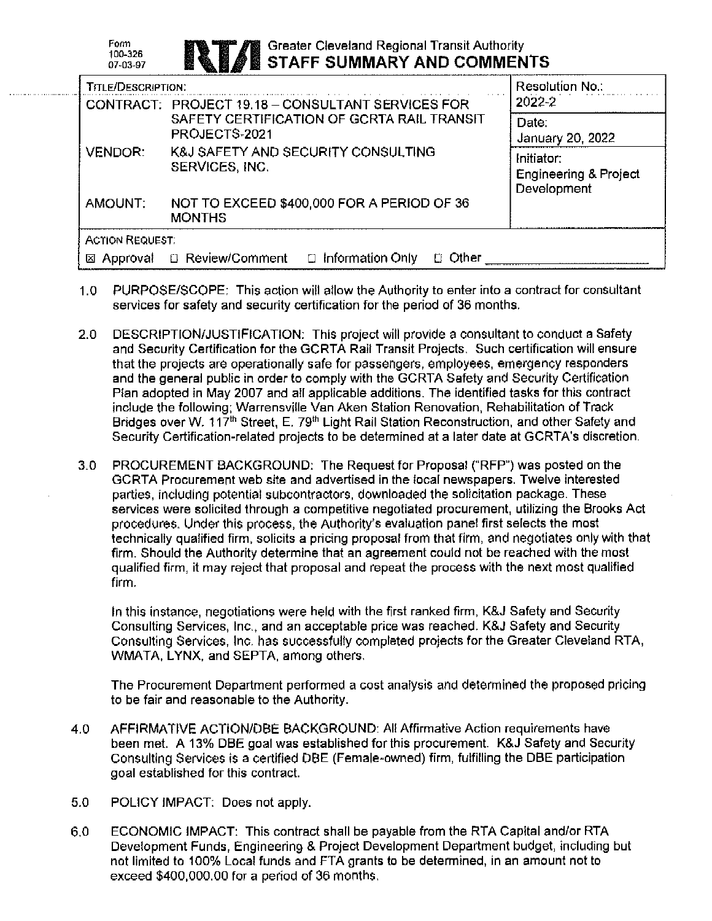| Form<br><b>ANT A Strater Cleveland Regional Transit Authority</b><br>STAFF SUMMARY AND COMMENTS<br>100-326<br>07-03-97 |
|------------------------------------------------------------------------------------------------------------------------|
|------------------------------------------------------------------------------------------------------------------------|

| <b>TITLE/DESCRIPTION:</b> |                                                                    | <b>Resolution No.:</b>                                        |
|---------------------------|--------------------------------------------------------------------|---------------------------------------------------------------|
|                           | CONTRACT: PROJECT 19.18 - CONSULTANT SERVICES FOR                  | 2022-2                                                        |
|                           | SAFETY CERTIFICATION OF GCRTA RAIL TRANSIT<br>PROJECTS-2021        | Date:<br>January 20, 2022                                     |
| <b>VENDOR:</b>            | <b>K&amp;J SAFETY AND SECURITY CONSULTING</b><br>SERVICES, INC.    | Initiator:<br><b>Engineering &amp; Project</b><br>Development |
| AMOUNT:                   | NOT TO EXCEED \$400,000 FOR A PERIOD OF 36<br><b>MONTHS</b>        |                                                               |
| <b>ACTION REQUEST:</b>    |                                                                    |                                                               |
| Approval<br>⊠             | <b>B</b> Review/Comment<br>$\Box$ Information Only<br>$\Box$ Other |                                                               |

- PURPOSE/SCOPE: This action will allow the Authority to enter into a contract for consultant  $1.0$ services for safety and security certification for the period of 36 months.
- $2.0$ DESCRIPTION/JUSTIFICATION: This project will provide a consultant to conduct a Safety and Security Certification for the GCRTA Rail Transit Projects. Such certification will ensure that the projects are operationally safe for passengers, employees, emergency responders and the general public in order to comply with the GCRTA Safety and Security Certification Plan adopted in May 2007 and all applicable additions. The identified tasks for this contract include the following; Warrensville Van Aken Station Renovation, Rehabilitation of Track Bridges over W. 117<sup>th</sup> Street, E. 79<sup>th</sup> Light Rail Station Reconstruction, and other Safety and Security Certification-related projects to be determined at a later date at GCRTA's discretion.
- PROCUREMENT BACKGROUND: The Request for Proposal ("RFP") was posted on the 3.0 GCRTA Procurement web site and advertised in the local newspapers. Twelve interested parties, including potential subcontractors, downloaded the solicitation package. These services were solicited through a competitive negotiated procurement, utilizing the Brooks Act procedures. Under this process, the Authority's evaluation panel first selects the most technically qualified firm, solicits a pricing proposal from that firm, and negotiates only with that firm. Should the Authority determine that an agreement could not be reached with the most qualified firm, it may reject that proposal and repeat the process with the next most qualified firm.

In this instance, negotiations were held with the first ranked firm, K&J Safety and Security Consulting Services, Inc., and an acceptable price was reached. K&J Safety and Security Consulting Services. Inc. has successfully completed projects for the Greater Cleveland RTA, WMATA, LYNX, and SEPTA, among others.

The Procurement Department performed a cost analysis and determined the proposed pricing to be fair and reasonable to the Authority.

- 4.0 AFFIRMATIVE ACTION/DBE BACKGROUND: All Affirmative Action requirements have been met. A 13% DBE goal was established for this procurement. K&J Safety and Security Consulting Services is a certified DBE (Female-owned) firm, fulfilling the DBE participation goal established for this contract.
- $5.0$ POLICY IMPACT: Does not apply.

 $6.0$ ECONOMIC IMPACT: This contract shall be payable from the RTA Capital and/or RTA Development Funds, Engineering & Project Development Department budget, including but not limited to 100% Local funds and FTA grants to be determined, in an amount not to exceed \$400,000.00 for a period of 36 months.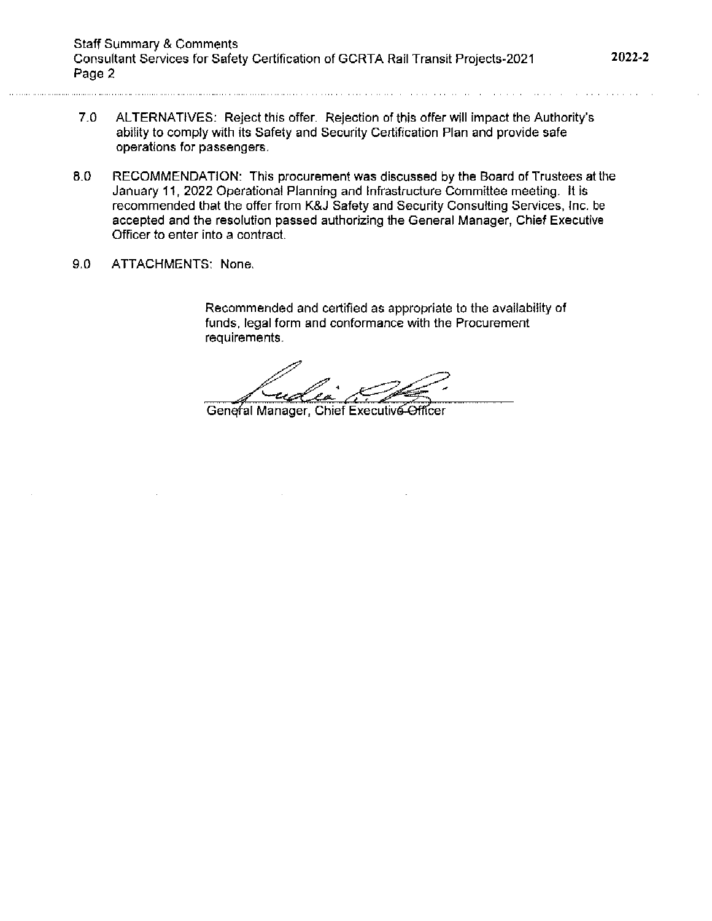- ALTERNATIVES: Reject this offer. Rejection of this offer will impact the Authority's  $7.0$ ability to comply with its Safety and Security Certification Plan and provide safe operations for passengers.
- 8.0 RECOMMENDATION: This procurement was discussed by the Board of Trustees at the January 11, 2022 Operational Planning and Infrastructure Committee meeting. It is recommended that the offer from K&J Safety and Security Consulting Services, Inc. be accepted and the resolution passed authorizing the General Manager, Chief Executive Officer to enter into a contract.
- $9.0$ ATTACHMENTS: None.

Recommended and certified as appropriate to the availability of funds, legal form and conformance with the Procurement requirements.

General Manager, Chief Executive Officer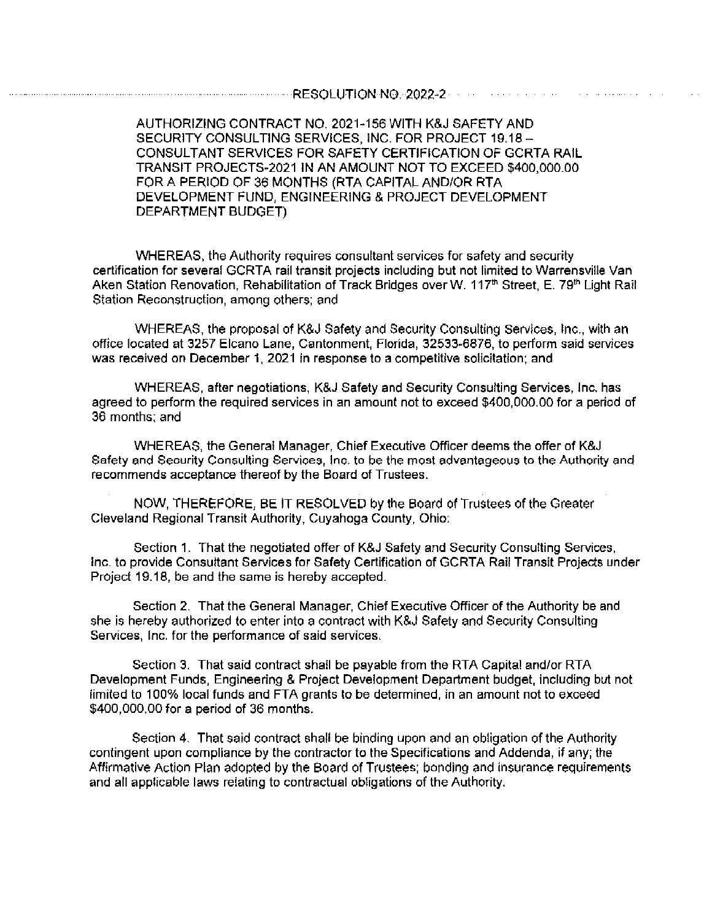AUTHORIZING CONTRACT NO. 2021-156 WITH K&J SAFETY AND SECURITY CONSULTING SERVICES, INC. FOR PROJECT 19.18 -**CONSULTANT SERVICES FOR SAFETY CERTIFICATION OF GCRTA RAIL** TRANSIT PROJECTS-2021 IN AN AMOUNT NOT TO EXCEED \$400,000.00 FOR A PERIOD OF 36 MONTHS (RTA CAPITAL AND/OR RTA DEVELOPMENT FUND, ENGINEERING & PROJECT DEVELOPMENT DEPARTMENT BUDGET)

WHEREAS, the Authority requires consultant services for safety and security certification for several GCRTA rail transit projects including but not limited to Warrensville Van Aken Station Renovation, Rehabilitation of Track Bridges over W. 117<sup>th</sup> Street, E. 79<sup>th</sup> Light Rail Station Reconstruction, among others; and

WHEREAS, the proposal of K&J Safety and Security Consulting Services, Inc., with an office located at 3257 Elcano Lane, Cantonment, Florida, 32533-6876, to perform said services was received on December 1, 2021 in response to a competitive solicitation; and

WHEREAS, after negotiations, K&J Safety and Security Consulting Services, Inc. has agreed to perform the required services in an amount not to exceed \$400,000.00 for a period of 36 months; and

WHEREAS, the General Manager, Chief Executive Officer deems the offer of K&J Safety and Security Consulting Services, Inc. to be the most advantageous to the Authority and recommends acceptance thereof by the Board of Trustees.

NOW, THEREFORE, BE IT RESOLVED by the Board of Trustees of the Greater Cleveland Regional Transit Authority, Cuyahoga County, Ohio:

Section 1. That the negotiated offer of K&J Safety and Security Consulting Services, Inc. to provide Consultant Services for Safety Certification of GCRTA Rail Transit Projects under Project 19.18, be and the same is hereby accepted.

Section 2. That the General Manager, Chief Executive Officer of the Authority be and she is hereby authorized to enter into a contract with K&J Safety and Security Consulting Services, Inc. for the performance of said services.

Section 3. That said contract shall be payable from the RTA Capital and/or RTA Development Funds, Engineering & Project Development Department budget, including but not limited to 100% local funds and FTA grants to be determined, in an amount not to exceed \$400,000.00 for a period of 36 months.

Section 4. That said contract shall be binding upon and an obligation of the Authority contingent upon compliance by the contractor to the Specifications and Addenda, if any; the Affirmative Action Plan adopted by the Board of Trustees; bonding and insurance requirements and all applicable laws relating to contractual obligations of the Authority.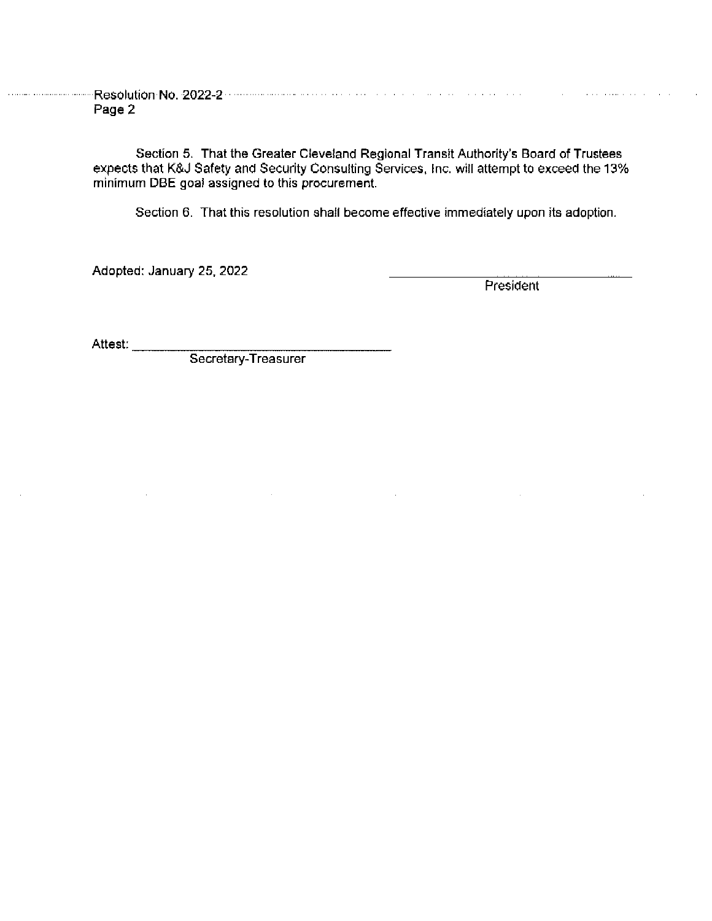Page 2

> Section 5. That the Greater Cleveland Regional Transit Authority's Board of Trustees expects that K&J Safety and Security Consulting Services, Inc. will attempt to exceed the 13% minimum DBE goal assigned to this procurement.

Section 6. That this resolution shall become effective immediately upon its adoption.

Adopted: January 25, 2022

President

Attest:

Secretary-Treasurer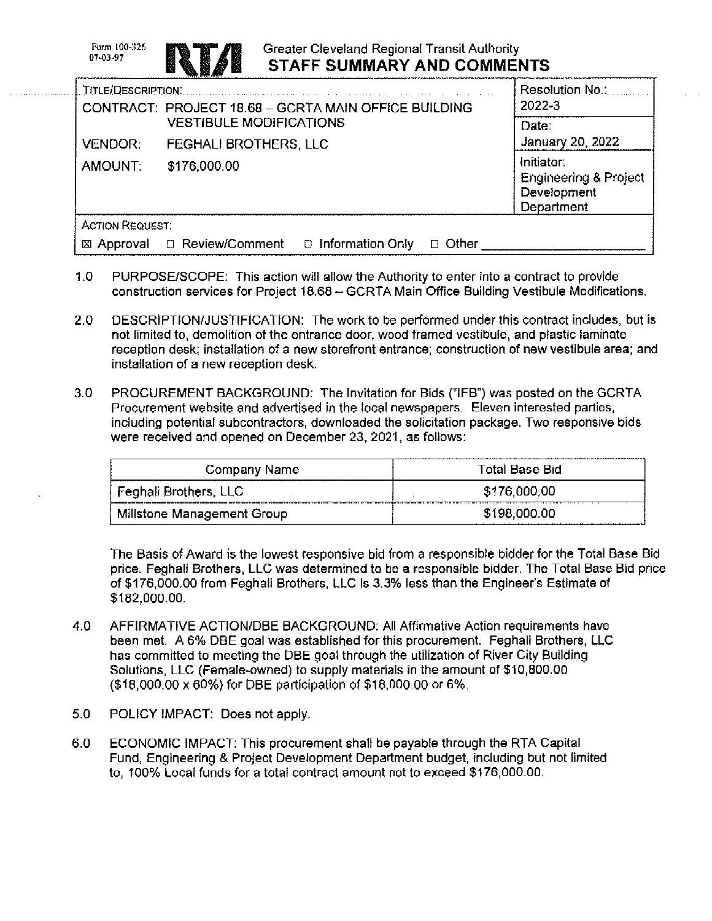Form 100-326 07-03-97

. . . . . . . . . . . . . . . . . . . .



# Greater Cleveland Regional Transit Authority **STAFF SUMMARY AND COMMENTS**

| <b>LTITLE/DESCRIPTION.</b>                           |                                                                    |              | Resolution No                                                    |
|------------------------------------------------------|--------------------------------------------------------------------|--------------|------------------------------------------------------------------|
| CONTRACT: PROJECT 18.68 - GCRTA MAIN OFFICE BUILDING |                                                                    | 2022-3       |                                                                  |
|                                                      | <b>VESTIBULE MODIFICATIONS</b>                                     |              | Date:                                                            |
| <b>VENDOR:</b>                                       | <b>FEGHALI BROTHERS, LLC</b>                                       |              | January 20, 2022                                                 |
| AMOUNT:                                              | \$176,000.00                                                       |              | Initiator:<br>Engineering & Project<br>Development<br>Department |
| <b>ACTION REQUEST:</b>                               |                                                                    |              |                                                                  |
|                                                      | $\boxtimes$ Approval $\Box$ Review/Comment $\Box$ Information Only | Other<br>ГJ. |                                                                  |

- $1.0$ PURPOSE/SCOPE: This action will allow the Authority to enter into a contract to provide construction services for Project 18.68 - GCRTA Main Office Building Vestibule Modifications.
- $2.0$ DESCRIPTION/JUSTIFICATION: The work to be performed under this contract includes, but is not limited to, demolition of the entrance door, wood framed vestibule, and plastic laminate reception desk; installation of a new storefront entrance; construction of new vestibule area; and installation of a new reception desk.
- $3.0$ PROCUREMENT BACKGROUND: The Invitation for Bids ("IFB") was posted on the GCRTA Procurement website and advertised in the local newspapers. Eleven interested parties, including potential subcontractors, downloaded the solicitation package. Two responsive bids were received and opened on December 23, 2021, as follows:

| Company Name               | Total Base Bid |
|----------------------------|----------------|
| Feghali Brothers, LLC      | \$176,000.00   |
| Millstone Management Group | \$198,000.00   |

The Basis of Award is the lowest responsive bid from a responsible bidder for the Total Base Bid price, Feghali Brothers, LLC was determined to be a responsible bidder. The Total Base Bid price of \$176,000,00 from Feghali Brothers, LLC is 3,3% less than the Engineer's Estimate of \$182,000.00.

- 4.0 AFFIRMATIVE ACTION/DBE BACKGROUND: All Affirmative Action requirements have been met. A 6% DBE goal was established for this procurement. Feghali Brothers, LLC has committed to meeting the DBE goal through the utilization of River City Building Solutions, LLC (Female-owned) to supply materials in the amount of \$10,800.00 (\$18,000.00 x 60%) for DBE participation of \$18,000.00 or 6%.
- 5.0 POLICY IMPACT: Does not apply.
- 6.0 ECONOMIC IMPACT: This procurement shall be payable through the RTA Capital Fund, Engineering & Project Development Department budget, including but not limited to, 100% Local funds for a total contract amount not to exceed \$176,000.00.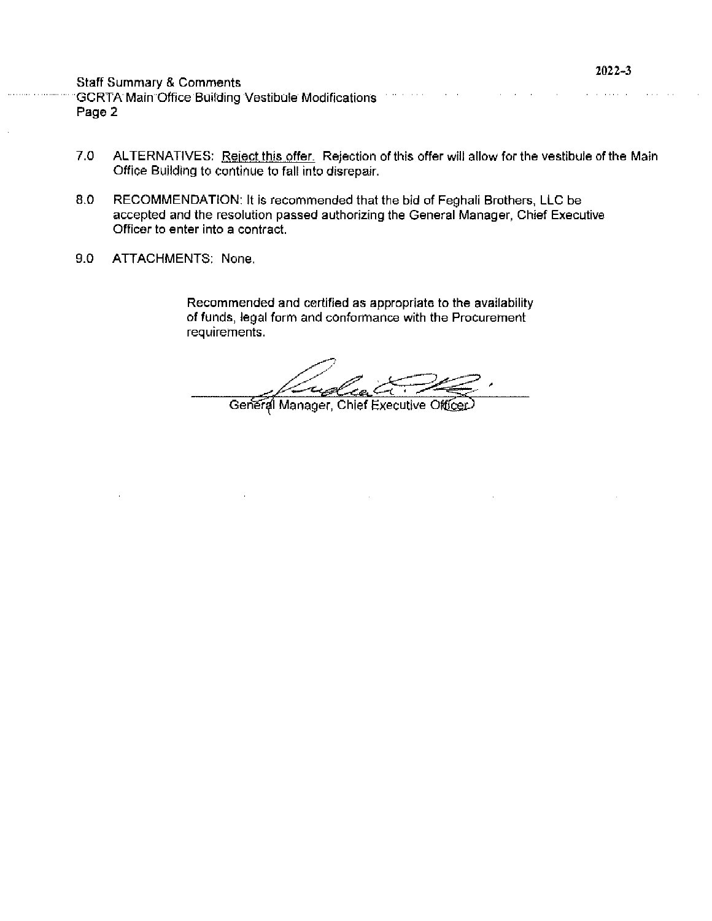|                                                                                                                                                                                                                                | $2022 - 3$ |
|--------------------------------------------------------------------------------------------------------------------------------------------------------------------------------------------------------------------------------|------------|
| <b>Staff Summary &amp; Comments</b>                                                                                                                                                                                            |            |
| GCRTA Main Office Building Vestibule Modifications and the contract of the contract of the contract of the contract of the contract of the contract of the contract of the contract of the contract of the contract of the con |            |
| Page 2                                                                                                                                                                                                                         |            |

 $\ddot{\phantom{a}}$ 

- $7.0$ ALTERNATIVES: Reject this offer. Rejection of this offer will allow for the vestibule of the Main Office Building to continue to fall into disrepair.
- 8.0 RECOMMENDATION: It is recommended that the bid of Feghali Brothers, LLC be accepted and the resolution passed authorizing the General Manager, Chief Executive Officer to enter into a contract.
- $9.0$ ATTACHMENTS: None.

Recommended and certified as appropriate to the availability of funds, legal form and conformance with the Procurement requirements.

.<br>-Call

General Manager, Chief Executive Officer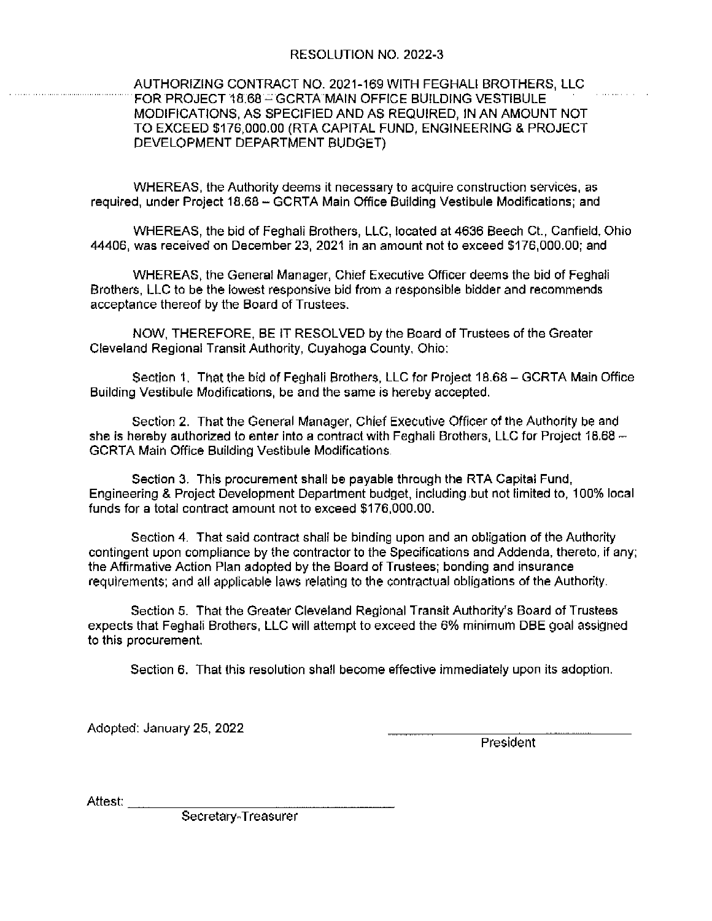## RESOLUTION NO. 2022-3

## AUTHORIZING CONTRACT NO. 2021-169 WITH FEGHALI BROTHERS, LLC FOR PROJECT 18.68 - GCRTA MAIN OFFICE BUILDING VESTIBULE MODIFICATIONS, AS SPECIFIED AND AS REQUIRED. IN AN AMOUNT NOT TO EXCEED \$176,000.00 (RTA CAPITAL FUND, ENGINEERING & PROJECT DEVELOPMENT DEPARTMENT BUDGET)

WHEREAS, the Authority deems it necessary to acquire construction services, as required, under Project 18,68 - GCRTA Main Office Building Vestibule Modifications; and

WHEREAS, the bid of Feghali Brothers, LLC, located at 4636 Beech Ct., Canfield, Ohio 44406, was received on December 23, 2021 in an amount not to exceed \$176,000.00; and

WHEREAS, the General Manager, Chief Executive Officer deems the bid of Feghall Brothers, LLC to be the lowest responsive bid from a responsible bidder and recommends acceptance thereof by the Board of Trustees.

NOW, THEREFORE, BE IT RESOLVED by the Board of Trustees of the Greater Cleveland Regional Transit Authority, Cuyahoga County, Ohio:

Section 1. That the bid of Feghali Brothers, LLC for Project 18.68 - GCRTA Main Office Building Vestibule Modifications, be and the same is hereby accepted.

Section 2. That the General Manager, Chief Executive Officer of the Authority be and she is hereby authorized to enter into a contract with Feghali Brothers, LLC for Project 18.68 -**GCRTA Main Office Building Vestibule Modifications.** 

Section 3. This procurement shall be payable through the RTA Capital Fund, Engineering & Project Development Department budget, including but not limited to, 100% local funds for a total contract amount not to exceed \$176,000.00.

Section 4. That said contract shall be binding upon and an obligation of the Authority contingent upon compliance by the contractor to the Specifications and Addenda, thereto, if any: the Affirmative Action Plan adopted by the Board of Trustees; bonding and insurance requirements; and all applicable laws relating to the contractual obligations of the Authority.

Section 5. That the Greater Cleveland Regional Transit Authority's Board of Trustees expects that Feghali Brothers, LLC will attempt to exceed the 6% minimum DBE goal assigned to this procurement.

Section 6. That this resolution shall become effective immediately upon its adoption.

Adopted: January 25, 2022

President

Attest:

Secretary-Treasurer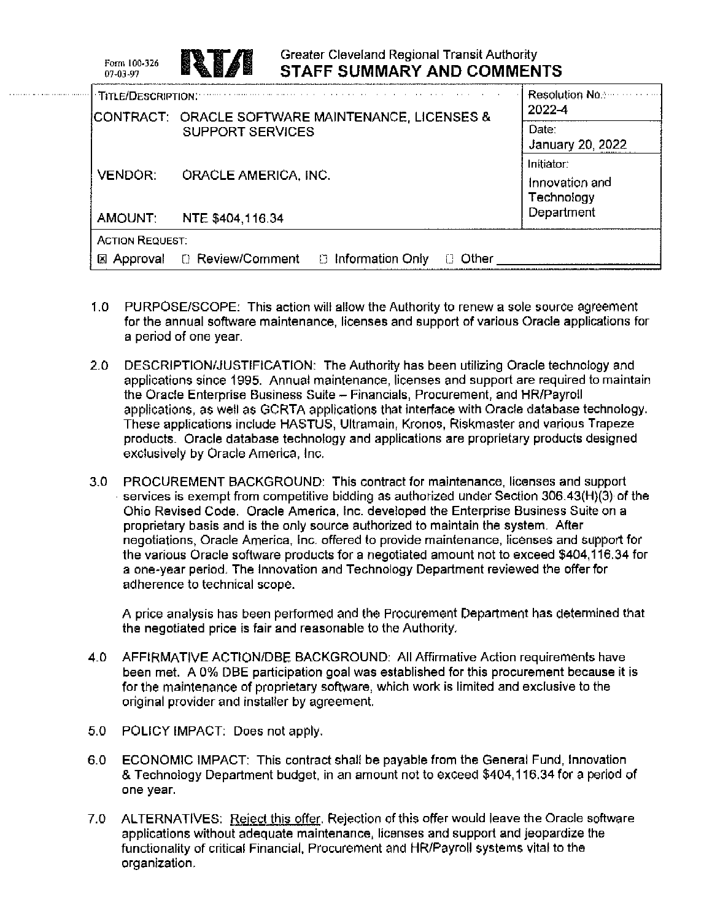| Form 100-326<br>07-03-97 |                             | Greater Cleveland Regional Transit Authority<br><b>STAFF SUMMARY AND COMMENTS</b> |                                            |
|--------------------------|-----------------------------|-----------------------------------------------------------------------------------|--------------------------------------------|
| TITLE/DESCRIPTION:       |                             | CONTRACT: ORACLE SOFTWARE MAINTENANCE, LICENSES &                                 | Resolution No.:<br>2022-4                  |
|                          | <b>SUPPORT SERVICES</b>     |                                                                                   | Date:<br>January 20, 2022                  |
| <b>VENDOR:</b>           | <b>ORACLE AMERICA, INC.</b> |                                                                                   | Initiator:<br>Innovation and<br>Technology |
| AMOUNT:                  | NTE \$404,116.34            |                                                                                   | Department                                 |
| <b>ACTION REQUEST:</b>   |                             |                                                                                   |                                            |
|                          | ⊠ Approval □ Review/Comment | <b>D</b> Information Only<br>Other                                                |                                            |

- 1.0 PURPOSE/SCOPE: This action will allow the Authority to renew a sole source agreement for the annual software maintenance, licenses and support of various Oracle applications for a period of one year.
- $2.0$ DESCRIPTION/JUSTIFICATION: The Authority has been utilizing Oracle technology and applications since 1995. Annual maintenance, licenses and support are required to maintain the Oracle Enterprise Business Suite - Financials, Procurement, and HR/Payroll applications, as well as GCRTA applications that interface with Oracle database technology. These applications include HASTUS, Ultramain, Kronos, Riskmaster and various Trapeze products. Oracle database technology and applications are proprietary products designed exclusively by Oracle America, Inc.
- 3.0 PROCUREMENT BACKGROUND: This contract for maintenance, licenses and support services is exempt from competitive bidding as authorized under Section 306.43(H)(3) of the Ohio Revised Code. Oracle America, Inc. developed the Enterprise Business Suite on a proprietary basis and is the only source authorized to maintain the system. After negotiations, Oracle America, Inc. offered to provide maintenance, licenses and support for the various Oracle software products for a negotiated amount not to exceed \$404,116.34 for a one-year period. The Innovation and Technology Department reviewed the offer for adherence to technical scope.

A price analysis has been performed and the Procurement Department has determined that the negotiated price is fair and reasonable to the Authority.

- AFFIRMATIVE ACTION/DBE BACKGROUND: All Affirmative Action requirements have 4.O been met. A 0% DBE participation goal was established for this procurement because it is for the maintenance of proprietary software, which work is limited and exclusive to the original provider and installer by agreement.
- 5.0 POLICY IMPACT: Does not apply.

- ECONOMIC IMPACT: This contract shall be payable from the General Fund, Innovation 6.0 & Technology Department budget, in an amount not to exceed \$404,116.34 for a period of one year.
- $7.0$ ALTERNATIVES: Reject this offer. Rejection of this offer would leave the Oracle software applications without adequate maintenance, licenses and support and jeopardize the functionality of critical Financial, Procurement and HR/Payroll systems vital to the organization.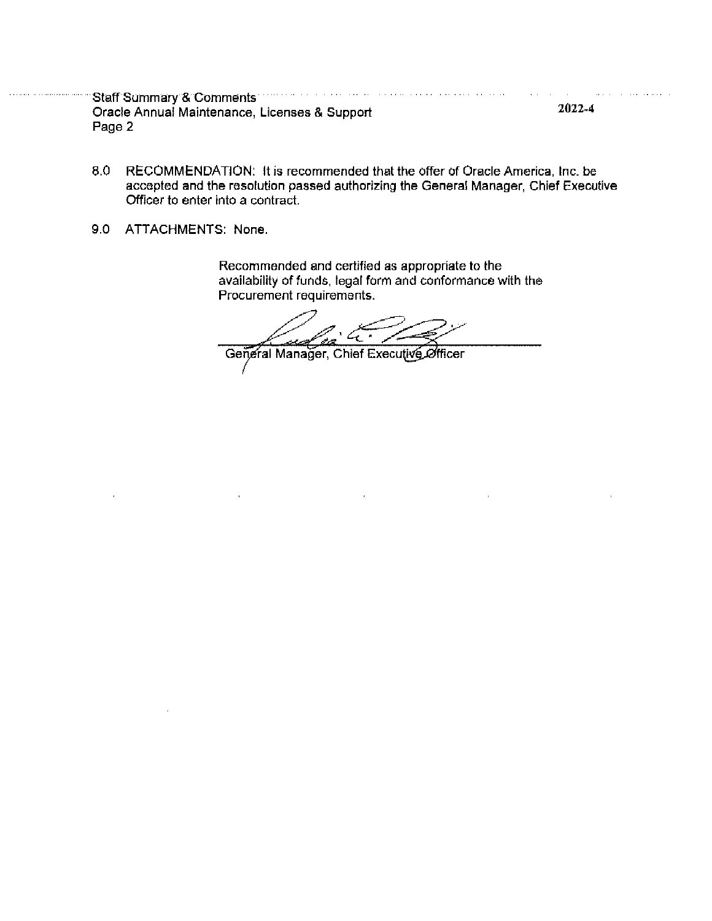Staff Summary & Comments with the common and continued and continued  $\alpha$  and  $\alpha$  are  $\alpha$  and  $\alpha$  $\alpha$  ,  $\beta$ 2022-4 Oracle Annual Maintenance, Licenses & Support Page 2

- 8.0 RECOMMENDATION: It is recommended that the offer of Oracle America, Inc. be accepted and the resolution passed authorizing the General Manager, Chief Executive Officer to enter into a contract.
- 9.0 ATTACHMENTS: None.

Recommended and certified as appropriate to the availability of funds, legal form and conformance with the Procurement requirements.

تتعصصت

General Manager, Chief Executive Officer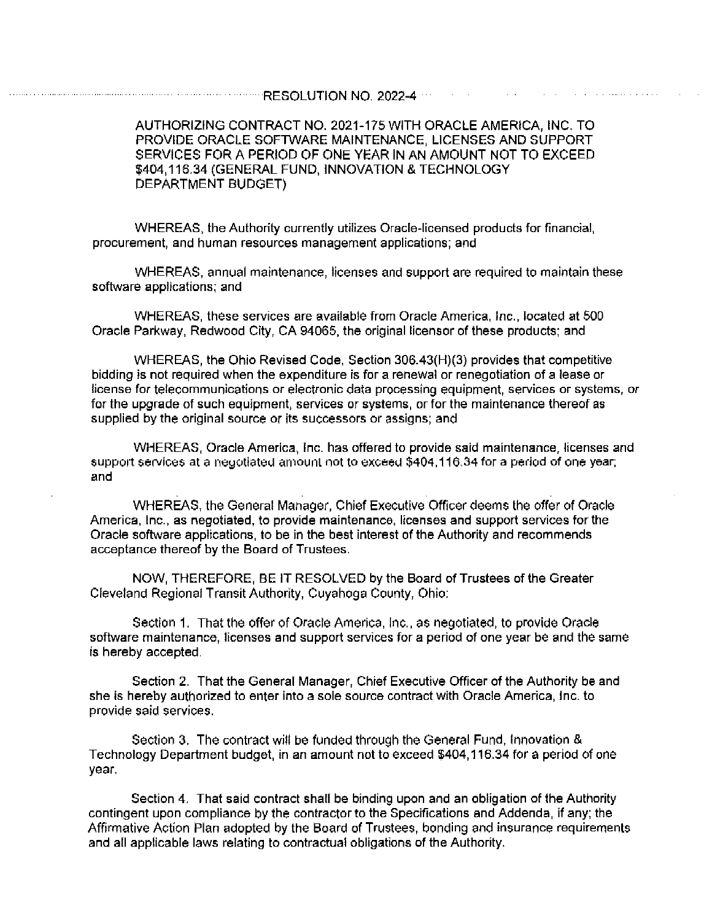### AUTHORIZING CONTRACT NO. 2021-175 WITH ORACLE AMERICA. INC. TO PROVIDE ORACLE SOFTWARE MAINTENANCE, LICENSES AND SUPPORT SERVICES FOR A PERIOD OF ONE YEAR IN AN AMOUNT NOT TO EXCEED. \$404,116.34 (GENERAL FUND, INNOVATION & TECHNOLOGY DEPARTMENT BUDGET)

WHEREAS, the Authority currently utilizes Oracle-licensed products for financial, procurement, and human resources management applications; and

WHEREAS, annual maintenance, licenses and support are required to maintain these software applications; and

WHEREAS, these services are available from Oracle America, Inc., located at 500 Oracle Parkway, Redwood City, CA 94065, the original licensor of these products; and

WHEREAS, the Ohio Revised Code, Section 306.43(H)(3) provides that competitive bidding is not required when the expenditure is for a renewal or renegotiation of a lease or license for telecommunications or electronic data processing equipment, services or systems, or for the upgrade of such equipment, services or systems, or for the maintenance thereof as supplied by the original source or its successors or assigns; and

WHEREAS, Oracle America, Inc. has offered to provide said maintenance, licenses and support services at a negotiated amount not to exceed \$404,116.34 for a period of one year; and

WHEREAS, the General Manager, Chief Executive Officer deems the offer of Oracle America, Inc., as negotiated, to provide maintenance, licenses and support services for the Oracle software applications, to be in the best interest of the Authority and recommends acceptance thereof by the Board of Trustees.

NOW, THEREFORE, BE IT RESOLVED by the Board of Trustees of the Greater Cleveland Regional Transit Authority, Cuyahoga County, Ohio:

Section 1. That the offer of Oracle America, Inc., as negotiated, to provide Oracle software maintenance, licenses and support services for a period of one year be and the same is hereby accepted.

Section 2. That the General Manager, Chief Executive Officer of the Authority be and she is hereby authorized to enter into a sole source contract with Oracle America, Inc. to provide said services.

Section 3. The contract will be funded through the General Fund, Innovation & Technology Department budget, in an amount not to exceed \$404,116.34 for a period of one vear.

Section 4. That said contract shall be binding upon and an obligation of the Authority contingent upon compliance by the contractor to the Specifications and Addenda, if any; the Affirmative Action Plan adopted by the Board of Trustees, bonding and insurance requirements and all applicable laws relating to contractual obligations of the Authority.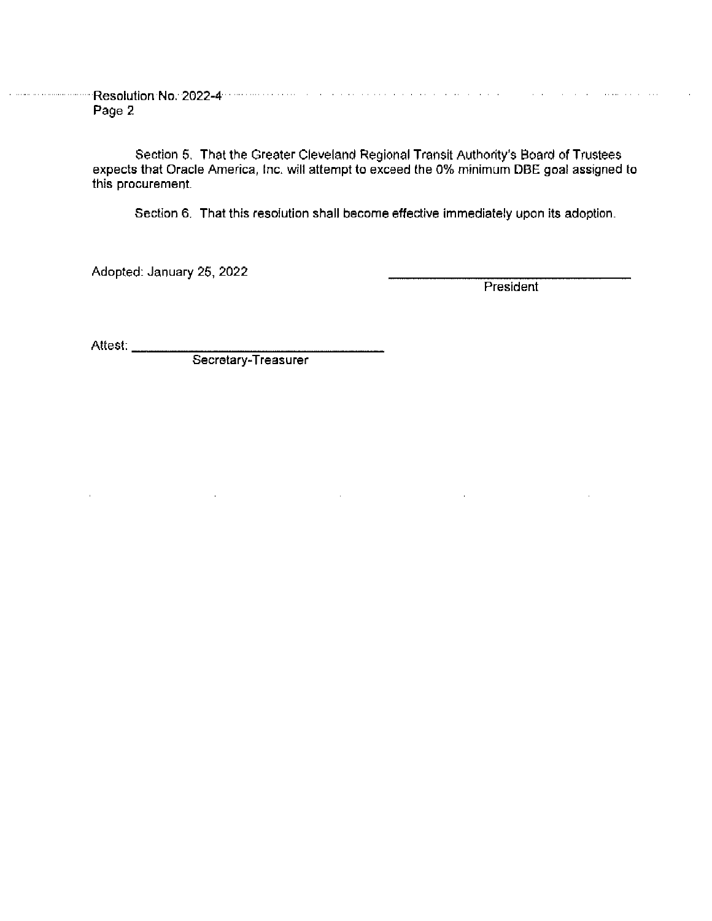**Experimental Resolution No. 2022-4 Constitution of the construction of the constitution of the construction** Page 2

> Section 5. That the Greater Cleveland Regional Transit Authority's Board of Trustees expects that Oracle America, Inc. will attempt to exceed the 0% minimum DBE goal assigned to this procurement.

> > $\bar{z}$

Section 6. That this resolution shall become effective immediately upon its adoption.

Adopted: January 25, 2022

President

l,

Attest: \_\_\_\_\_\_\_\_\_

Secretary-Treasurer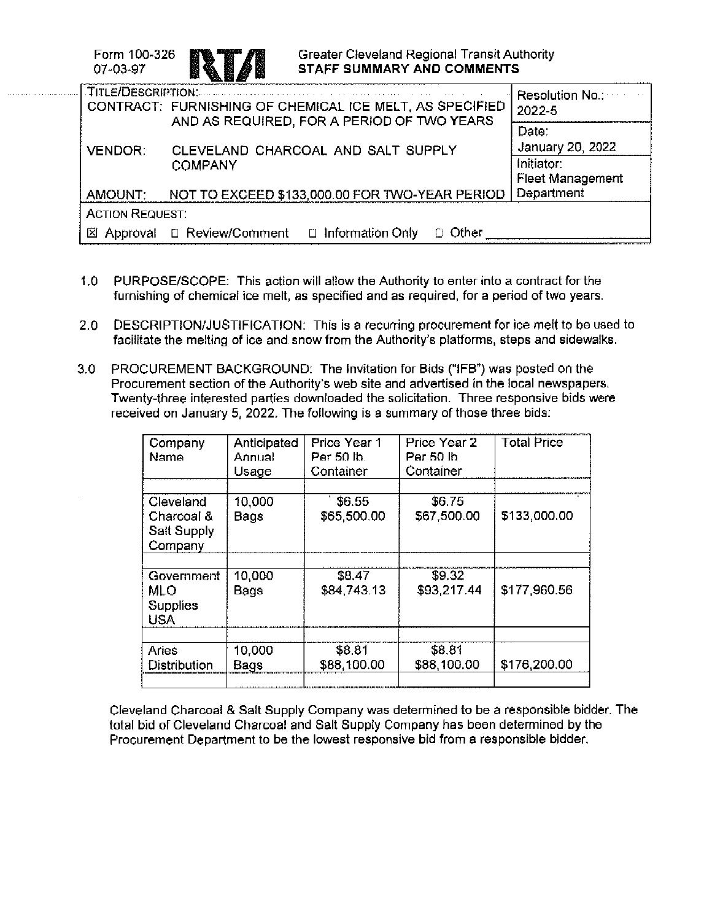Form 100-326 07-03-97



| TITLE/DESCRIPTION:     | the common and an article of the service of the control of the control of the service of the service of the service<br>CONTRACT: FURNISHING OF CHEMICAL ICE MELT, AS SPECIFIED<br>AND AS REQUIRED, FOR A PERIOD OF TWO YEARS | <b>Resolution No.:</b> No.:<br>2022-5 |
|------------------------|------------------------------------------------------------------------------------------------------------------------------------------------------------------------------------------------------------------------------|---------------------------------------|
|                        |                                                                                                                                                                                                                              | Date:<br>January 20, 2022             |
| <b>VENDOR:</b>         | CLEVELAND CHARCOAL AND SALT SUPPLY<br><b>COMPANY</b>                                                                                                                                                                         | Initiator:                            |
|                        |                                                                                                                                                                                                                              | <b>Fleet Management</b>               |
| AMOUNT:                | NOT TO EXCEED \$133,000.00 FOR TWO-YEAR PERIOD                                                                                                                                                                               | Department                            |
| <b>ACTION REQUEST:</b> |                                                                                                                                                                                                                              |                                       |
|                        | $\boxtimes$ Approval $\Box$ Review/Comment $\Box$ Information Only<br>Other                                                                                                                                                  |                                       |

- $1.0$ PURPOSE/SCOPE: This action will allow the Authority to enter into a contract for the furnishing of chemical ice melt, as specified and as required, for a period of two years.
- $2.0<sub>1</sub>$ DESCRIPTION/JUSTIFICATION: This is a recurring procurement for ice melt to be used to facilitate the melting of ice and snow from the Authority's platforms, steps and sidewalks.
- PROCUREMENT BACKGROUND: The Invitation for Bids ("IFB") was posted on the  $3.0<sub>1</sub>$ Procurement section of the Authority's web site and advertised in the local newspapers. Twenty-three interested parties downloaded the solicitation. Three responsive bids were received on January 5, 2022. The following is a summary of those three bids:

| Anticipated<br>Annual<br>Usage | Price Year 1<br>Per 50 lb.<br>Container | Price Year 2<br>Per 50 lb.<br>Container | <b>Total Price</b> |
|--------------------------------|-----------------------------------------|-----------------------------------------|--------------------|
|                                |                                         |                                         |                    |
| 10,000<br>Bags                 | \$6.55<br>\$65,500.00                   | \$6.75<br>\$67,500.00                   | \$133,000.00       |
|                                |                                         |                                         |                    |
| Bags                           | \$84,743.13                             | \$93,217.44                             | \$177,960.56       |
|                                |                                         |                                         |                    |
| 10,000<br>Bags                 | \$8.81<br>\$88,100.00                   | \$88,100.00                             | \$176,200.00       |
|                                | 10,000                                  | \$8.47                                  | \$9.32<br>\$8.81   |

Cleveland Charcoal & Salt Supply Company was determined to be a responsible bidder. The total bid of Cleveland Charcoal and Salt Supply Company has been determined by the Procurement Department to be the lowest responsive bid from a responsible bidder.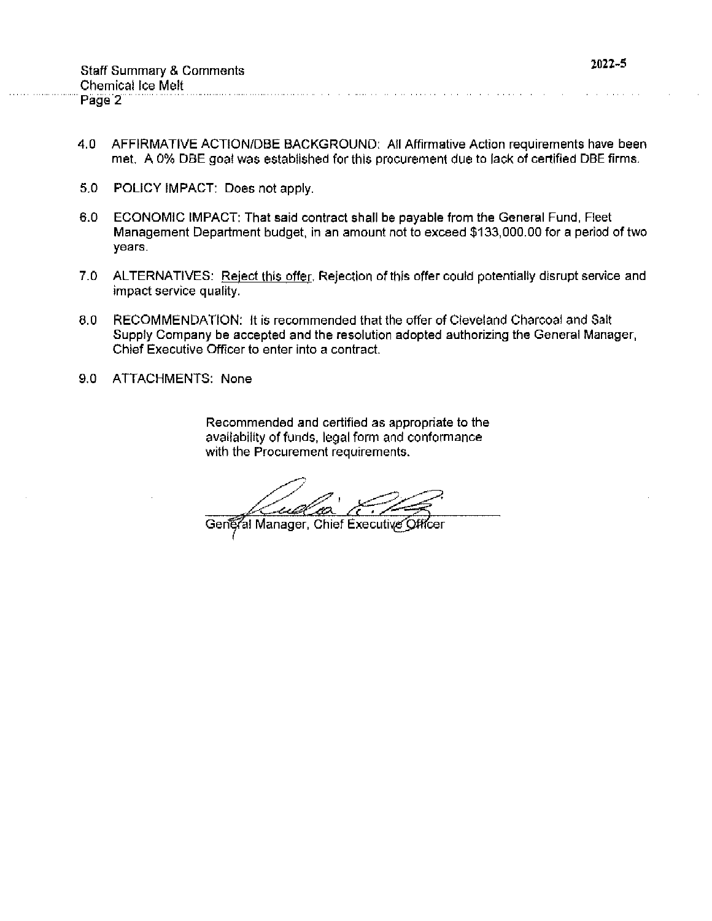- $4.0$ AFFIRMATIVE ACTION/DBE BACKGROUND: All Affirmative Action requirements have been met. A 0% DBE goal was established for this procurement due to lack of certified DBE firms.
- $5.0$ POLICY IMPACT: Does not apply.
- 6.0 ECONOMIC IMPACT: That said contract shall be payable from the General Fund, Fleet Management Department budget, in an amount not to exceed \$133,000.00 for a period of two years.
- $7.0$ ALTERNATIVES: Reject this offer. Rejection of this offer could potentially disrupt service and impact service quality.
- 8.0 RECOMMENDATION: It is recommended that the offer of Cleveland Charcoal and Salt Supply Company be accepted and the resolution adopted authorizing the General Manager, Chief Executive Officer to enter into a contract.
- ATTACHMENTS: None  $9.0$

Recommended and certified as appropriate to the availability of funds, legal form and conformance with the Procurement requirements.

General Manager, Chief Executive Officer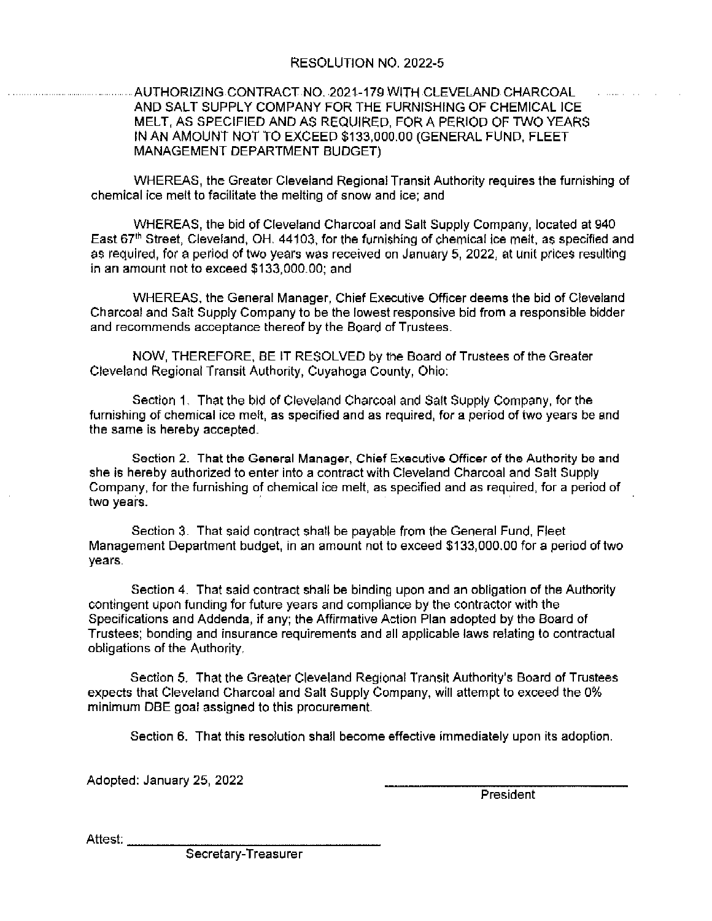# RESOLUTION NO. 2022-5

## AUTHORIZING CONTRACT NO. 2021-179 WITH CLEVELAND CHARCOAL AND SALT SUPPLY COMPANY FOR THE FURNISHING OF CHEMICAL ICE MELT, AS SPECIFIED AND AS REQUIRED, FOR A PERIOD OF TWO YEARS IN AN AMOUNT NOT TO EXCEED \$133,000.00 (GENERAL FUND, FLEET **MANAGEMENT DEPARTMENT BUDGET)**

WHEREAS, the Greater Cleveland Regional Transit Authority reguires the furnishing of chemical ice melt to facilitate the melting of snow and ice; and

WHEREAS, the bid of Cleveland Charcoal and Salt Supply Company, located at 940 East 67<sup>th</sup> Street, Cleveland, OH, 44103, for the furnishing of chemical ice melt, as specified and as required, for a period of two years was received on January 5, 2022, at unit prices resulting in an amount not to exceed \$133,000.00; and

WHEREAS, the General Manager, Chief Executive Officer deems the bid of Cleveland Charcoal and Sait Supply Company to be the lowest responsive bid from a responsible bidder and recommends acceptance thereof by the Board of Trustees.

NOW, THEREFORE, BE IT RESOLVED by the Board of Trustees of the Greater Cleveland Regional Transit Authority, Cuyahoga County, Ohio:

Section 1. That the bid of Cleveland Charcoal and Salt Supply Company, for the furnishing of chemical ice melt, as specified and as required, for a period of two years be and the same is hereby accepted.

Section 2. That the General Manager, Chief Executive Officer of the Authority be and she is hereby authorized to enter into a contract with Cleveland Charcoal and Salt Supply Company, for the furnishing of chemical ice melt, as specified and as required, for a period of two years.

Section 3. That said contract shall be payable from the General Fund, Fleet Management Department budget, in an amount not to exceed \$133,000,00 for a period of two years.

Section 4. That said contract shall be binding upon and an obligation of the Authority contingent upon funding for future years and compliance by the contractor with the Specifications and Addenda, if any; the Affirmative Action Plan adopted by the Board of Trustees; bonding and insurance requirements and all applicable laws relating to contractual obligations of the Authority.

Section 5. That the Greater Cleveland Regional Transit Authority's Board of Trustees expects that Cleveland Charcoal and Salt Supply Company, will attempt to exceed the 0% minimum DBE goal assigned to this procurement.

Section 6. That this resolution shall become effective immediately upon its adoption.

Adopted: January 25, 2022

President

Attest:

Secretary-Treasurer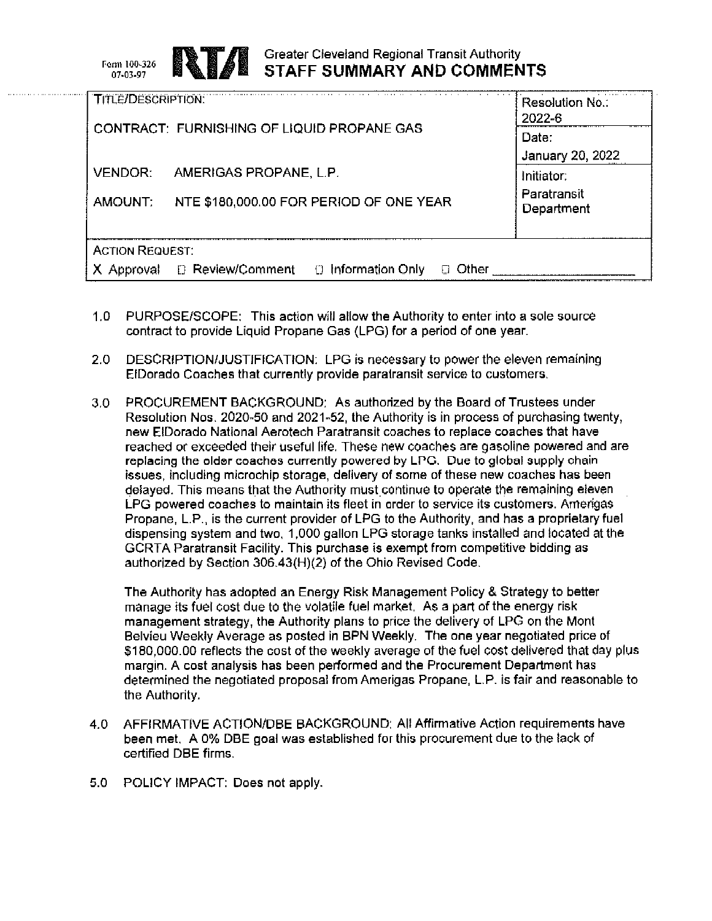Form 100-326 07-03-97



# **Greater Cleveland Regional Transit Authority STAFF SUMMARY AND COMMENTS**

| <b>TITLE/DESCRIPTION:</b>                                             | Resolution No.:<br>2022-6 |
|-----------------------------------------------------------------------|---------------------------|
| CONTRACT: FURNISHING OF LIQUID PROPANE GAS                            | Date:<br>January 20, 2022 |
| <b>VENDOR:</b><br>AMERIGAS PROPANE, L.P.                              | Initiator:                |
| NTE \$180,000.00 FOR PERIOD OF ONE YEAR<br>AMOUNT:                    | Paratransit<br>Department |
| <b>ACTION REQUEST:</b>                                                |                           |
| D Review/Comment<br>$\Box$ Information Only<br>Approval<br>Other<br>П |                           |

- $1.0 -$ PURPOSE/SCOPE: This action will allow the Authority to enter into a sole source contract to provide Liquid Propane Gas (LPG) for a period of one year.
- $2.0$ DESCRIPTION/JUSTIFICATION: LPG is necessary to power the eleven remaining EiDorado Coaches that currently provide paratransit service to customers.
- PROCUREMENT BACKGROUND: As authorized by the Board of Trustees under  $3.0$ Resolution Nos. 2020-50 and 2021-52, the Authority is in process of purchasing twenty, new ElDorado National Aerotech Paratransit coaches to replace coaches that have reached or exceeded their useful life. These new coaches are gasoline powered and are replacing the older coaches currently powered by LPG. Due to global supply chain issues, including microchip storage, delivery of some of these new coaches has been delayed. This means that the Authority must continue to operate the remaining eleven LPG powered coaches to maintain its fleet in order to service its customers. Amerigas Propane, L.P., is the current provider of LPG to the Authority, and has a proprietary fuel dispensing system and two, 1,000 gallon LPG storage tanks installed and located at the GCRTA Paratransit Facility. This purchase is exempt from competitive bidding as authorized by Section 306.43(H)(2) of the Ohio Revised Code.

The Authority has adopted an Energy Risk Management Policy & Strategy to better manage its fuel cost due to the volatile fuel market. As a part of the energy risk management strategy, the Authority plans to price the delivery of LPG on the Mont Belvieu Weekly Average as posted in BPN Weekly. The one year negotiated price of \$180,000.00 reflects the cost of the weekly average of the fuel cost delivered that day plus margin. A cost analysis has been performed and the Procurement Department has determined the negotiated proposal from Amerigas Propane, L.P. is fair and reasonable to the Authority.

- 4.0 AFFIRMATIVE ACTION/DBE BACKGROUND: All Affirmative Action requirements have been met. A 0% DBE goal was established for this procurement due to the lack of certified DBE firms.
- 5.0 POLICY IMPACT: Does not apply.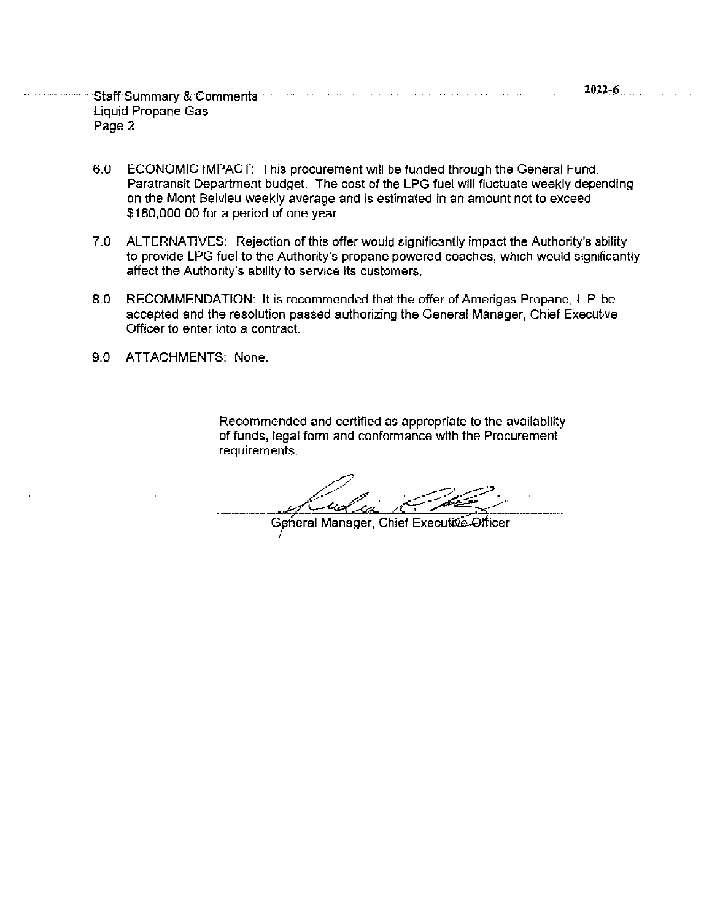- ECONOMIC IMPACT: This procurement will be funded through the General Fund. 6.0 Paratransit Department budget. The cost of the LPG fuel will fluctuate weekly depending on the Mont Belvieu weekly average and is estimated in an amount not to exceed \$180,000.00 for a period of one year.
- 7.0 ALTERNATIVES: Rejection of this offer would significantly impact the Authority's ability to provide LPG fuel to the Authority's propane powered coaches, which would significantly affect the Authority's ability to service its customers.
- 8.0 RECOMMENDATION: It is recommended that the offer of Amerigas Propane, L.P. be accepted and the resolution passed authorizing the General Manager, Chief Executive Officer to enter into a contract.
- ATTACHMENTS: None 9.0

Recommended and certified as appropriate to the availability of funds, legal form and conformance with the Procurement requirements.

General Manager, Chief Executive Officer

**Service**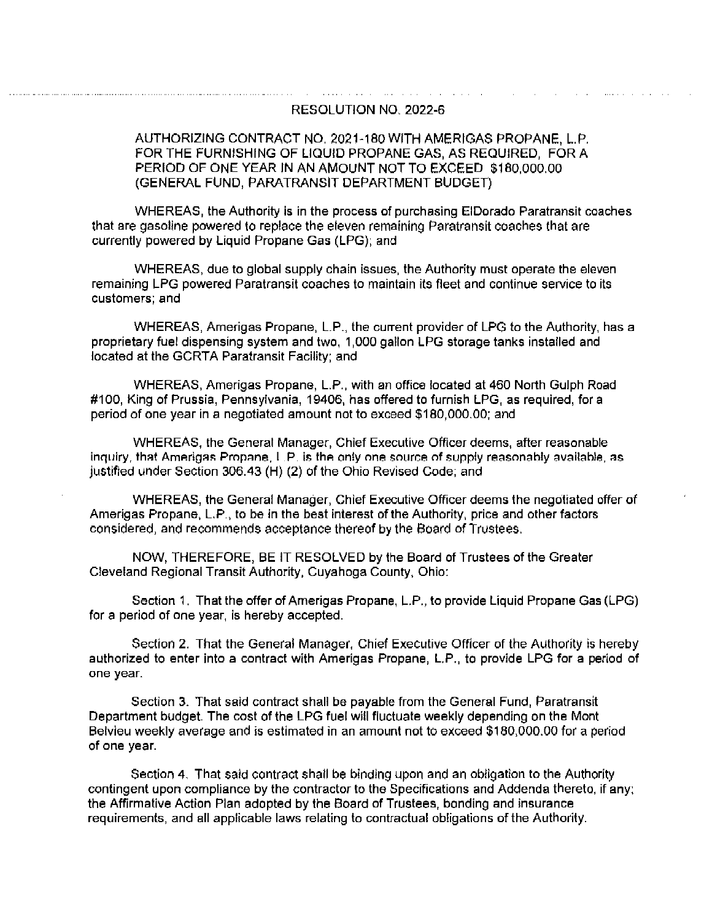#### RESOLUTION NO. 2022-6

and the control

#### AUTHORIZING CONTRACT NO. 2021-180 WITH AMERIGAS PROPANE, L.P. FOR THE FURNISHING OF LIQUID PROPANE GAS, AS REQUIRED. FOR A PERIOD OF ONE YEAR IN AN AMOUNT NOT TO EXCEED \$180,000.00 (GENERAL FUND, PARATRANSIT DEPARTMENT BUDGET)

WHEREAS, the Authority is in the process of purchasing ElDorado Paratransit coaches that are gasoline powered to replace the eleven remaining Paratransit coaches that are currently powered by Liquid Propane Gas (LPG); and

WHEREAS, due to global supply chain issues, the Authority must operate the eleven remaining LPG powered Paratransit coaches to maintain its fleet and continue service to its customers; and

WHEREAS, Amerigas Propane, L.P., the current provider of LPG to the Authority, has a proprietary fuel dispensing system and two, 1,000 gallon LPG storage tanks installed and located at the GCRTA Paratransit Facility; and

WHEREAS, Amerigas Propane, L.P., with an office located at 460 North Gulph Road #100. King of Prussia, Pennsylvania, 19406, has offered to furnish LPG, as required, for a period of one year in a negotiated amount not to exceed \$180,000.00; and

WHEREAS, the General Manager, Chief Executive Officer deems, after reasonable inquiry, that Amerigas Propane, L.P. is the only one source of supply reasonably available, as justified under Section 306.43 (H) (2) of the Ohio Revised Code; and

WHEREAS, the General Manager, Chief Executive Officer deems the negotiated offer of Amerigas Propane, L.P., to be in the best interest of the Authority, price and other factors considered, and recommends acceptance thereof by the Board of Trustees.

NOW, THEREFORE, BE IT RESOLVED by the Board of Trustees of the Greater Cleveland Regional Transit Authority, Cuyahoga County, Ohio:

Section 1. That the offer of Amerigas Propane, L.P., to provide Liquid Propane Gas (LPG) for a period of one year, is hereby accepted.

Section 2. That the General Manager, Chief Executive Officer of the Authority is hereby authorized to enter into a contract with Amerigas Propane, L.P., to provide LPG for a period of one year.

Section 3. That said contract shall be payable from the General Fund, Paratransit Department budget. The cost of the LPG fuel will fluctuate weekly depending on the Mont Belvieu weekly average and is estimated in an amount not to exceed \$180,000,00 for a period of one year.

Section 4. That said contract shall be binding upon and an obligation to the Authority contingent upon compliance by the contractor to the Specifications and Addenda thereto, if any: the Affirmative Action Plan adopted by the Board of Trustees, bonding and insurance requirements, and all applicable laws relating to contractual obligations of the Authority.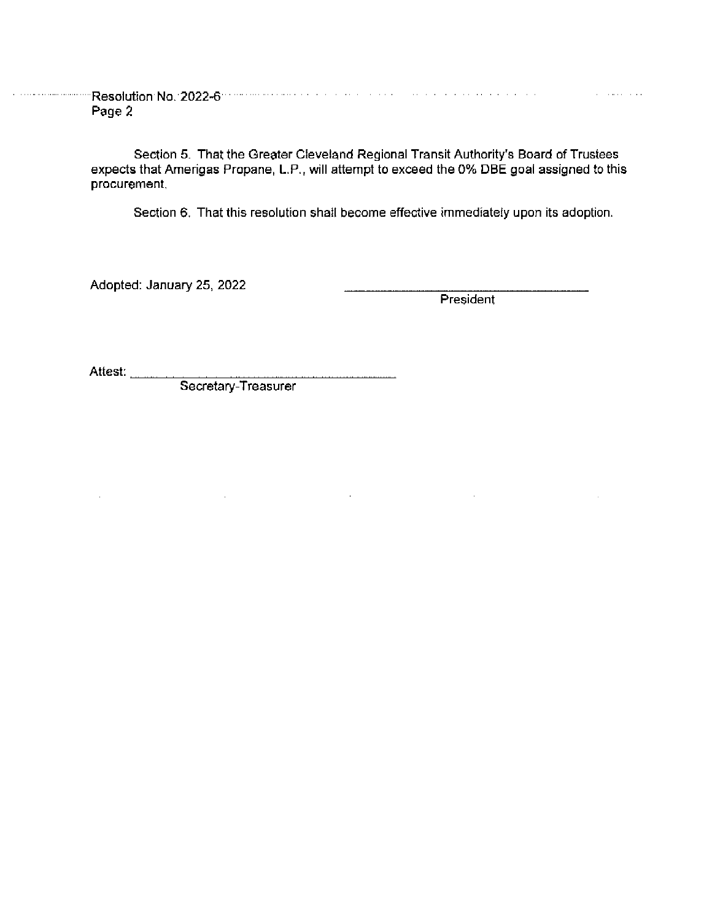**Manufacture Resolution No. 2022-6 Communication of the Communication of the Communication** Page 2

> Section 5. That the Greater Cleveland Regional Transit Authority's Board of Trustees expects that Amerigas Propane, L.P., will attempt to exceed the 0% DBE goal assigned to this procurement.

> > $\bar{z}$

Section 6. That this resolution shall become effective immediately upon its adoption.

Adopted: January 25, 2022

President

 $\sim$ 

 $\bar{z}$ 

Attest:

 $\mathcal{L}^{\mathcal{L}}$ 

Secretary-Treasurer

 $\sim 10^{-10}$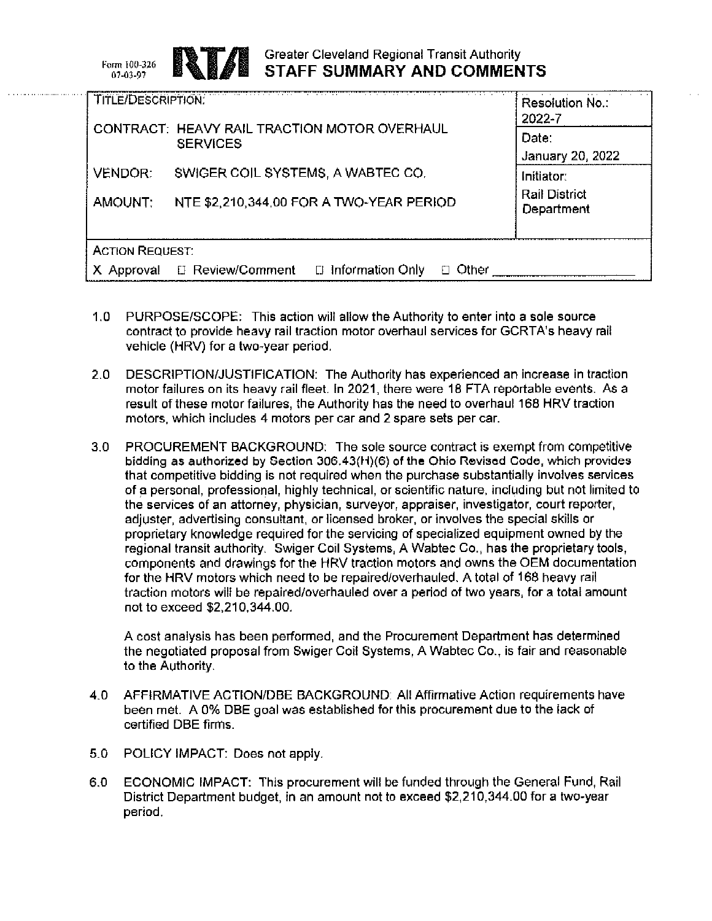Form 100-326 07-03-97

# **Greater Cleveland Regional Transit Authority** STAFF SUMMARY AND COMMENTS

| <b>TITLE/DESCRIPTION:</b>                                       | Resolution No.:<br>2022-7          |
|-----------------------------------------------------------------|------------------------------------|
| CONTRACT: HEAVY RAIL TRACTION MOTOR OVERHAUL<br><b>SERVICES</b> | Date:<br>January 20, 2022          |
| <b>VENDOR:</b><br>SWIGER COIL SYSTEMS, A WABTEC CO.             | Initiator:                         |
| AMOUNT:<br>NTE \$2,210,344.00 FOR A TWO-YEAR PERIOD             | <b>Rail District</b><br>Department |
| <b>ACTION REQUEST:</b>                                          |                                    |
| □ Information Only<br>□ Review/Comment<br>Other<br>Approval     |                                    |

- $1.0 -$ PURPOSE/SCOPE: This action will allow the Authority to enter into a sole source contract to provide heavy rail traction motor overhaul services for GCRTA's heavy rail vehicle (HRV) for a two-year period.
- DESCRIPTION/JUSTIFICATION: The Authority has experienced an increase in traction  $2.0<sub>1</sub>$ motor failures on its heavy rail fleet. In 2021, there were 18 FTA reportable events. As a result of these motor failures, the Authority has the need to overhaul 168 HRV traction motors, which includes 4 motors per car and 2 spare sets per car.
- $3.0<sub>1</sub>$ PROCUREMENT BACKGROUND: The sole source contract is exempt from competitive bidding as authorized by Section 306.43(H)(6) of the Ohio Revised Code, which provides that competitive bidding is not required when the purchase substantially involves services of a personal, professional, highly technical, or scientific nature, including but not limited to the services of an attorney, physician, surveyor, appraiser, investigator, court reporter, adjuster, advertising consultant, or licensed broker, or involves the special skills or proprietary knowledge required for the servicing of specialized equipment owned by the regional transit authority. Swiger Coil Systems, A Wabtec Co., has the proprietary tools, components and drawings for the HRV traction motors and owns the OEM documentation for the HRV motors which need to be repaired/overhauled. A total of 168 heavy rail traction motors will be repaired/overhauled over a period of two years, for a total amount not to exceed \$2,210,344.00.

A cost analysis has been performed, and the Procurement Department has determined the negotiated proposal from Swiger Coil Systems, A Wabtec Co., is fair and reasonable to the Authority.

- $4.0$ AFFIRMATIVE ACTION/DBE BACKGROUND: All Affirmative Action requirements have been met. A 0% DBE goal was established for this procurement due to the lack of certified DBE firms.
- 5.0 POLICY IMPACT: Does not apply.
- ECONOMIC IMPACT: This procurement will be funded through the General Fund, Rail  $6.0$ District Department budget, in an amount not to exceed \$2,210,344.00 for a two-year period.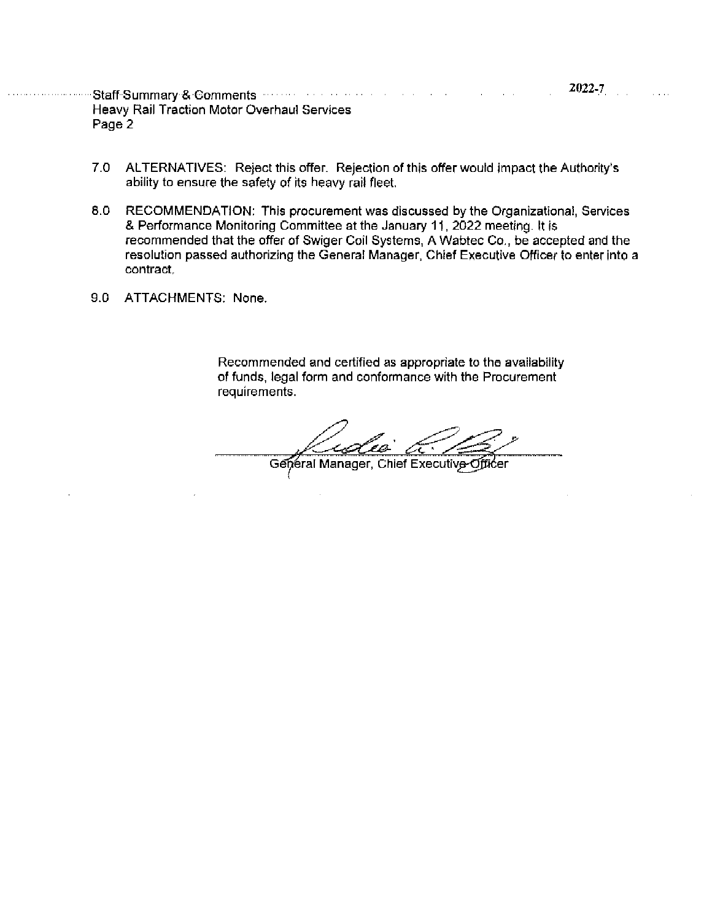Staff-Summary & Comments were assessed as a state of the state **Heavy Rail Traction Motor Overhaul Services** Page 2

- $7.0$ ALTERNATIVES: Reject this offer. Rejection of this offer would impact the Authority's ability to ensure the safety of its heavy rail fleet.
- 8.0 RECOMMENDATION: This procurement was discussed by the Organizational, Services & Performance Monitoring Committee at the January 11, 2022 meeting. It is recommended that the offer of Swiger Coil Systems, A Wabtec Co., be accepted and the resolution passed authorizing the General Manager, Chief Executive Officer to enter into a contract.
- 9.0 ATTACHMENTS: None.

Recommended and certified as appropriate to the availability of funds, legal form and conformance with the Procurement requirements.

General Manager, Chief Executive-Officer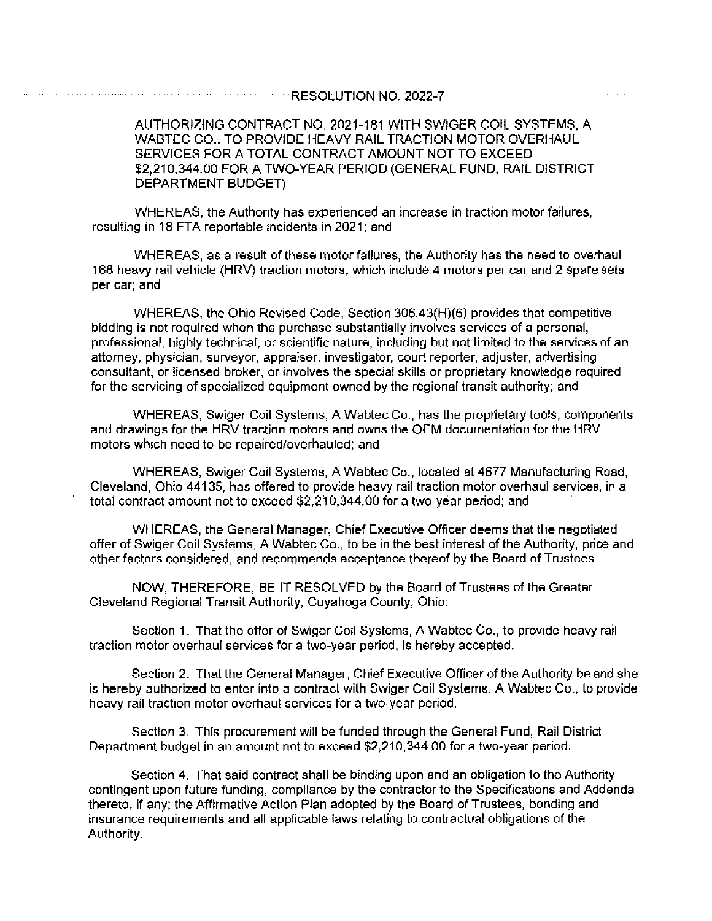and a series

AUTHORIZING CONTRACT NO. 2021-181 WITH SWIGER COIL SYSTEMS, A WABTEC CO., TO PROVIDE HEAVY RAIL TRACTION MOTOR OVERHAUL SERVICES FOR A TOTAL CONTRACT AMOUNT NOT TO EXCEED \$2,210,344.00 FOR A TWO-YEAR PERIOD (GENERAL FUND, RAIL DISTRICT DEPARTMENT BUDGET)

WHEREAS, the Authority has experienced an increase in traction motor failures, resulting in 18 FTA reportable incidents in 2021; and

WHEREAS, as a result of these motor failures, the Authority has the need to overhaul 168 heavy rail vehicle (HRV) traction motors, which include 4 motors per car and 2 spare sets per car; and

WHEREAS, the Ohio Revised Code, Section 306.43(H)(6) provides that competitive bidding is not required when the purchase substantially involves services of a personal, professional, highly technical, or scientific nature, including but not limited to the services of an attorney, physician, surveyor, appraiser, investigator, court reporter, adjuster, advertising consultant, or licensed broker, or involves the special skills or proprietary knowledge required for the servicing of specialized equipment owned by the regional transit authority; and

WHEREAS, Swiger Coil Systems, A Wabtec Co., has the proprietary tools, components and drawings for the HRV traction motors and owns the OEM documentation for the HRV motors which need to be repaired/overhauled; and

WHEREAS, Swiger Coil Systems, A Wabtec Co., located at 4677 Manufacturing Road, Cleveland, Ohio 44135, has offered to provide heavy rail traction motor overhaul services, in a total contract amount not to exceed \$2,210,344.00 for a two-year period; and

WHEREAS, the General Manager, Chief Executive Officer deems that the negotiated offer of Swiger Coil Systems, A Wabtec Co., to be in the best interest of the Authority, price and other factors considered, and recommends acceptance thereof by the Board of Trustees.

NOW, THEREFORE, BE IT RESOLVED by the Board of Trustees of the Greater Cleveland Regional Transit Authority, Cuyahoga County, Ohio:

Section 1. That the offer of Swiger Coil Systems, A Wabtec Co., to provide heavy rail traction motor overhaul services for a two-year period, is hereby accepted.

Section 2. That the General Manager, Chief Executive Officer of the Authority be and she is hereby authorized to enter into a contract with Swiger Coil Systems, A Wabtec Co., to provide heavy rail traction motor overhaul services for a two-year period.

Section 3. This procurement will be funded through the General Fund, Rail District Department budget in an amount not to exceed \$2,210,344.00 for a two-year period.

Section 4. That said contract shall be binding upon and an obligation to the Authority contingent upon future funding, compliance by the contractor to the Specifications and Addenda thereto, if any; the Affirmative Action Plan adopted by the Board of Trustees, bonding and insurance requirements and all applicable laws relating to contractual obligations of the Authority.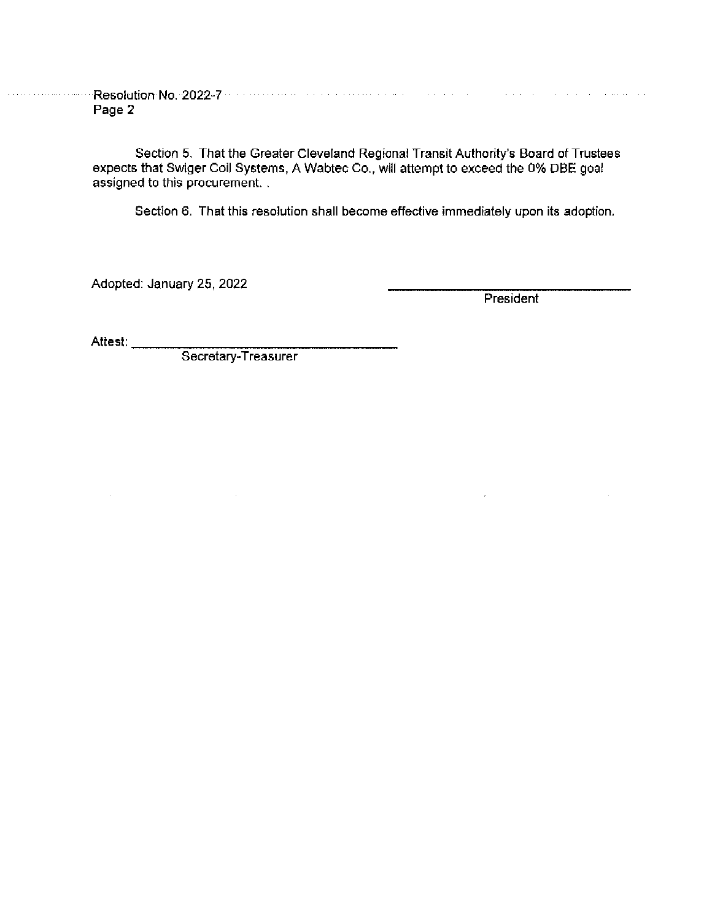**Constitution Resolution No. 2022-7** West Constitution and Constitution and Constitution and Constitution and Co Page 2

> Section 5. That the Greater Cleveland Regional Transit Authority's Board of Trustees<br>expects that Swiger Coil Systems, A Wabtec Co., will attempt to exceed the 0% DBE goal assigned to this procurement...

Section 6. That this resolution shall become effective immediately upon its adoption.

Adopted: January 25, 2022

President

 $\bar{\epsilon}$ 

Attest:

 $\mathcal{L}^{\text{max}}$ 

Secretary-Treasurer

 $\sim$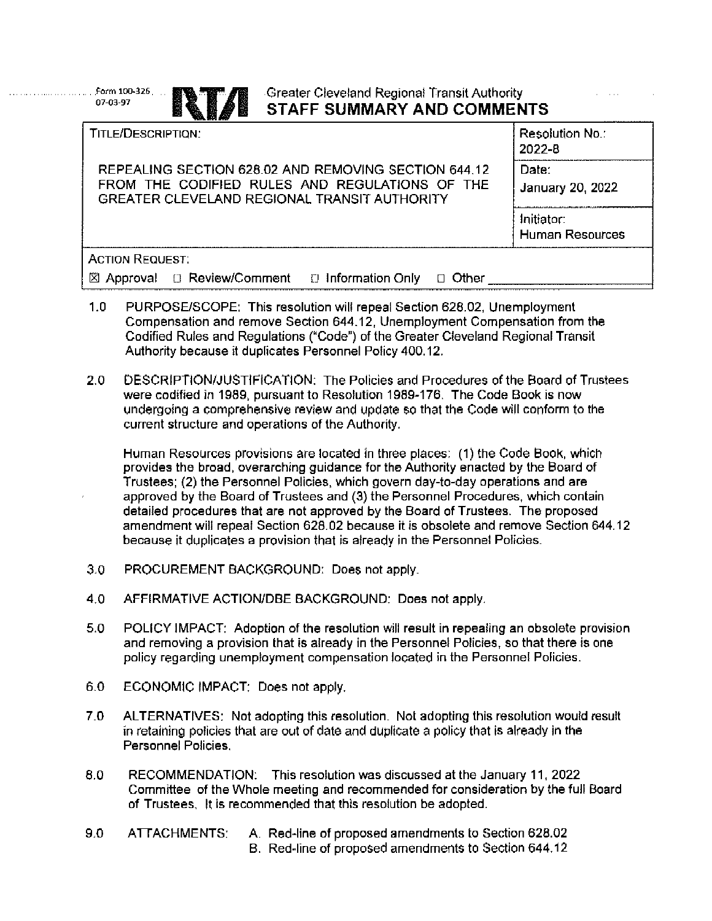## Greater Cleveland Regional Transit Authority **STAFF SUMMARY AND COMMENTS**

 $\cdots$ 

| TITLE/DESCRIPTION:                                            | <b>Resolution No.:</b><br>2022-8 |
|---------------------------------------------------------------|----------------------------------|
| REPEALING SECTION 628.02 AND REMOVING SECTION 644.12          | Date:                            |
| FROM THE CODIFIED RULES AND REGULATIONS OF THE                | January 20, 2022                 |
| GREATER CLEVELAND REGIONAL TRANSIT AUTHORITY                  |                                  |
|                                                               | Initiator:                       |
|                                                               | <b>Human Resources</b>           |
| <b>ACTION REQUEST:</b>                                        |                                  |
| □ Review/Comment □ Information Only<br>Approval<br>Other<br>図 |                                  |
|                                                               |                                  |

- $1.0$ PURPOSE/SCOPE: This resolution will repeal Section 628.02, Unemployment Compensation and remove Section 644.12, Unemployment Compensation from the Codified Rules and Regulations ("Code") of the Greater Cleveland Regional Transit Authority because it duplicates Personnel Policy 400.12.
- $2.0$ DESCRIPTION/JUSTIFICATION: The Policies and Procedures of the Board of Trustees were codified in 1989, pursuant to Resolution 1989-176. The Code Book is now undergoing a comprehensive review and update so that the Code will conform to the current structure and operations of the Authority.

Human Resources provisions are located in three places: (1) the Code Book, which provides the broad, overarching guidance for the Authority enacted by the Board of Trustees; (2) the Personnel Policies, which govern day-to-day operations and are approved by the Board of Trustees and (3) the Personnel Procedures, which contain detailed procedures that are not approved by the Board of Trustees. The proposed amendment will repeal Section 628.02 because it is obsolete and remove Section 644.12 because it duplicates a provision that is already in the Personnel Policies.

- $3.0$ PROCUREMENT BACKGROUND: Does not apply.
- AFFIRMATIVE ACTION/DBE BACKGROUND: Does not apply.  $4.0$
- 5.0 POLICY IMPACT: Adoption of the resolution will result in repealing an obsolete provision and removing a provision that is already in the Personnel Policies, so that there is one policy regarding unemployment compensation located in the Personnel Policies.
- 6.0 ECONOMIC IMPACT: Does not apply.

Form 100-326

07-03-97

- $7.0$ ALTERNATIVES: Not adopting this resolution. Not adopting this resolution would result in retaining policies that are out of date and duplicate a policy that is already in the Personnel Policies.
- 8.0 RECOMMENDATION: This resolution was discussed at the January 11, 2022 Committee of the Whole meeting and recommended for consideration by the full Board of Trustees. It is recommended that this resolution be adopted.
- 9.0 ATTACHMENTS: A. Red-line of proposed amendments to Section 628.02
	- B. Red-line of proposed amendments to Section 644.12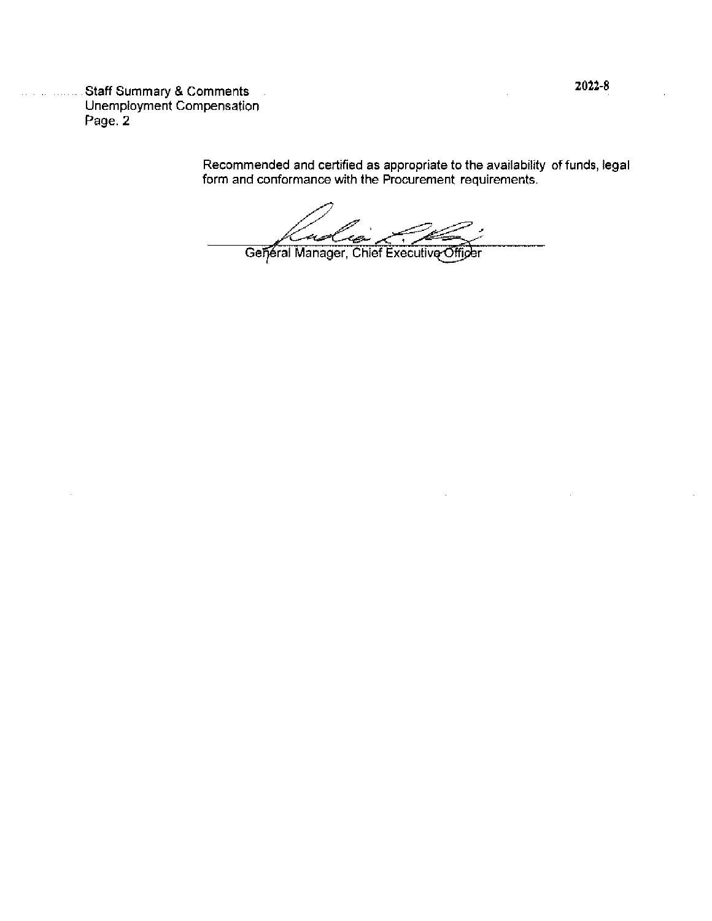................Staff Summary & Comments<br>Unemployment Compensation Page. 2

Recommended and certified as appropriate to the availability of funds, legal form and conformance with the Procurement requirements.

General Manager, Chief Executive Officer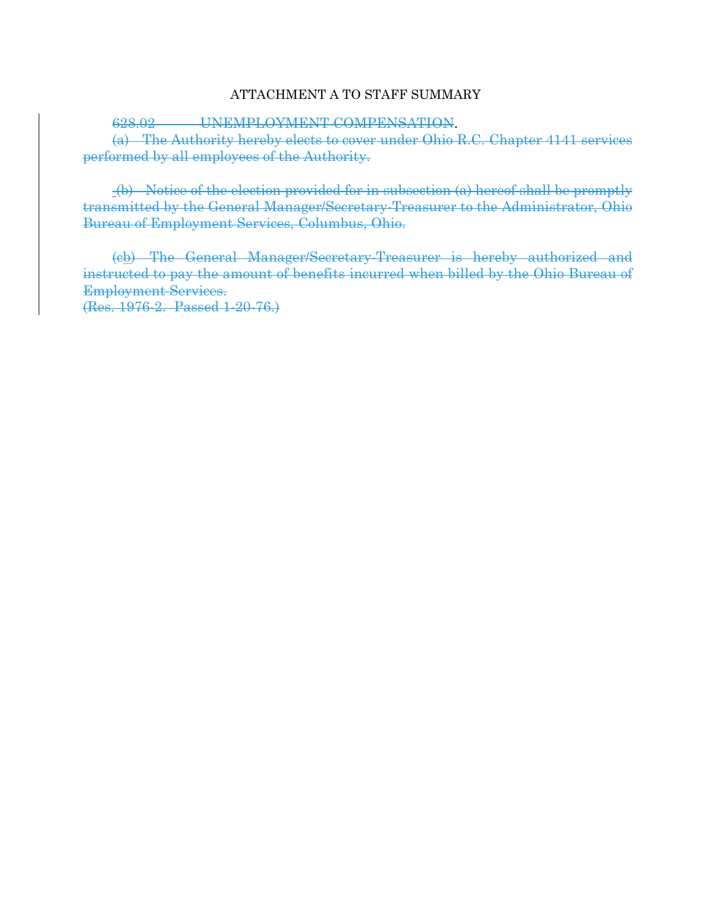## ATTACHMENT A TO STAFF SUMMARY

628.02 UNEMPLOYMENT COMPENSATION.

(a) The Authority hereby elects to cover under Ohio R.C. Chapter 4141 services performed by all employees of the Authority.

 (b) Notice of the election provided for in subsection (a) hereof shall be promptly transmitted by the General Manager/Secretary-Treasurer to the Administrator, Ohio Bureau of Employment Services, Columbus, Ohio.

(cb) The General Manager/Secretary-Treasurer is hereby authorized and instructed to pay the amount of benefits incurred when billed by the Ohio Bureau of Employment Services. (Res. 1976-2. Passed 1-20-76.)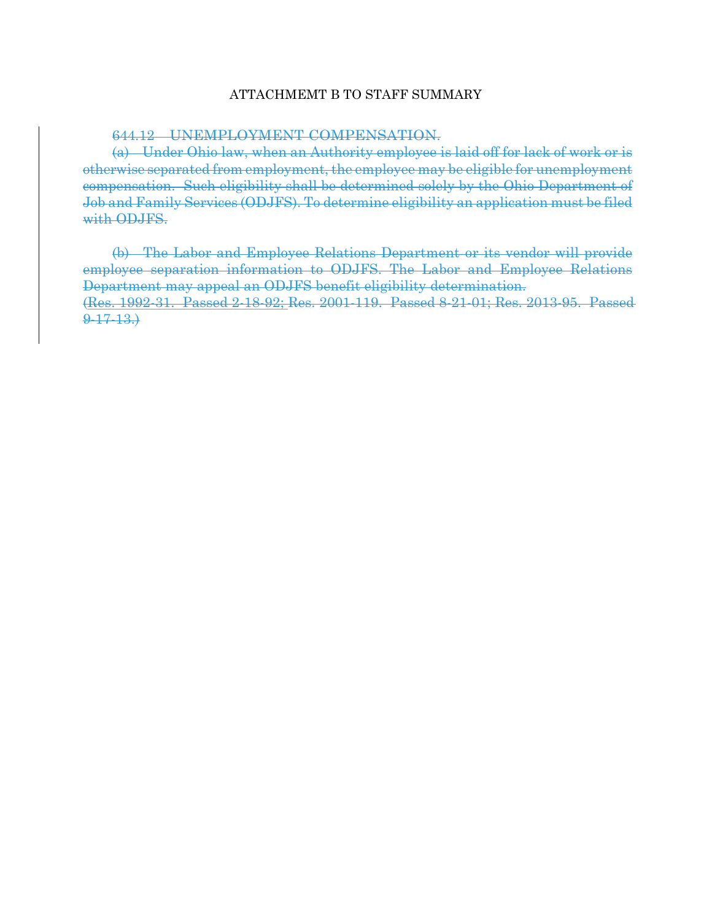## ATTACHMEMT B TO STAFF SUMMARY

## 644.12 UNEMPLOYMENT COMPENSATION.

(a) Under Ohio law, when an Authority employee is laid off for lack of work or is otherwise separated from employment, the employee may be eligible for unemployment compensation. Such eligibility shall be determined solely by the Ohio Department of Job and Family Services (ODJFS). To determine eligibility an application must be filed with ODJFS.

(b) The Labor and Employee Relations Department or its vendor will provide employee separation information to ODJFS. The Labor and Employee Relations Department may appeal an ODJFS benefit eligibility determination. (Res. 1992-31. Passed 2-18-92; Res. 2001-119. Passed 8-21-01; Res. 2013-95. Passed 9-17-13.)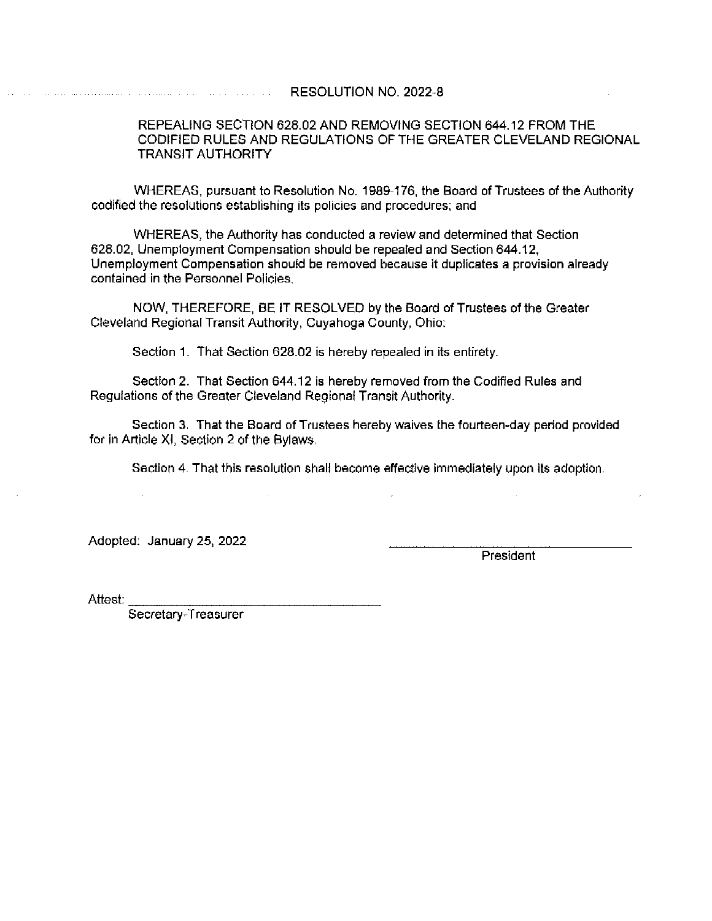**Experience of the contract of the RESOLUTION NO. 2022-8** 

## REPEALING SECTION 628.02 AND REMOVING SECTION 644.12 FROM THE CODIFIED RULES AND REGULATIONS OF THE GREATER CLEVELAND REGIONAL **TRANSIT AUTHORITY**

WHEREAS, pursuant to Resolution No. 1989-176, the Board of Trustees of the Authority codified the resolutions establishing its policies and procedures; and

WHEREAS, the Authority has conducted a review and determined that Section 628.02, Unemployment Compensation should be repealed and Section 644.12, Unemployment Compensation should be removed because it duplicates a provision already contained in the Personnel Policies.

NOW, THEREFORE, BE IT RESOLVED by the Board of Trustees of the Greater Cleveland Regional Transit Authority, Cuyahoga County, Ohio:

Section 1. That Section 628.02 is hereby repealed in its entirety.

Section 2. That Section 644.12 is hereby removed from the Codified Rules and Regulations of the Greater Cleveland Regional Transit Authority.

Section 3. That the Board of Trustees hereby waives the fourteen-day period provided for in Article XI, Section 2 of the Bylaws.

Section 4. That this resolution shall become effective immediately upon its adoption.

Adopted: January 25, 2022

President

Attest: .

Secretary-Treasurer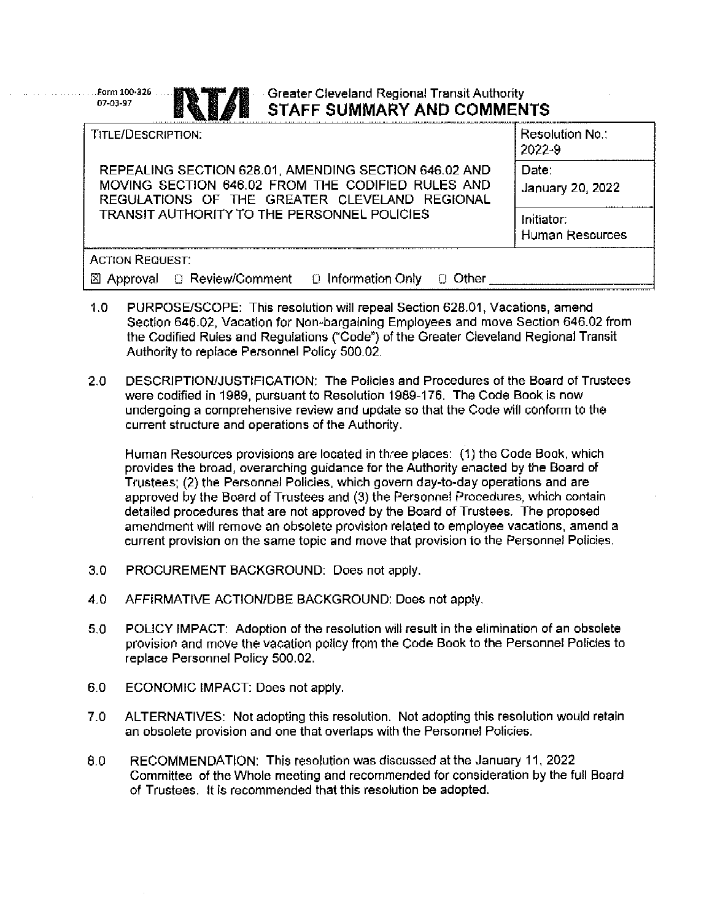## - Greater Cleveland Regional Transit Authority STAFF SUMMARY AND COMMENTS

| TITLE/DESCRIPTION:                                                                                                                                          | Resolution No.:<br>2022-9     |
|-------------------------------------------------------------------------------------------------------------------------------------------------------------|-------------------------------|
| REPEALING SECTION 628.01, AMENDING SECTION 646.02 AND<br>MOVING SECTION 646.02 FROM THE CODIFIED RULES AND<br>REGULATIONS OF THE GREATER CLEVELAND REGIONAL | Date:<br>January 20, 2022     |
| <b>TRANSIT AUTHORITY TO THE PERSONNEL POLICIES</b>                                                                                                          | Initiator:<br>Human Resources |
| <b>ACTION REQUEST:</b>                                                                                                                                      |                               |
| ○ Review/Comment ○ Information Only                                                                                                                         |                               |

- $1.0$ PURPOSE/SCOPE: This resolution will repeal Section 628.01, Vacations, amend Section 646.02, Vacation for Non-bargaining Employees and move Section 646.02 from the Codified Rules and Regulations ("Code") of the Greater Cleveland Regional Transit Authority to replace Personnel Policy 500.02.
- $2.0$ DESCRIPTION/JUSTIFICATION: The Policies and Procedures of the Board of Trustees were codified in 1989, pursuant to Resolution 1989-176. The Code Book is now undergoing a comprehensive review and update so that the Code will conform to the current structure and operations of the Authority.

Human Resources provisions are located in three places: (1) the Code Book, which provides the broad, overarching guidance for the Authority enacted by the Board of Trustees; (2) the Personnel Policies, which govern day-to-day operations and are approved by the Board of Trustees and (3) the Personnel Procedures, which contain detailed procedures that are not approved by the Board of Trustees. The proposed amendment will remove an obsolete provision related to employee vacations, amend a current provision on the same topic and move that provision to the Personnel Policies.

- $3.0$ PROCUREMENT BACKGROUND: Does not apply.
- 4.0 AFFIRMATIVE ACTION/DBE BACKGROUND: Does not apply.
- $5.0$ POLICY IMPACT: Adoption of the resolution will result in the elimination of an obsolete provision and move the vacation policy from the Code Book to the Personnel Policies to replace Personnel Policy 500.02.
- 6.0 ECONOMIC IMPACT: Does not apply.

Form 100-326

07-03-97

- ALTERNATIVES: Not adopting this resolution. Not adopting this resolution would retain  $7.0$ an obsolete provision and one that overlaps with the Personne! Policies.
- 8.0 RECOMMENDATION: This resolution was discussed at the January 11, 2022 Committee of the Whole meeting and recommended for consideration by the full Board of Trustees. It is recommended that this resolution be adopted.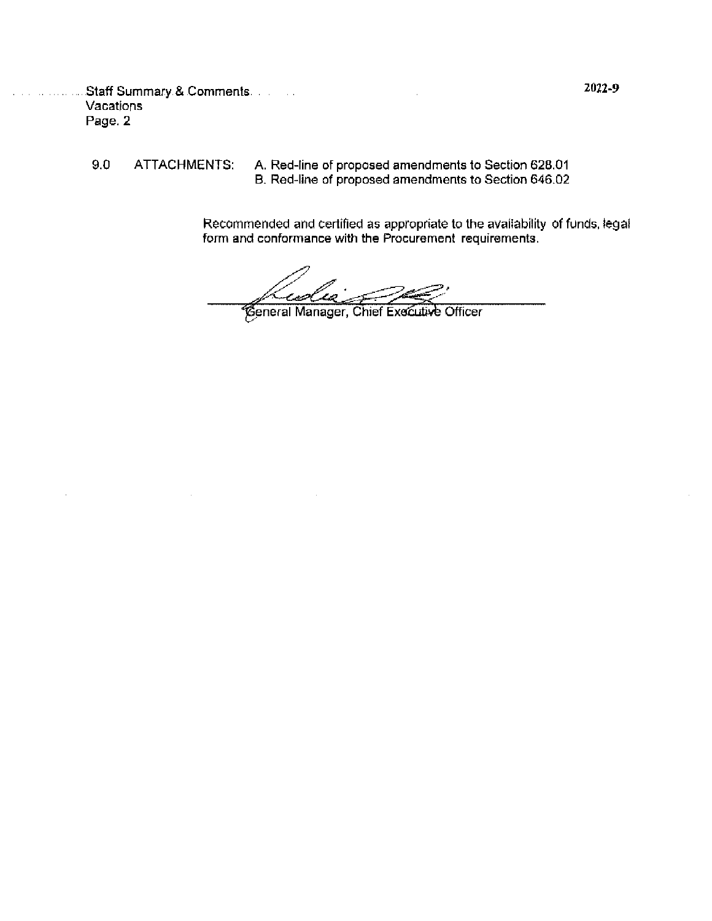Staff Summary & Comments Vacations Page. 2

 $9,0$ ATTACHMENTS:

and a straight and

 $\lambda$ 

A. Red-line of proposed amendments to Section 628.01<br>B. Red-line of proposed amendments to Section 646.02

Recommended and certified as appropriate to the availability of funds, legal form and conformance with the Procurement requirements.

est Ceneral Manager, Chief Executive Officer

2022-9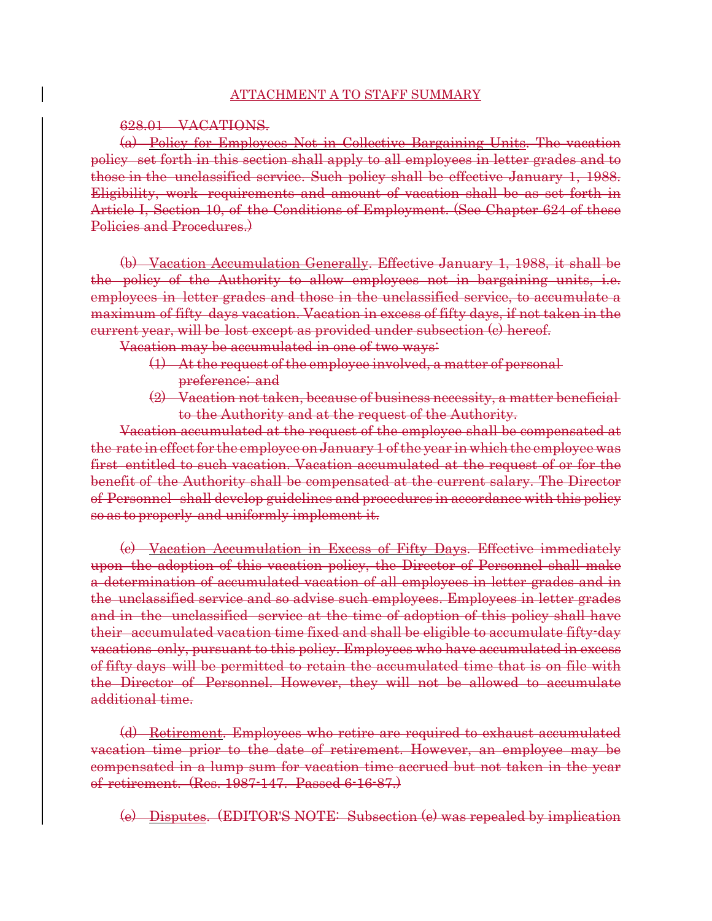### ATTACHMENT A TO STAFF SUMMARY

### 628.01 VACATIONS.

(a) Policy for Employees Not in Collective Bargaining Units. The vacation policy set forth in this section shall apply to all employees in letter grades and to those in the unclassified service. Such policy shall be effective January 1, 1988. Eligibility, work requirements and amount of vacation shall be as set forth in Article I, Section 10, of the Conditions of Employment. (See Chapter 624 of these Policies and Procedures.

(b) Vacation Accumulation Generally. Effective January 1, 1988, it shall be the policy of the Authority to allow employees not in bargaining units, i.e. employees in letter grades and those in the unclassified service, to accumulate a maximum of fifty days vacation. Vacation in excess of fifty days, if not taken in the current year, will be lost except as provided under subsection (c) hereof.

Vacation may be accumulated in one of two ways:

- (1) At the request of the employee involved, a matter of personal preference; and
- (2) Vacation not taken, because of business necessity, a matter beneficial to the Authority and at the request of the Authority.

Vacation accumulated at the request of the employee shall be compensated at the rate in effect for the employee on January 1 of the year in which the employee was first entitled to such vacation. Vacation accumulated at the request of or for the benefit of the Authority shall be compensated at the current salary. The Director of Personnel shall develop guidelines and procedures in accordance with this policy so as to properly and uniformly implement it.

(c) Vacation Accumulation in Excess of Fifty Days. Effective immediately upon the adoption of this vacation policy, the Director of Personnel shall make a determination of accumulated vacation of all employees in letter grades and in the unclassified service and so advise such employees. Employees in letter grades and in the unclassified service at the time of adoption of this policy shall have their accumulated vacation time fixed and shall be eligible to accumulate fifty-day vacations only, pursuant to this policy. Employees who have accumulated in excess of fifty days will be permitted to retain the accumulated time that is on file with the Director of Personnel. However, they will not be allowed to accumulate additional time.

(d) Retirement. Employees who retire are required to exhaust accumulated vacation time prior to the date of retirement. However, an employee may be compensated in a lump sum for vacation time accrued but not taken in the year of retirement. (Res. 1987-147. Passed 6-16-87.)

(e) Disputes. (EDITOR'S NOTE: Subsection (e) was repealed by implication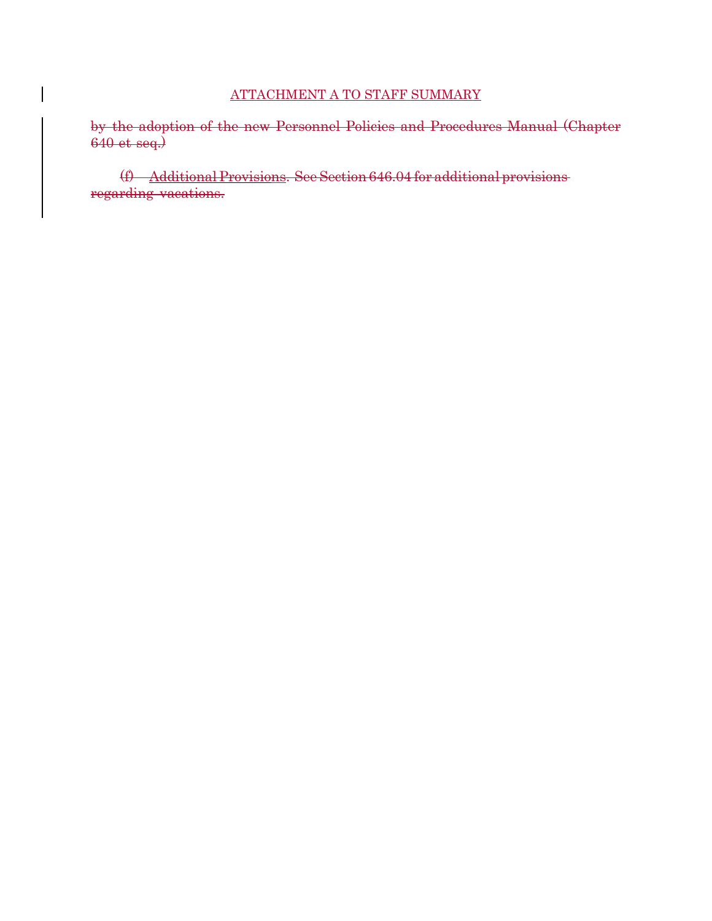## ATTACHMENT A TO STAFF SUMMARY

by the adoption of the new Personnel Policies and Procedures Manual (Chapter 640 et seq.)

(f) Additional Provisions. See Section 646.04 for additional provisions regarding vacations.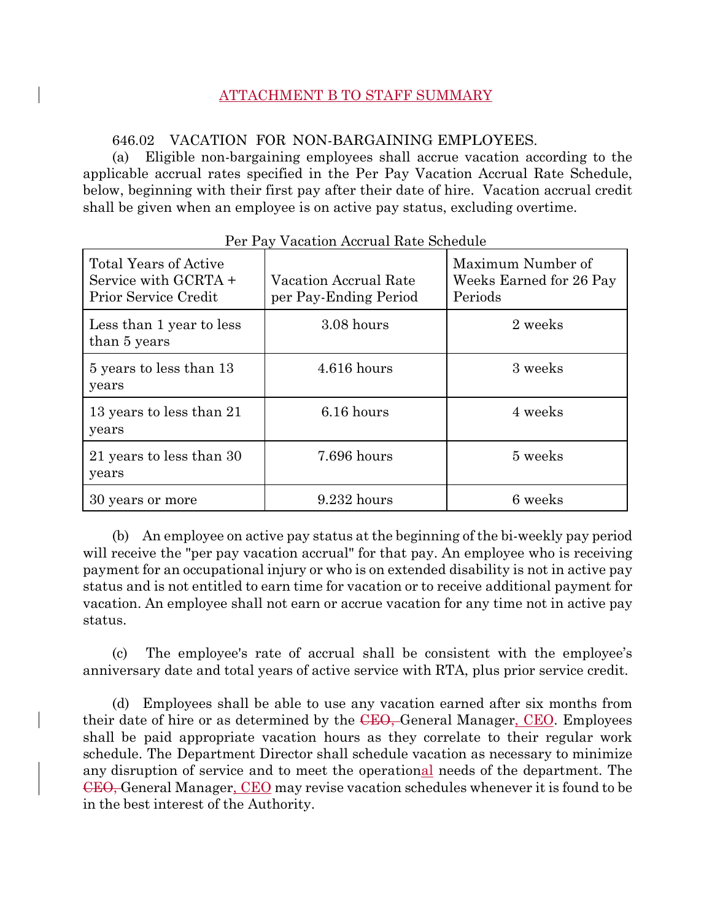## ATTACHMENT B TO STAFF SUMMARY

## 646.02 VACATION FOR NON-BARGAINING EMPLOYEES.

(a) Eligible non-bargaining employees shall accrue vacation according to the applicable accrual rates specified in the Per Pay Vacation Accrual Rate Schedule, below, beginning with their first pay after their date of hire. Vacation accrual credit shall be given when an employee is on active pay status, excluding overtime.

| <b>Total Years of Active</b><br>Service with GCRTA +<br>Prior Service Credit | Vacation Accrual Rate<br>per Pay-Ending Period | Maximum Number of<br>Weeks Earned for 26 Pay<br>Periods |
|------------------------------------------------------------------------------|------------------------------------------------|---------------------------------------------------------|
| Less than 1 year to less<br>than 5 years                                     | 3.08 hours                                     | 2 weeks                                                 |
| 5 years to less than 13<br>years                                             | $4.616$ hours                                  | 3 weeks                                                 |
| 13 years to less than 21<br>years                                            | 6.16 hours                                     | 4 weeks                                                 |
| 21 years to less than 30<br>years                                            | 7.696 hours                                    | 5 weeks                                                 |
| 30 years or more                                                             | $9.232$ hours                                  | 6 weeks                                                 |

### Per Pay Vacation Accrual Rate Schedule

(b) An employee on active pay status at the beginning of the bi-weekly pay period will receive the "per pay vacation accrual" for that pay. An employee who is receiving payment for an occupational injury or who is on extended disability is not in active pay status and is not entitled to earn time for vacation or to receive additional payment for vacation. An employee shall not earn or accrue vacation for any time not in active pay status.

(c) The employee's rate of accrual shall be consistent with the employee's anniversary date and total years of active service with RTA, plus prior service credit.

(d) Employees shall be able to use any vacation earned after six months from their date of hire or as determined by the CEO, General Manager, CEO. Employees shall be paid appropriate vacation hours as they correlate to their regular work schedule. The Department Director shall schedule vacation as necessary to minimize any disruption of service and to meet the operational needs of the department. The CEO, General Manager, CEO may revise vacation schedules whenever it is found to be in the best interest of the Authority.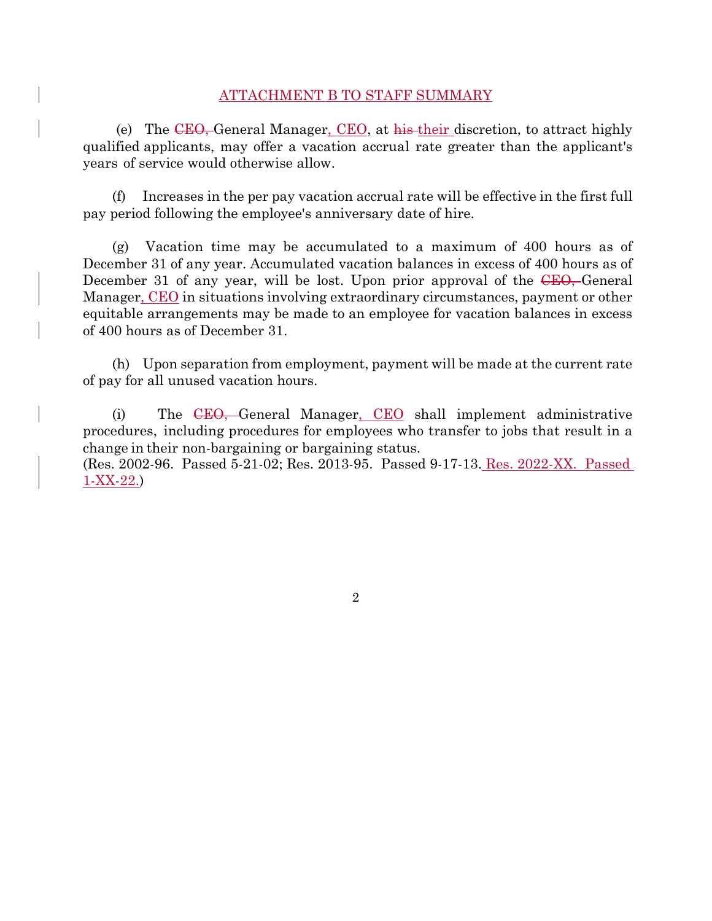### ATTACHMENT B TO STAFF SUMMARY

 (e) The CEO, General Manager, CEO, at his their discretion, to attract highly qualified applicants, may offer a vacation accrual rate greater than the applicant's years of service would otherwise allow.

(f) Increases in the per pay vacation accrual rate will be effective in the first full pay period following the employee's anniversary date of hire.

(g) Vacation time may be accumulated to a maximum of 400 hours as of December 31 of any year. Accumulated vacation balances in excess of 400 hours as of December 31 of any year, will be lost. Upon prior approval of the CEO, General Manager, CEO in situations involving extraordinary circumstances, payment or other equitable arrangements may be made to an employee for vacation balances in excess of 400 hours as of December 31.

(h) Upon separation from employment, payment will be made at the current rate of pay for all unused vacation hours.

(i) The CEO, General Manager, CEO shall implement administrative procedures, including procedures for employees who transfer to jobs that result in a change in their non-bargaining or bargaining status.

(Res. 2002-96. Passed 5-21-02; Res. 2013-95. Passed 9-17-13. Res. 2022-XX. Passed 1-XX-22.)

2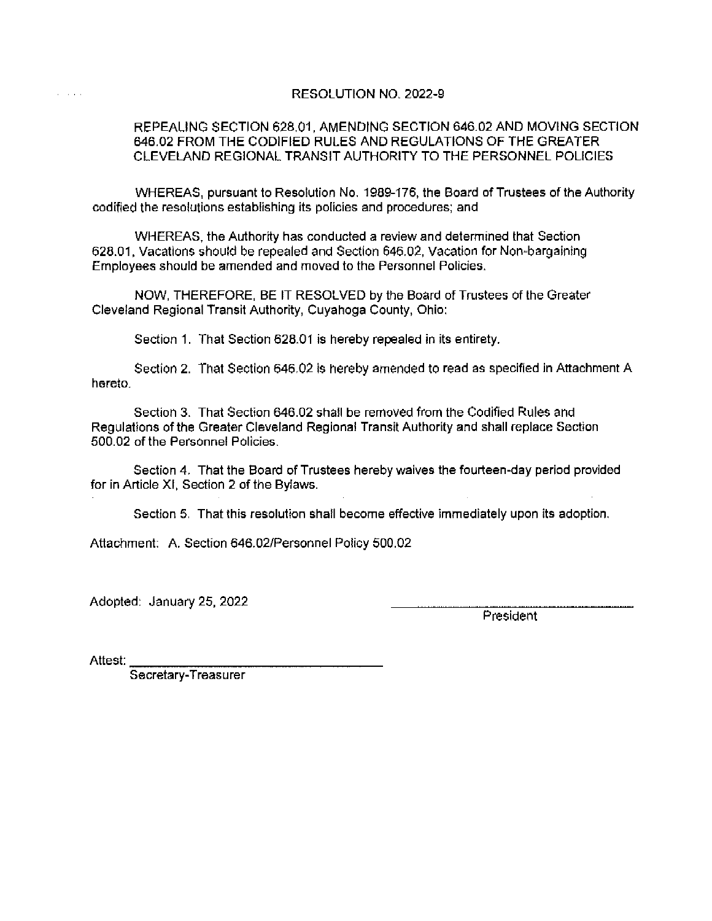## RESOLUTION NO. 2022-9

## REPEALING SECTION 628.01, AMENDING SECTION 646.02 AND MOVING SECTION 646.02 FROM THE CODIFIED RULES AND REGULATIONS OF THE GREATER CLEVELAND REGIONAL TRANSIT AUTHORITY TO THE PERSONNEL POLICIES

WHEREAS, pursuant to Resolution No. 1989-176, the Board of Trustees of the Authority codified the resolutions establishing its policies and procedures; and

WHEREAS, the Authority has conducted a review and determined that Section 628.01. Vacations should be repealed and Section 646.02. Vacation for Non-bargaining Employees should be amended and moved to the Personnel Policies.

NOW, THEREFORE, BE IT RESOLVED by the Board of Trustees of the Greater Cleveland Regional Transit Authority, Cuvahoga County, Ohio:

Section 1. That Section 628.01 is hereby repealed in its entirety.

Section 2. That Section 646.02 is hereby amended to read as specified in Attachment A hereto.

Section 3. That Section 646.02 shall be removed from the Codified Rules and Regulations of the Greater Cleveland Regional Transit Authority and shall replace Section 500.02 of the Personnel Policies.

Section 4. That the Board of Trustees hereby waives the fourteen-day period provided for in Article XI, Section 2 of the Bylaws.

Section 5. That this resolution shall become effective immediately upon its adoption.

Attachment: A. Section 646.02/Personnel Policy 500.02

Adopted: January 25, 2022

President

Attest:

and a series

Secretary-Treasurer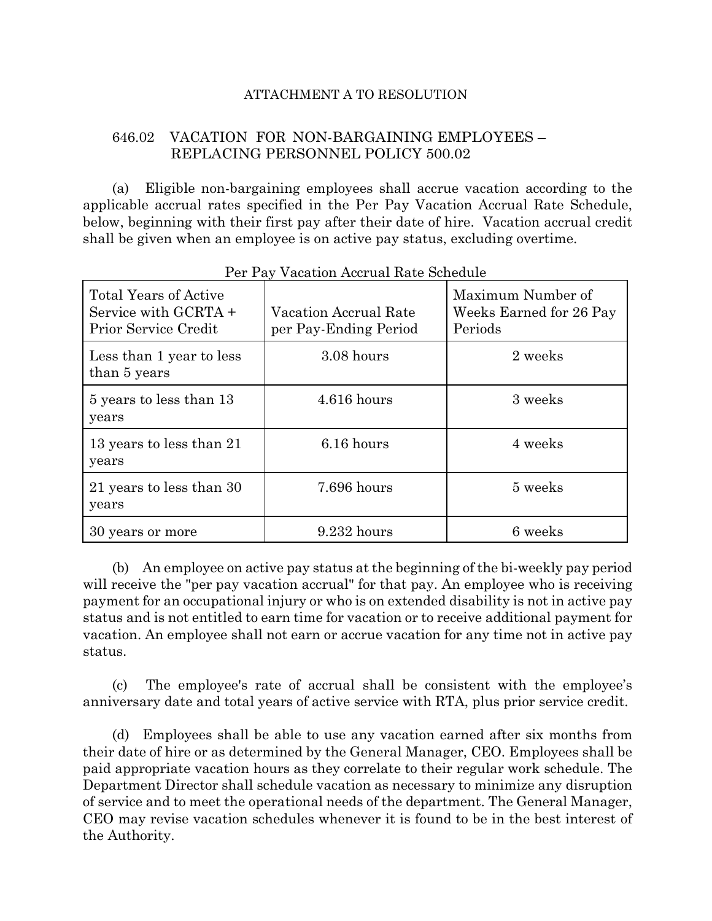### ATTACHMENT A TO RESOLUTION

## 646.02 VACATION FOR NON-BARGAINING EMPLOYEES – REPLACING PERSONNEL POLICY 500.02

(a) Eligible non-bargaining employees shall accrue vacation according to the applicable accrual rates specified in the Per Pay Vacation Accrual Rate Schedule, below, beginning with their first pay after their date of hire. Vacation accrual credit shall be given when an employee is on active pay status, excluding overtime.

| <b>Total Years of Active</b><br>Service with GCRTA +<br>Prior Service Credit | Vacation Accrual Rate<br>per Pay-Ending Period | Maximum Number of<br>Weeks Earned for 26 Pay<br>Periods |
|------------------------------------------------------------------------------|------------------------------------------------|---------------------------------------------------------|
| Less than 1 year to less<br>than 5 years                                     | 3.08 hours                                     | 2 weeks                                                 |
| 5 years to less than 13<br>years                                             | $4.616$ hours                                  | 3 weeks                                                 |
| 13 years to less than 21<br>years                                            | 6.16 hours                                     | 4 weeks                                                 |
| 21 years to less than 30<br>years                                            | 7.696 hours                                    | 5 weeks                                                 |
| 30 years or more                                                             | $9.232$ hours                                  | 6 weeks                                                 |

Per Pay Vacation Accrual Rate Schedule

(b) An employee on active pay status at the beginning of the bi-weekly pay period will receive the "per pay vacation accrual" for that pay. An employee who is receiving payment for an occupational injury or who is on extended disability is not in active pay status and is not entitled to earn time for vacation or to receive additional payment for vacation. An employee shall not earn or accrue vacation for any time not in active pay status.

(c) The employee's rate of accrual shall be consistent with the employee's anniversary date and total years of active service with RTA, plus prior service credit.

(d) Employees shall be able to use any vacation earned after six months from their date of hire or as determined by the General Manager, CEO. Employees shall be paid appropriate vacation hours as they correlate to their regular work schedule. The Department Director shall schedule vacation as necessary to minimize any disruption of service and to meet the operational needs of the department. The General Manager, CEO may revise vacation schedules whenever it is found to be in the best interest of the Authority.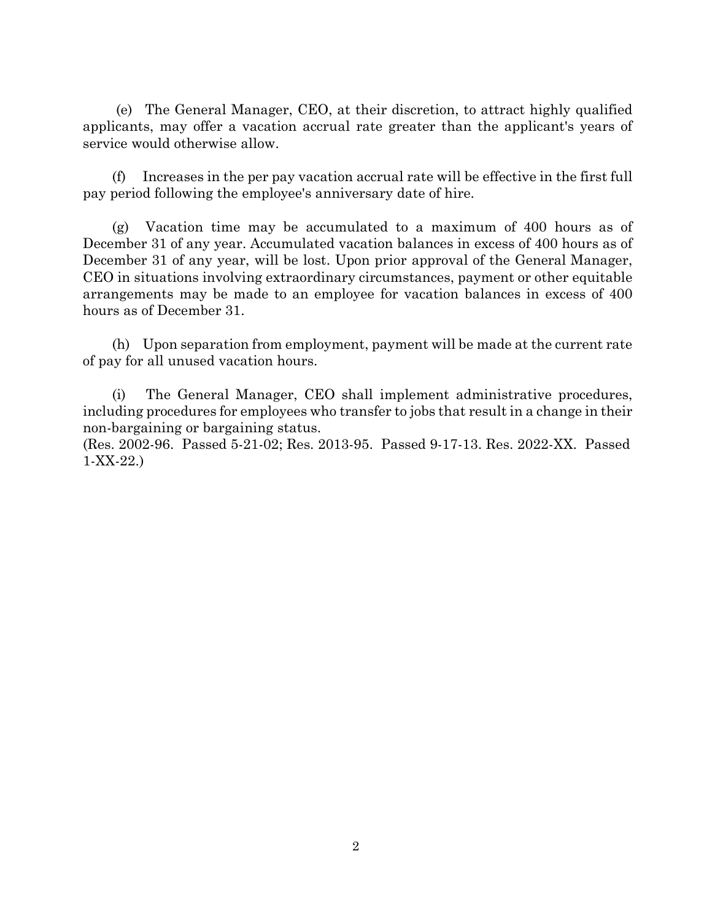(e) The General Manager, CEO, at their discretion, to attract highly qualified applicants, may offer a vacation accrual rate greater than the applicant's years of service would otherwise allow.

(f) Increases in the per pay vacation accrual rate will be effective in the first full pay period following the employee's anniversary date of hire.

(g) Vacation time may be accumulated to a maximum of 400 hours as of December 31 of any year. Accumulated vacation balances in excess of 400 hours as of December 31 of any year, will be lost. Upon prior approval of the General Manager, CEO in situations involving extraordinary circumstances, payment or other equitable arrangements may be made to an employee for vacation balances in excess of 400 hours as of December 31.

(h) Upon separation from employment, payment will be made at the current rate of pay for all unused vacation hours.

(i) The General Manager, CEO shall implement administrative procedures, including procedures for employees who transfer to jobs that result in a change in their non-bargaining or bargaining status.

(Res. 2002-96. Passed 5-21-02; Res. 2013-95. Passed 9-17-13. Res. 2022-XX. Passed 1-XX-22.)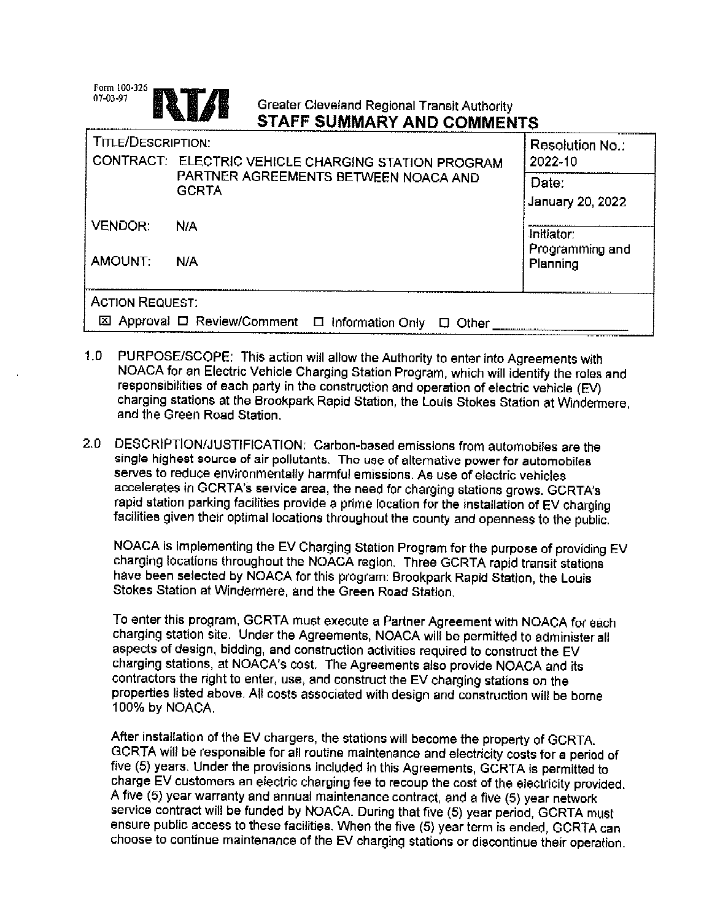| Form 100-326<br>07-03-97<br>E                        | Greater Cleveland Regional Transit Authority<br>STAFF SUMMARY AND COMMENTS |                               |
|------------------------------------------------------|----------------------------------------------------------------------------|-------------------------------|
| TITLE/DESCRIPTION:                                   |                                                                            | Resolution No.:               |
|                                                      | CONTRACT: ELECTRIC VEHICLE CHARGING STATION PROGRAM                        | 2022-10                       |
| PARTNER AGREEMENTS BETWEEN NOACA AND<br><b>GCRTA</b> |                                                                            | Date:<br>January 20, 2022     |
| <b>VENDOR:</b>                                       | N/A                                                                        | Initiator:<br>Programming and |
| AMOUNT:                                              | N/A                                                                        | Planning                      |
| <b>ACTION REQUEST:</b>                               |                                                                            |                               |
|                                                      | 図 Approval ロ Review/Comment ロ Information Only<br>Other                    |                               |

- $1.0$ PURPOSE/SCOPE: This action will allow the Authority to enter into Agreements with NOACA for an Electric Vehicle Charging Station Program, which will identify the roles and responsibilities of each party in the construction and operation of electric vehicle (EV) charging stations at the Brookpark Rapid Station, the Louis Stokes Station at Windermere. and the Green Road Station.
- $2.0 -$ DESCRIPTION/JUSTIFICATION: Carbon-based emissions from automobiles are the single highest source of air pollutants. The use of alternative power for automobiles serves to reduce environmentally harmful emissions. As use of electric vehicles accelerates in GCRTA's service area, the need for charging stations grows. GCRTA's rapid station parking facilities provide a prime location for the installation of EV charging facilities given their optimal locations throughout the county and openness to the public.

NOACA is implementing the EV Charging Station Program for the purpose of providing EV charging locations throughout the NOACA region. Three GCRTA rapid transit stations have been selected by NOACA for this program. Brookpark Rapid Station, the Louis Stokes Station at Windermere, and the Green Road Station.

To enter this program, GCRTA must execute a Partner Agreement with NOACA for each charging station site. Under the Agreements, NOACA will be permitted to administer all aspects of design, bidding, and construction activities required to construct the EV charging stations, at NOACA's cost. The Agreements also provide NOACA and its contractors the right to enter, use, and construct the EV charging stations on the properties listed above. All costs associated with design and construction will be borne 100% by NOACA.

After installation of the EV chargers, the stations will become the property of GCRTA. GCRTA will be responsible for all routine maintenance and electricity costs for a period of five (5) years. Under the provisions included in this Agreements, GCRTA is permitted to charge EV customers an electric charging fee to recoup the cost of the electricity provided. A five (5) year warranty and annual maintenance contract, and a five (5) year network service contract will be funded by NOACA. During that five (5) year period, GCRTA must ensure public access to these facilities. When the five (5) year term is ended, GCRTA can choose to continue maintenance of the EV charging stations or discontinue their operation.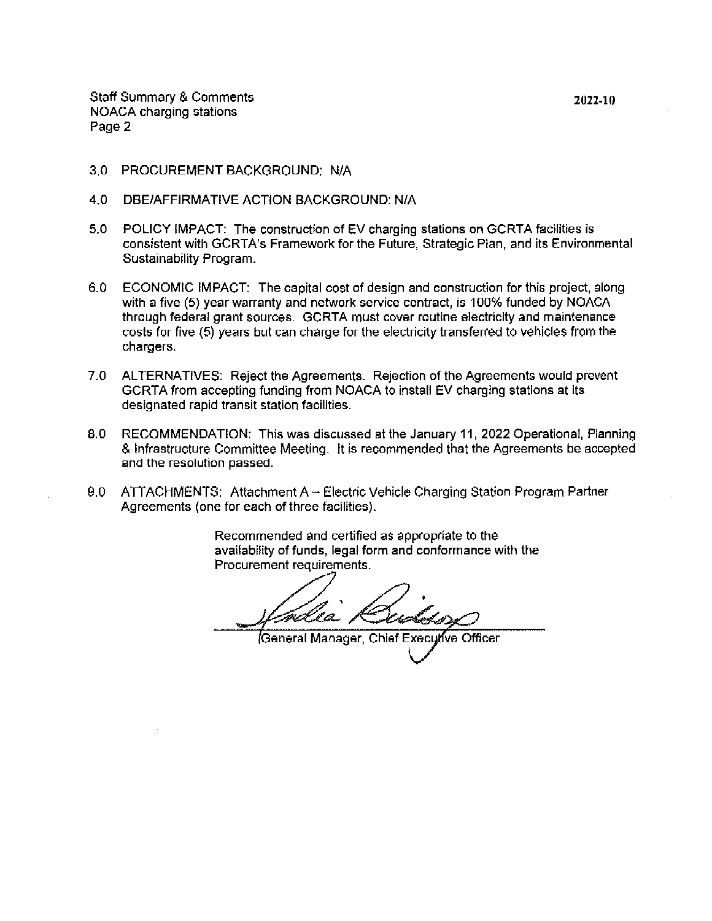**Staff Summary & Comments** NOACA charging stations Page 2

- 3.0 PROCUREMENT BACKGROUND: N/A
- $4.0$ DBE/AFFIRMATIVE ACTION BACKGROUND: N/A
- 5.0 POLICY IMPACT: The construction of EV charging stations on GCRTA facilities is consistent with GCRTA's Framework for the Future, Strategic Plan, and its Environmental Sustainability Program.
- 6.0 ECONOMIC IMPACT: The capital cost of design and construction for this project, along with a five (5) year warranty and network service contract, is 100% funded by NOACA through federal grant sources. GCRTA must cover routine electricity and maintenance costs for five (5) years but can charge for the electricity transferred to vehicles from the chargers.
- ALTERNATIVES: Reject the Agreements. Rejection of the Agreements would prevent  $7.0$ GCRTA from accepting funding from NOACA to install EV charging stations at its designated rapid transit station facilities.
- 8.0 RECOMMENDATION: This was discussed at the January 11, 2022 Operational, Planning & Infrastructure Committee Meeting. It is recommended that the Agreements be accepted and the resolution passed.
- 9.0 ATTACHMENTS: Attachment A - Electric Vehicle Charging Station Program Partner Agreements (one for each of three facilities).

Recommended and certified as appropriate to the availability of funds, legal form and conformance with the Procurement requirements.

General Manager, Chief Executive Officer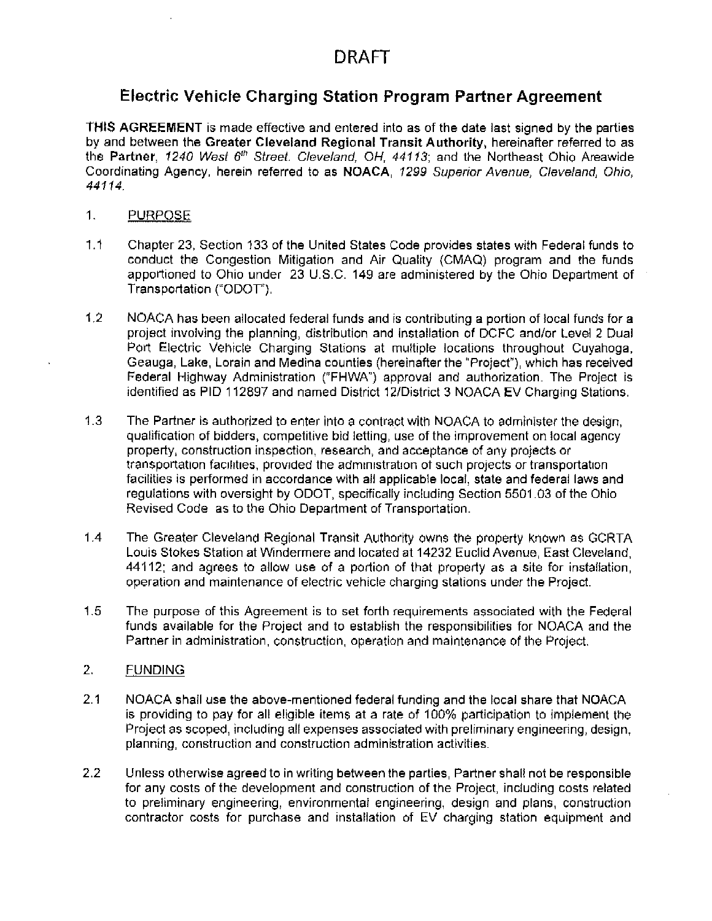## Electric Vehicle Charging Station Program Partner Agreement

THIS AGREEMENT is made effective and entered into as of the date last signed by the parties by and between the Greater Cleveland Regional Transit Authority, hereinafter referred to as the Partner, 1240 West 6th Street. Cleveland, OH, 44113; and the Northeast Ohio Areawide Coordinating Agency, herein referred to as NOACA, 1299 Superior Avenue, Cleveland, Ohio, 44114.

- 1. **PURPOSE**
- $1.1$ Chapter 23, Section 133 of the United States Code provides states with Federal funds to conduct the Congestion Mitigation and Air Quality (CMAQ) program and the funds apportioned to Ohio under 23 U.S.C. 149 are administered by the Ohio Department of Transportation ("ODOT").
- $1,2$ NOACA has been allocated federal funds and is contributing a portion of local funds for a project involving the planning, distribution and installation of DCFC and/or Level 2 Dual Port Electric Vehicle Charging Stations at multiple locations throughout Cuyahoga, Geauga, Lake, Lorain and Medina counties (hereinafter the "Project"), which has received Federal Highway Administration ("FHWA") approval and authorization. The Project is identified as PID 112897 and named District 12/District 3 NOACA EV Charging Stations.
- $1.3$ The Partner is authorized to enter into a contract with NOACA to administer the design, qualification of bidders, competitive bid letting, use of the improvement on local agency property, construction inspection, research, and acceptance of any projects or transportation facilities, provided the administration of such projects or transportation facilities is performed in accordance with all applicable local, state and federal laws and regulations with oversight by ODOT, specifically including Section 5501.03 of the Ohio Revised Code as to the Ohio Department of Transportation.
- $1.4$ The Greater Cleveland Regional Transit Authority owns the property known as GCRTA Louis Stokes Station at Windermere and located at 14232 Euclid Avenue, East Cleveland, 44112; and agrees to allow use of a portion of that property as a site for installation. operation and maintenance of electric vehicle charging stations under the Project.
- $1.5$ The purpose of this Agreement is to set forth requirements associated with the Federal funds available for the Project and to establish the responsibilities for NOACA and the Partner in administration, construction, operation and maintenance of the Project,
- 2. **FUNDING**
- $2.1$ NOACA shall use the above-mentioned federal funding and the local share that NOACA is providing to pay for all eligible items at a rate of 100% participation to implement the Project as scoped, including all expenses associated with preliminary engineering, design, planning, construction and construction administration activities.
- $2.2$ Unless otherwise agreed to in writing between the parties. Partner shall not be responsible for any costs of the development and construction of the Project, including costs related to preliminary engineering, environmental engineering, design and plans, construction contractor costs for purchase and installation of EV charging station equipment and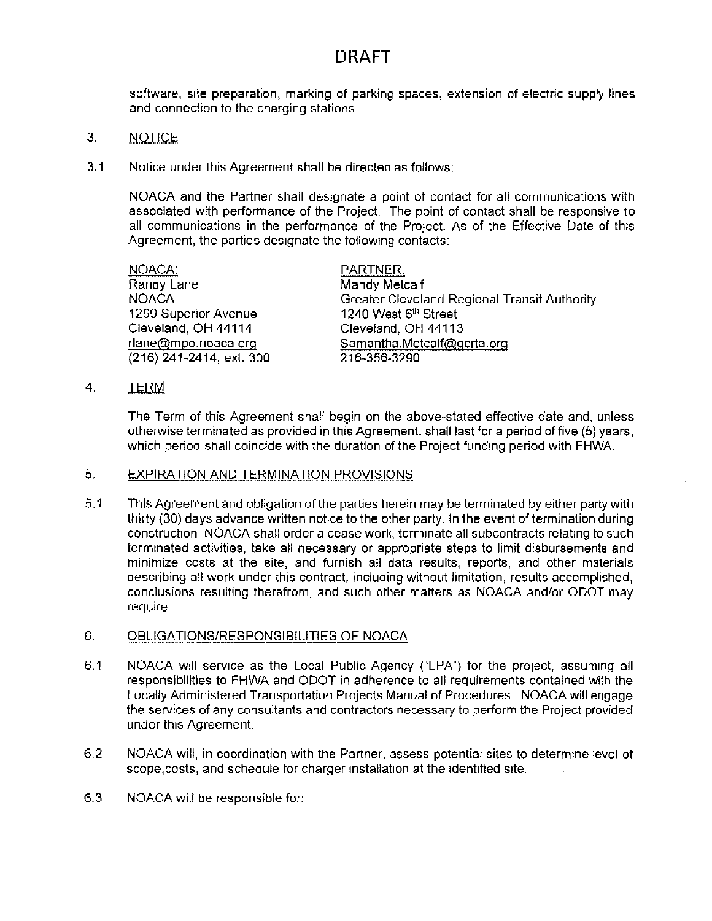software, site preparation, marking of parking spaces, extension of electric supply lines and connection to the charging stations.

- 3. **NOTICE**
- $3.1$ Notice under this Agreement shall be directed as follows:

NOACA and the Partner shall designate a point of contact for all communications with associated with performance of the Project. The point of contact shall be responsive to all communications in the performance of the Project. As of the Effective Date of this Agreement, the parties designate the following contacts:

| NOACA:                   | PARTNER:                                     |
|--------------------------|----------------------------------------------|
| Randy Lane               | Mandy Metcalf                                |
| <b>NOACA</b>             | Greater Cleveland Regional Transit Authority |
| 1299 Superior Avenue     | 1240 West 6th Street                         |
| Cleveland, OH 44114      | Cleveland, OH 44113                          |
| rlane@mpo.noaca.org      | Samantha.Metcalf@gcrta.org                   |
| (216) 241-2414, ext. 300 | 216-356-3290                                 |

 $\overline{4}$ . TERM

> The Term of this Agreement shall begin on the above-stated effective date and, unless otherwise terminated as provided in this Agreement, shall last for a period of five (5) years, which period shall coincide with the duration of the Project funding period with FHWA.

### 5. **EXPIRATION AND TERMINATION PROVISIONS**

 $5.1$ This Agreement and obligation of the parties herein may be terminated by either party with thirty (30) days advance written notice to the other party. In the event of termination during construction. NOACA shall order a cease work, terminate all subcontracts relating to such terminated activities, take all necessary or appropriate steps to limit disbursements and minimize costs at the site, and furnish all data results, reports, and other materials describing all work under this contract, including without limitation, results accomplished, conclusions resulting therefrom, and such other matters as NOACA and/or ODOT may require.

### 6. **OBLIGATIONS/RESPONSIBILITIES OF NOACA**

- $6.1$ NOACA will service as the Local Public Agency ("LPA") for the project, assuming all responsibilities to FHWA and ODOT in adherence to all requirements contained with the Locally Administered Transportation Projects Manual of Procedures. NOACA will engage the services of any consultants and contractors necessary to perform the Project provided under this Agreement.
- 6.2 NOACA will, in coordination with the Partner, assess potential sites to determine level of scope, costs, and schedule for charger installation at the identified site.
- 6.3 NOACA will be responsible for: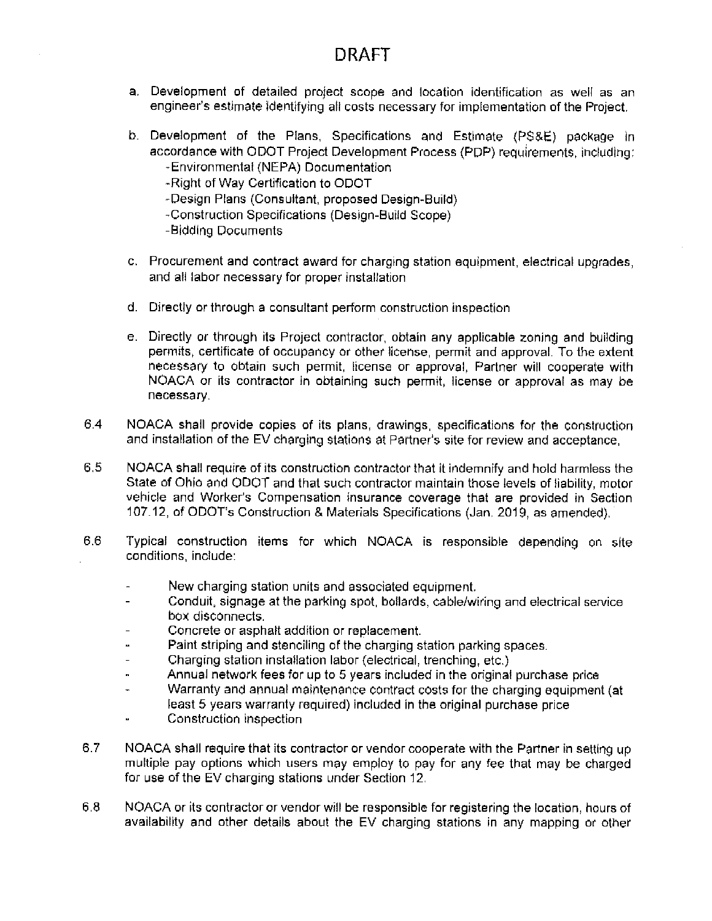- a. Development of detailed project scope and location identification as well as an engineer's estimate identifying all costs necessary for implementation of the Project.
- b. Development of the Plans, Specifications and Estimate (PS&E) package in accordance with ODOT Project Development Process (PDP) requirements, including: -Environmental (NEPA) Documentation
	- -Right of Way Certification to ODOT
	- -Design Plans (Consultant, proposed Design-Build).
	- -Construction Specifications (Design-Build Scope)
	- -Bidding Documents
- c. Procurement and contract award for charging station equipment, electrical upgrades, and all labor necessary for proper installation
- d. Directly or through a consultant perform construction inspection
- e. Directly or through its Project contractor, obtain any applicable zoning and building permits, certificate of occupancy or other license, permit and approval. To the extent necessary to obtain such permit, license or approval. Partner will cooperate with NOACA or its contractor in obtaining such permit, license or approval as may be necessary.
- 6.4 NOACA shall provide copies of its plans, drawings, specifications for the construction and installation of the EV charging stations at Partner's site for review and acceptance,
- 6.5 NOACA shall require of its construction contractor that it indemnify and hold harmless the State of Ohio and ODOT and that such contractor maintain those levels of liability, motor vehicle and Worker's Compensation insurance coverage that are provided in Section 107.12, of ODOT's Construction & Materials Specifications (Jan. 2019, as amended).
- 6.6 Typical construction items for which NOACA is responsible depending on site conditions, include:
	- New charging station units and associated equipment.
	- Conduit, signage at the parking spot, bollards, cable/wiring and electrical service  $\overline{a}$ box disconnects.
	- Concrete or asphalt addition or replacement.  $\overline{a}$
	- Paint striping and stenciling of the charging station parking spaces.
	- Charging station installation labor (electrical, trenching, etc.)  $\overline{\phantom{m}}$
	- Annual network fees for up to 5 years included in the original purchase price  $\mathbf{r}$
	- Warranty and annual maintenance contract costs for the charging equipment (at  $\overline{a}$ least 5 years warranty required) included in the original purchase price
	- Construction inspection  $\tilde{\phantom{a}}$
- $6.7$ NOACA shall require that its contractor or vendor cooperate with the Partner in setting up multiple pay options which users may employ to pay for any fee that may be charged for use of the EV charging stations under Section 12.
- 6.8 NOACA or its contractor or vendor will be responsible for registering the location, hours of availability and other details about the EV charging stations in any mapping or other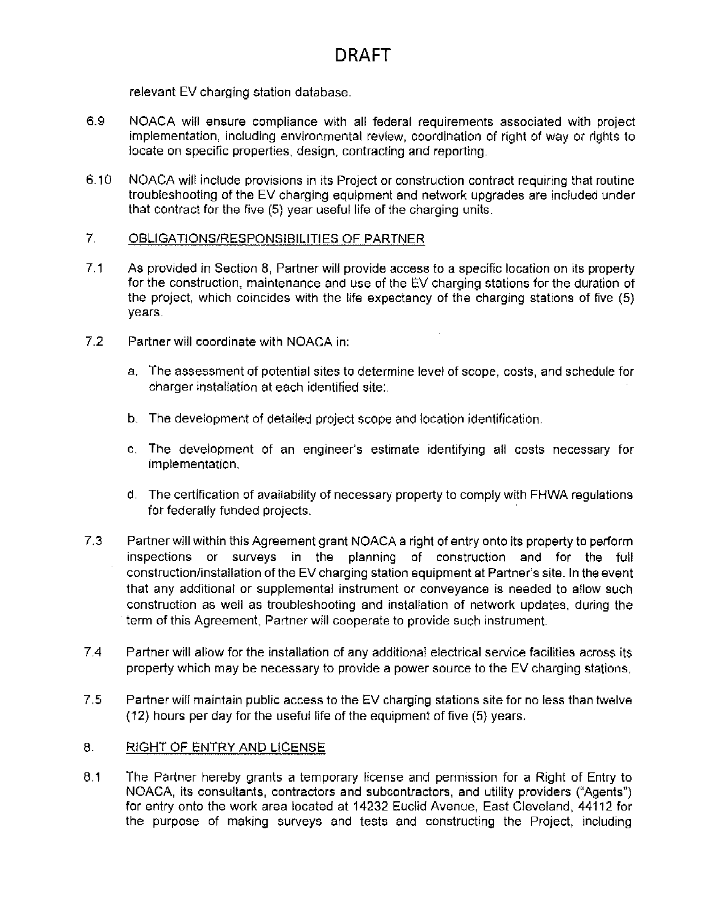relevant EV charging station database.

- 6.9 NOACA will ensure compliance with all federal requirements associated with project implementation, including environmental review, coordination of right of way or rights to locate on specific properties, design, contracting and reporting.
- $6.10$ NOACA will include provisions in its Project or construction contract requiring that routine troubleshooting of the EV charging equipment and network upgrades are included under that contract for the five (5) year useful life of the charging units.

### $7<sub>1</sub>$ OBLIGATIONS/RESPONSIBILITIES OF PARTNER

- $7.1$ As provided in Section 8, Partner will provide access to a specific location on its property for the construction, maintenance and use of the EV charging stations for the duration of the project, which coincides with the life expectancy of the charging stations of five (5) years.
- $7.2$ Partner will coordinate with NOACA in:
	- a. The assessment of potential sites to determine level of scope, costs, and schedule for charger installation at each identified site:
	- b. The development of detailed project scope and location identification.
	- c. The development of an engineer's estimate identifying all costs necessary for implementation.
	- d. The certification of availability of necessary property to comply with FHWA requlations for federally funded projects.
- $7.3$ Partner will within this Agreement grant NOACA a right of entry onto its property to perform inspections or surveys in the planning of construction and for the full construction/installation of the EV charging station equipment at Partner's site. In the event that any additional or supplemental instrument or conveyance is needed to allow such construction as well as troubleshooting and installation of network updates, during the term of this Agreement, Partner will cooperate to provide such instrument.
- $7.4$ Partner will allow for the installation of any additional electrical service facilities across its property which may be necessary to provide a power source to the EV charging stations.
- 7.5 Partner will maintain public access to the EV charging stations site for no less than twelve (12) hours per day for the useful life of the equipment of five (5) years.

### 8. RIGHT OF ENTRY AND LICENSE

 $8.1$ The Partner hereby grants a temporary license and permission for a Right of Entry to NOACA, its consultants, contractors and subcontractors, and utility providers ("Agents") for entry onto the work area located at 14232 Euclid Avenue, East Cleveland, 44112 for the purpose of making surveys and tests and constructing the Project, including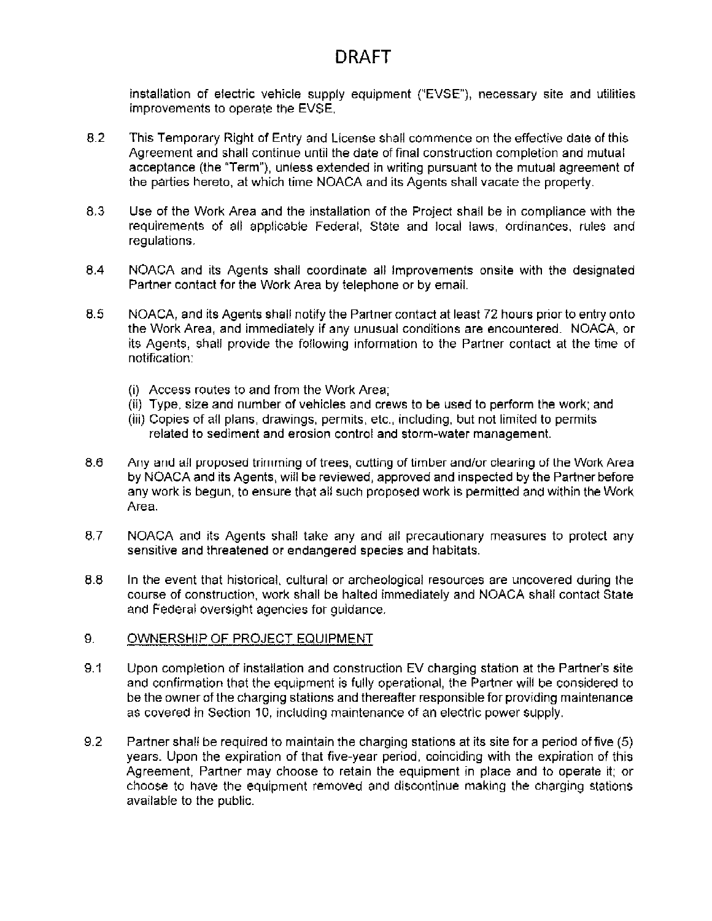installation of electric vehicle supply equipment ("EVSE"), necessary site and utilities improvements to operate the EVSE.

- 8.2 This Temporary Right of Entry and License shall commence on the effective date of this Agreement and shall continue until the date of final construction completion and mutual acceptance (the "Term"), unless extended in writing pursuant to the mutual agreement of the parties hereto, at which time NOACA and its Agents shall vacate the property.
- 8.3 Use of the Work Area and the installation of the Project shall be in compliance with the requirements of all applicable Federal, State and local laws, ordinances, rules and regulations.
- 8.4 NOACA and its Agents shall coordinate all improvements onsite with the designated Partner contact for the Work Area by telephone or by email.
- 8.5 NOACA, and its Agents shall notify the Partner contact at least 72 hours prior to entry onto the Work Area, and immediately if any unusual conditions are encountered. NOACA, or its Agents, shall provide the following information to the Partner contact at the time of notification:
	- (i) Access routes to and from the Work Area;
	- (ii) Type, size and number of vehicles and crews to be used to perform the work; and
	- (iii) Copies of all plans, drawings, permits, etc., including, but not limited to permits related to sediment and erosion control and storm-water management.
- $8.6$ Any and all proposed trimming of trees, cutting of timber and/or clearing of the Work Area by NOACA and its Agents, will be reviewed, approved and inspected by the Partner before any work is begun, to ensure that all such proposed work is permitted and within the Work Area.
- 8.7 NOACA and its Agents shall take any and all precautionary measures to protect any sensitive and threatened or endangered species and habitats.
- 8.8 In the event that historical, cultural or archeological resources are uncovered during the course of construction, work shall be halted immediately and NOACA shall contact State and Federal oversight agencies for guidance.

### 9. OWNERSHIP OF PROJECT EQUIPMENT

- $9.1$ Upon completion of installation and construction EV charging station at the Partner's site and confirmation that the equipment is fully operational, the Partner will be considered to be the owner of the charging stations and thereafter responsible for providing maintenance as covered in Section 10, including maintenance of an electric power supply.
- 9.2 Partner shall be required to maintain the charging stations at its site for a period of five (5) years. Upon the expiration of that five-year period, coinciding with the expiration of this Agreement, Partner may choose to retain the equipment in place and to operate it; or choose to have the equipment removed and discontinue making the charging stations available to the public.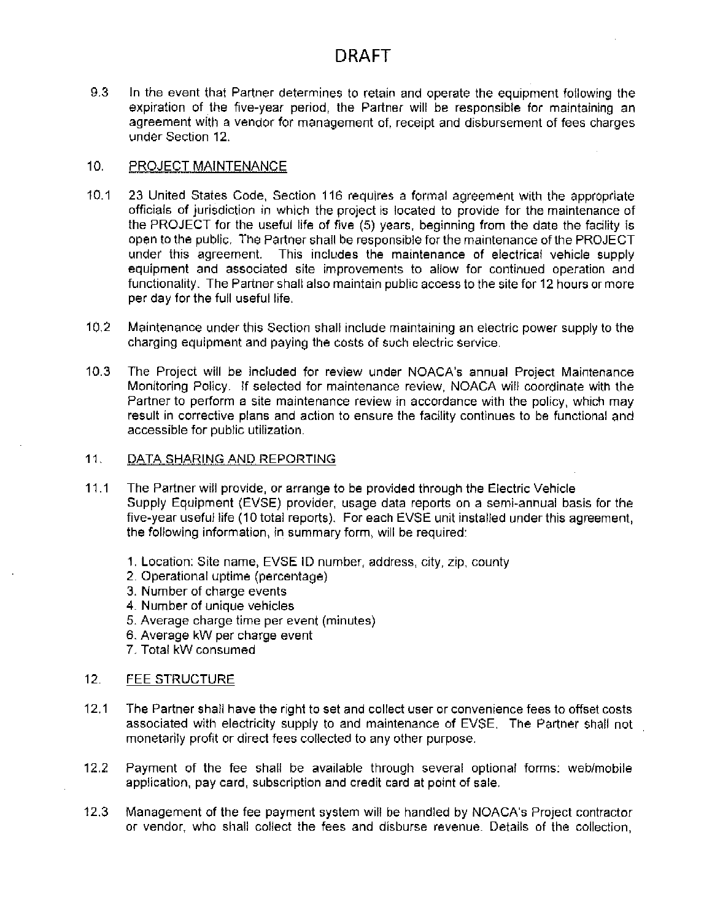9.3 In the event that Partner determines to retain and operate the equipment following the expiration of the five-year period, the Partner will be responsible for maintaining an agreement with a vendor for management of, receipt and disbursement of fees charges under Section 12.

#### $10.$ PROJECT MAINTENANCE

- $10.1$ 23 United States Code, Section 116 requires a formal agreement with the appropriate officials of jurisdiction in which the project is located to provide for the maintenance of the PROJECT for the useful life of five (5) years, beginning from the date the facility is open to the public. The Partner shall be responsible for the maintenance of the PROJECT under this agreement. This includes the maintenance of electrical vehicle supply equipment and associated site improvements to allow for continued operation and functionality. The Partner shall also maintain public access to the site for 12 hours or more per day for the full useful life.
- $10.2<sub>1</sub>$ Maintenance under this Section shall include maintaining an electric power supply to the charging equipment and paying the costs of such electric service.
- $10.3<sub>1</sub>$ The Project will be included for review under NOACA's annual Project Maintenance Monitoring Policy. If selected for maintenance review, NOACA will coordinate with the Partner to perform a site maintenance review in accordance with the policy, which may result in corrective plans and action to ensure the facility continues to be functional and accessible for public utilization.
- $11.$ DATA SHARING AND REPORTING
- $11.1$ The Partner will provide, or arrange to be provided through the Electric Vehicle Supply Equipment (EVSE) provider, usage data reports on a semi-annual basis for the five-year useful life (10 total reports). For each EVSE unit installed under this agreement, the following information, in summary form, will be required:
	- 1. Location: Site name, EVSE ID number, address, city, zip, county
	- 2. Operational uptime (percentage)
	- 3. Number of charge events
	- 4. Number of unique vehicles
	- 5. Average charge time per event (minutes)
	- 6. Average kW per charge event
	- 7. Total kW consumed

### $12.$ FEE STRUCTURE

- $12.1$ The Partner shall have the right to set and collect user or convenience fees to offset costs associated with electricity supply to and maintenance of EVSE. The Partner shall not monetarily profit or direct fees collected to any other purpose.
- $12.2$ Payment of the fee shall be available through several optional forms: web/mobile application, pay card, subscription and credit card at point of sale.
- $12.3$ Management of the fee payment system will be handled by NOACA's Project contractor or vendor, who shall collect the fees and disburse revenue. Details of the collection,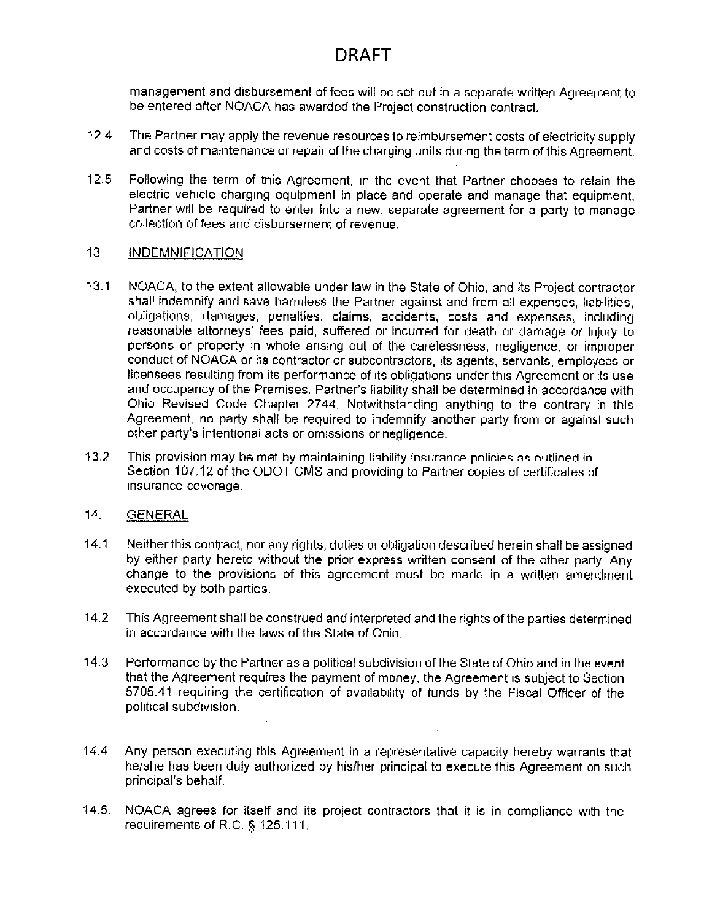management and disbursement of fees will be set out in a separate written Agreement to be entered after NOACA has awarded the Project construction contract.

- $12.4$ The Partner may apply the revenue resources to reimbursement costs of electricity supply and costs of maintenance or repair of the charging units during the term of this Agreement.
- $12.5$ Following the term of this Agreement, in the event that Partner chooses to retain the electric vehicle charging equipment in place and operate and manage that equipment. Partner will be required to enter into a new, separate agreement for a party to manage collection of fees and disbursement of revenue.

### $13<sup>1</sup>$ **INDEMNIFICATION**

- $13.1$ NOACA, to the extent allowable under law in the State of Ohio, and its Project contractor shall indemnify and save harmless the Partner against and from all expenses, liabilities, obligations, damages, penalties, claims, accidents, costs and expenses, including reasonable attorneys' fees paid, suffered or incurred for death or damage or injury to persons or property in whole arising out of the carelessness, negligence, or improper conduct of NOACA or its contractor or subcontractors, its agents, servants, employees or licensees resulting from its performance of its obligations under this Agreement or its use and occupancy of the Premises. Partner's liability shall be determined in accordance with Ohio Revised Code Chapter 2744. Notwithstanding anything to the contrary in this Agreement, no party shall be required to indemnify another party from or against such other party's intentional acts or omissions or negligence.
- $13.2$ This provision may be met by maintaining liability insurance policies as outlined in Section 107.12 of the ODOT CMS and providing to Partner copies of certificates of insurance coverage.

### $14.$ **GENERAL**

- $14.1$ Neither this contract, nor any rights, duties or obligation described herein shall be assigned by either party hereto without the prior express written consent of the other party. Any change to the provisions of this agreement must be made in a written amendment executed by both parties.
- $14.2$ This Agreement shall be construed and interpreted and the rights of the parties determined in accordance with the laws of the State of Ohio.
- $14.3$ Performance by the Partner as a political subdivision of the State of Ohio and in the event that the Agreement requires the payment of money, the Agreement is subject to Section 5705.41 requiring the certification of availability of funds by the Fiscal Officer of the political subdivision.
- $14.4$ Any person executing this Agreement in a representative capacity hereby warrants that he/she has been duly authorized by his/her principal to execute this Agreement on such principal's behalf.
- NOACA agrees for itself and its project contractors that it is in compliance with the  $14.5.$ requirements of R.C. § 125,111.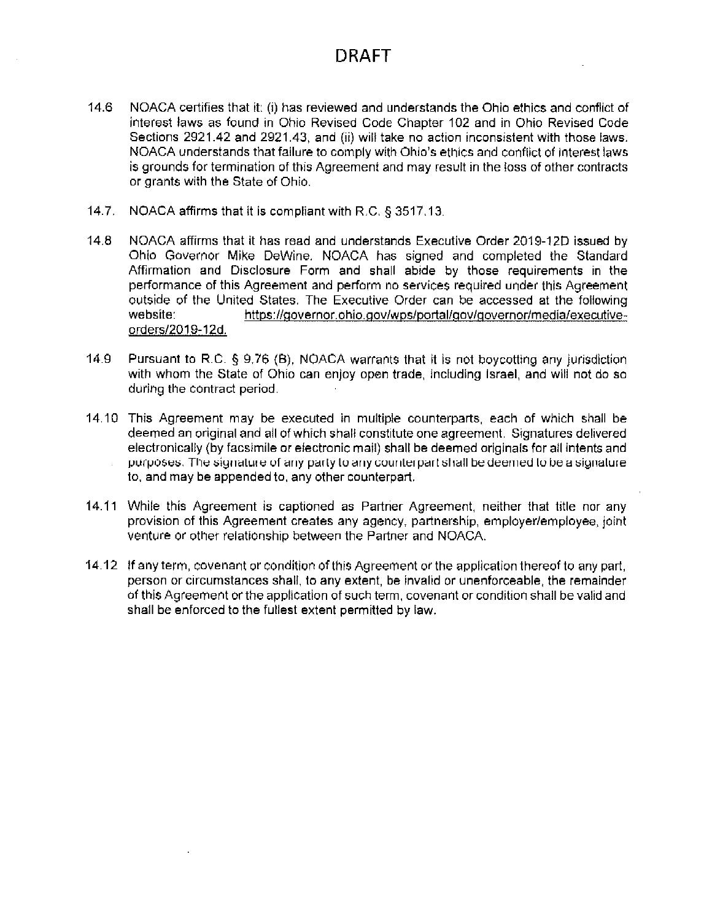- 14.6 NOACA certifies that it: (i) has reviewed and understands the Ohio ethics and conflict of interest laws as found in Ohio Revised Code Chapter 102 and in Ohio Revised Code Sections 2921.42 and 2921.43, and (ii) will take no action inconsistent with those laws. NOACA understands that failure to comply with Ohio's ethics and conflict of interest laws is grounds for termination of this Agreement and may result in the loss of other contracts or grants with the State of Ohio.
- 14.7. NOACA affirms that it is compliant with R.C. § 3517.13.
- $14.8$ NOACA affirms that it has read and understands Executive Order 2019-12D issued by Ohio Governor Mike DeWine. NOACA has signed and completed the Standard Affirmation and Disclosure Form and shall abide by those requirements in the performance of this Agreement and perform no services required under this Agreement outside of the United States. The Executive Order can be accessed at the following website: https://governor.ohio.gov/wps/portal/gov/governor/media/executiveorders/2019-12d.
- $14.9$ Pursuant to R.C. § 9.76 (B), NOACA warrants that it is not boycotting any jurisdiction with whom the State of Ohio can enjoy open trade, including Israel, and will not do so during the contract period.
- 14.10 This Agreement may be executed in multiple counterparts, each of which shall be deemed an original and all of which shall constitute one agreement. Signatures delivered electronically (by facsimile or electronic mail) shall be deemed originals for all intents and purposes. The signature of any party to any counterpart shall be deemed to be a signature to, and may be appended to, any other counterpart.
- 14.11 While this Agreement is captioned as Partner Agreement, neither that title nor any provision of this Agreement creates any agency, partnership, employer/employee, joint venture or other relationship between the Partner and NOACA.
- 14.12 If any term, covenant or condition of this Agreement or the application thereof to any part, person or circumstances shall, to any extent, be invalid or unenforceable, the remainder of this Agreement or the application of such term, covenant or condition shall be valid and shall be enforced to the fullest extent permitted by law.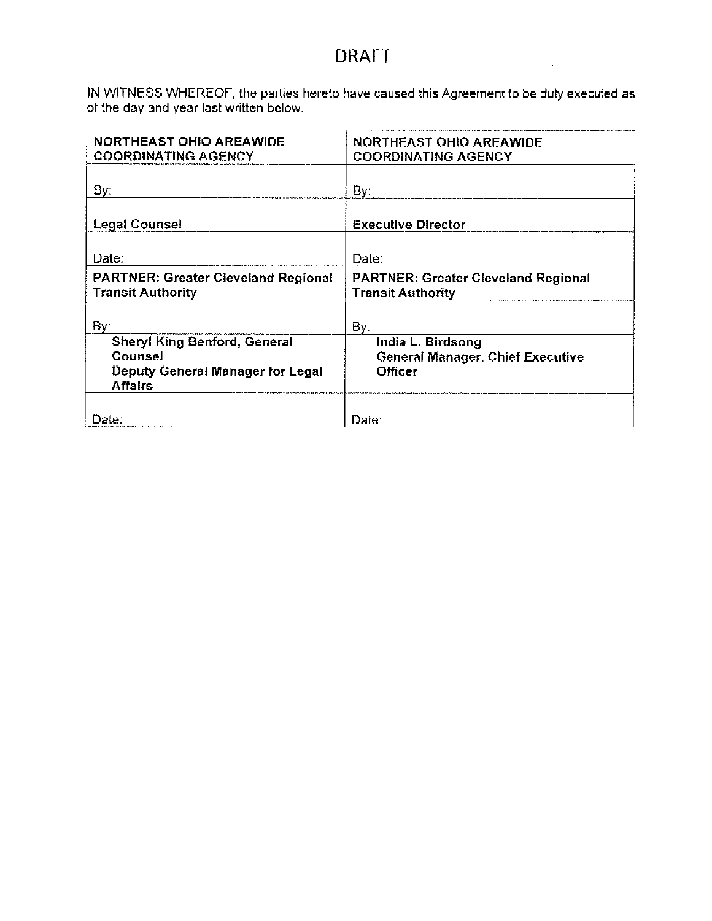IN WITNESS WHEREOF, the parties hereto have caused this Agreement to be duly executed as of the day and year last written below.

| <b>NORTHEAST OHIO AREAWIDE</b><br><b>COORDINATING AGENCY</b>                                                | <b>NORTHEAST OHIO AREAWIDE</b><br><b>COORDINATING AGENCY</b>                   |
|-------------------------------------------------------------------------------------------------------------|--------------------------------------------------------------------------------|
| By:                                                                                                         | By:                                                                            |
| <b>Legal Counsel</b>                                                                                        | <b>Executive Director</b>                                                      |
| Date:                                                                                                       | Date:                                                                          |
| <b>PARTNER: Greater Cleveland Regional</b><br><b>Transit Authority</b>                                      | <b>PARTNER: Greater Cleveland Regional</b><br><b>Transit Authority</b>         |
| By:                                                                                                         | By:                                                                            |
| <b>Sheryl King Benford, General</b><br>Counsel<br><b>Deputy General Manager for Legal</b><br><b>Affairs</b> | India L. Birdsong<br><b>General Manager, Chief Executive</b><br><b>Officer</b> |
| Date:                                                                                                       | Date:                                                                          |

 $\sim$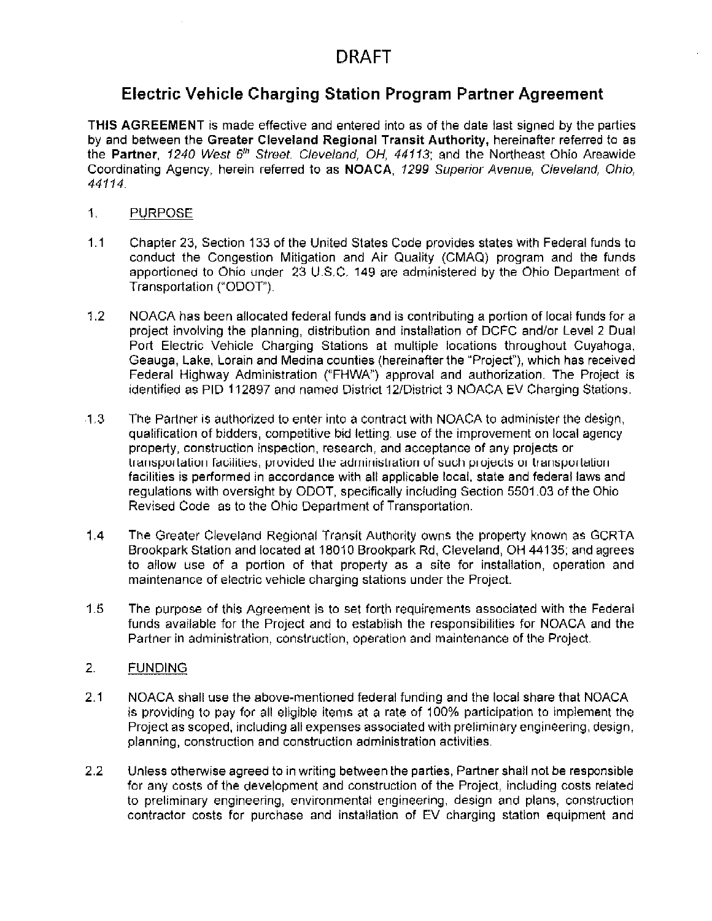## **Electric Vehicle Charging Station Program Partner Agreement**

THIS AGREEMENT is made effective and entered into as of the date last signed by the parties by and between the Greater Cleveland Regional Transit Authority, hereinafter referred to as the Partner, 1240 West 6th Street. Cleveland, OH, 44113; and the Northeast Ohio Areawide Coordinating Agency, herein referred to as NOACA, 1299 Superior Avenue, Cleveland, Ohio, 44114.

- 1. **PURPOSE**
- $1.1$ Chapter 23, Section 133 of the United States Code provides states with Federal funds to conduct the Congestion Mitigation and Air Quality (CMAQ) program and the funds apportioned to Ohio under 23 U.S.C. 149 are administered by the Ohio Department of Transportation ("ODOT").
- $1.2$ NOACA has been allocated federal funds and is contributing a portion of local funds for a project involving the planning, distribution and installation of DCFC and/or Level 2 Dual Port Electric Vehicle Charging Stations at multiple locations throughout Cuyahoga, Geauga, Lake, Lorain and Medina counties (hereinafter the "Project"), which has received Federal Highway Administration ("FHWA") approval and authorization. The Project is identified as PID 112897 and named District 12/District 3 NOACA EV Charging Stations.
- $1.3$ The Partner is authorized to enter into a contract with NOACA to administer the design, qualification of bidders, competitive bid letting, use of the improvement on local agency property, construction inspection, research, and acceptance of any projects or transportation facilities, provided the administration of such projects or transportation facilities is performed in accordance with all applicable local, state and federal laws and regulations with oversight by ODOT, specifically including Section 5501.03 of the Ohio Revised Code as to the Ohio Department of Transportation.
- $1.4$ The Greater Cleveland Regional Transit Authority owns the property known as GCRTA Brookpark Station and located at 18010 Brookpark Rd, Cleveland, OH 44135; and agrees to allow use of a portion of that property as a site for installation, operation and maintenance of electric vehicle charging stations under the Project.
- $1.5$ The purpose of this Agreement is to set forth requirements associated with the Federal funds available for the Project and to establish the responsibilities for NOACA and the Partner in administration, construction, operation and maintenance of the Project.

### 2. **FUNDING**

- $2.1$ NOACA shall use the above-mentioned federal funding and the local share that NOACA is providing to pay for all eligible items at a rate of 100% participation to implement the Project as scoped, including all expenses associated with preliminary engineering, design, planning, construction and construction administration activities.
- $2.2$ Unless otherwise agreed to in writing between the parties, Partner shall not be responsible for any costs of the development and construction of the Project, including costs related to preliminary engineering, environmental engineering, design and plans, construction contractor costs for purchase and installation of EV charging station equipment and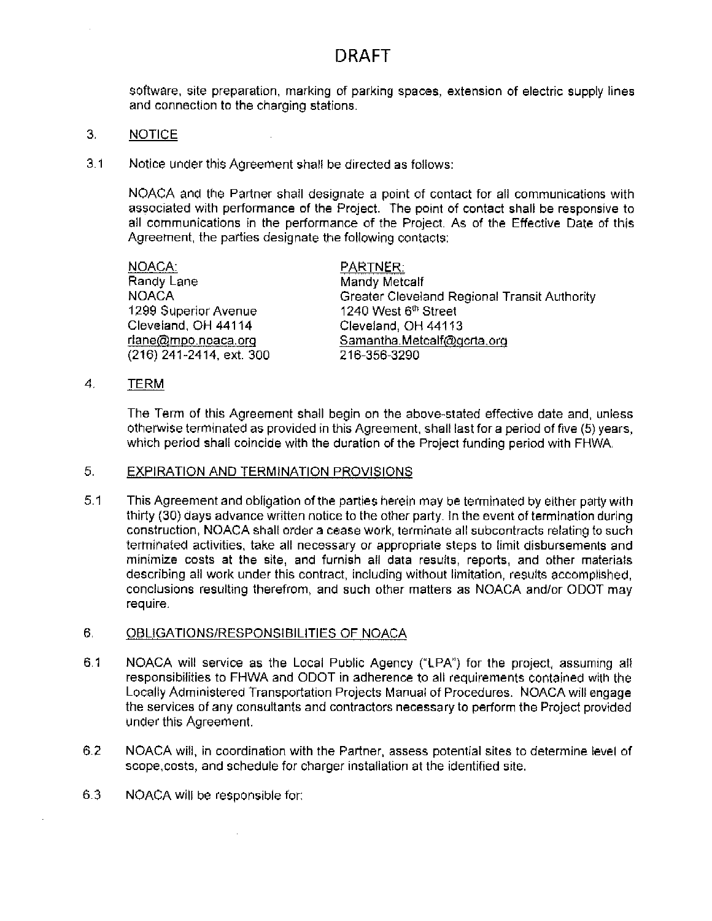software, site preparation, marking of parking spaces, extension of electric supply lines and connection to the charging stations.

- 3. **NOTICE**
- $3.1$ Notice under this Agreement shall be directed as follows:

NOACA and the Partner shall designate a point of contact for all communications with associated with performance of the Project. The point of contact shall be responsive to all communications in the performance of the Project. As of the Effective Date of this Agreement, the parties designate the following contacts:

| NOACA:                   | PARTNER:                                     |
|--------------------------|----------------------------------------------|
| Randy Lane               | <b>Mandy Metcalf</b>                         |
| <b>NOACA</b>             | Greater Cleveland Regional Transit Authority |
| 1299 Superior Avenue     | 1240 West 6 <sup>th</sup> Street             |
| Cleveland, OH 44114      | Cleveland, OH 44113                          |
| riane@mpo.noaca.org      | Samantha.Metcalf@gcrta.org                   |
| (216) 241-2414, ext. 300 | 216-356-3290                                 |

4. TERM

> The Term of this Agreement shall begin on the above-stated effective date and, unless otherwise terminated as provided in this Agreement, shall last for a period of five (5) years, which period shall coincide with the duration of the Project funding period with FHWA.

#### 5. **EXPIRATION AND TERMINATION PROVISIONS**

 $5.1$ This Agreement and obligation of the parties herein may be terminated by either party with thirty (30) days advance written notice to the other party. In the event of termination during construction, NOACA shall order a cease work, terminate all subcontracts relating to such terminated activities, take all necessary or appropriate steps to limit disbursements and minimize costs at the site, and furnish all data results, reports, and other materials describing all work under this contract, including without limitation, results accomplished, conclusions resulting therefrom, and such other matters as NOACA and/or ODOT may require.

### 6. **OBLIGATIONS/RESPONSIBILITIES OF NOACA**

- $6.1$ NOACA will service as the Local Public Agency ("LPA") for the project, assuming all responsibilities to FHWA and ODOT in adherence to all requirements contained with the Locally Administered Transportation Projects Manual of Procedures. NOACA will engage the services of any consultants and contractors necessary to perform the Project provided under this Agreement.
- $6.2$ NOACA will, in coordination with the Partner, assess potential sites to determine level of scope, costs, and schedule for charger installation at the identified site.
- $6.3$ NOACA will be responsible for: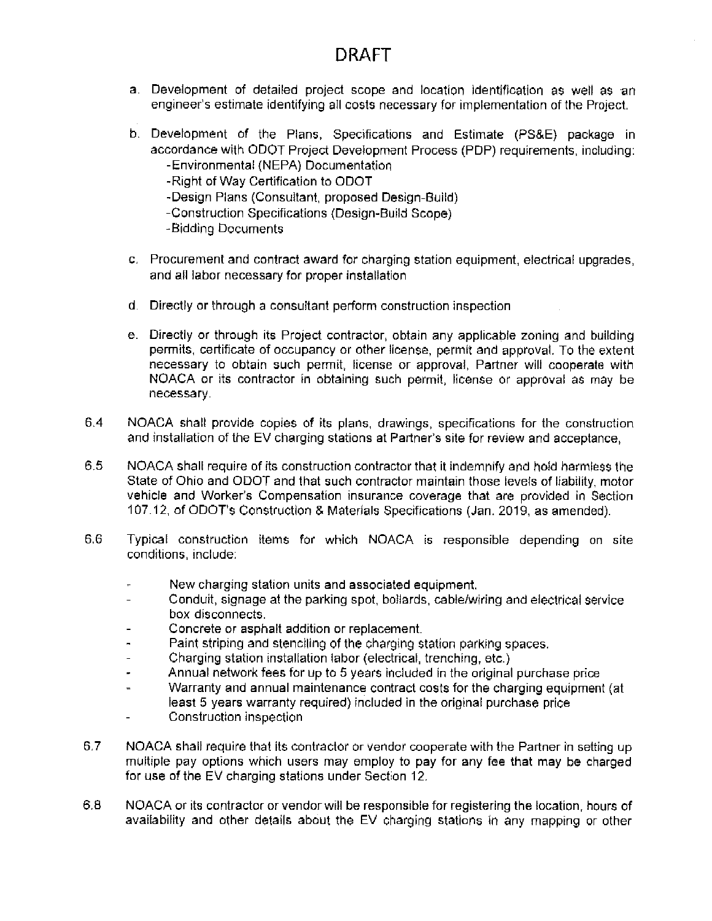- a. Development of detailed project scope and location identification as well as an engineer's estimate identifying all costs necessary for implementation of the Project.
- b. Development of the Plans, Specifications and Estimate (PS&E) package in accordance with ODOT Project Development Process (PDP) requirements, including: -Environmental (NEPA) Documentation
	- -Right of Way Certification to ODOT
	- -Design Plans (Consultant, proposed Design-Build)
	- -Construction Specifications (Design-Build Scope)
	- -Bidding Documents
- c. Procurement and contract award for charging station equipment, electrical upgrades, and all labor necessary for proper installation
- d. Directly or through a consultant perform construction inspection
- e. Directly or through its Project contractor, obtain any applicable zoning and building permits, certificate of occupancy or other license, permit and approval. To the extent necessary to obtain such permit, license or approval, Partner will cooperate with NOACA or its contractor in obtaining such permit, license or approval as may be necessary.
- $6.4$ NOACA shall provide copies of its plans, drawings, specifications for the construction and installation of the EV charging stations at Partner's site for review and acceptance.
- $6.5$ NOACA shall require of its construction contractor that it indemnify and hold harmless the State of Ohio and ODOT and that such contractor maintain those levels of liability, motor vehicle and Worker's Compensation insurance coverage that are provided in Section 107.12, of ODOT's Construction & Materials Specifications (Jan. 2019, as amended).
- $6.6$ Typical construction items for which NOACA is responsible depending on site conditions, include:
	- New charging station units and associated equipment.
	- Conduit, signage at the parking spot, bollards, cable/wiring and electrical service box disconnects.
	- Concrete or asphalt addition or replacement.  $\overline{a}$
	- Paint striping and stenciling of the charging station parking spaces.  $\blacksquare$
	- Charging station installation labor (electrical, trenching, etc.)
	- Annual network fees for up to 5 years included in the original purchase price
	- Warranty and annual maintenance contract costs for the charging equipment (at  $\overline{1}$ least 5 years warranty required) included in the original purchase price
	- Construction inspection ä,
- $6.7$ NOACA shall require that its contractor or vendor cooperate with the Partner in setting up multiple pay options which users may employ to pay for any fee that may be charged for use of the EV charging stations under Section 12.
- 6.8 NOACA or its contractor or vendor will be responsible for registering the location, hours of availability and other details about the EV charging stations in any mapping or other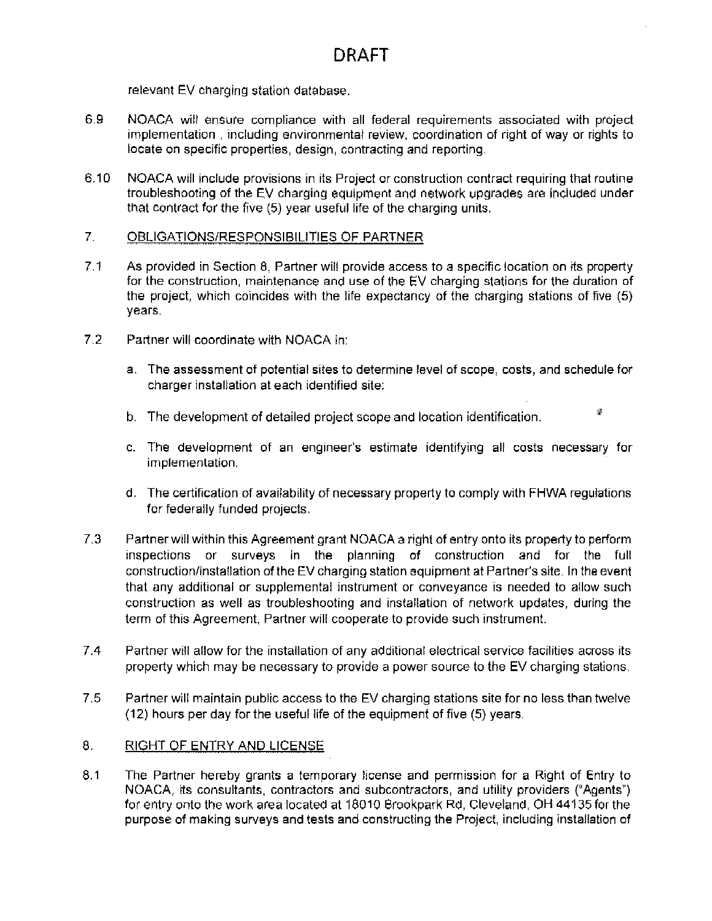relevant EV charging station database.

- 6.9 NOACA will ensure compliance with all federal requirements associated with project implementation, including environmental review, coordination of right of way or rights to locate on specific properties, design, contracting and reporting.
- $6.10$ NOACA will include provisions in its Project or construction contract requiring that routine troubleshooting of the EV charging equipment and network upgrades are included under that contract for the five (5) year useful life of the charging units.

### $7<sub>1</sub>$ OBLIGATIONS/RESPONSIBILITIES OF PARTNER

- $7.1$ As provided in Section 8, Partner will provide access to a specific location on its property for the construction, maintenance and use of the EV charging stations for the duration of the project, which coincides with the life expectancy of the charging stations of five (5) years.
- $7.2$ Partner will coordinate with NOACA in:
	- a. The assessment of potential sites to determine level of scope, costs, and schedule for charger installation at each identified site:
	- $\mathcal{R}$ b. The development of detailed project scope and location identification.
	- c. The development of an engineer's estimate identifying all costs necessary for implementation.
	- d. The certification of availability of necessary property to comply with FHWA regulations for federally funded projects.
- $7.3$ Partner will within this Agreement grant NOACA a right of entry onto its property to perform inspections or surveys in the planning of construction and for the full construction/installation of the EV charging station equipment at Partner's site. In the event that any additional or supplemental instrument or conveyance is needed to allow such construction as well as troubleshooting and installation of network updates, during the term of this Agreement, Partner will cooperate to provide such instrument.
- $7.4$ Partner will allow for the installation of any additional electrical service facilities across its property which may be necessary to provide a power source to the EV charging stations.
- $7.5$ Partner will maintain public access to the EV charging stations site for no less than twelve (12) hours per day for the useful life of the equipment of five (5) years.

### 8. RIGHT OF ENTRY AND LICENSE

 $8,1$ The Partner hereby grants a temporary license and permission for a Right of Entry to NOACA, its consultants, contractors and subcontractors, and utility providers ("Agents") for entry onto the work area located at 18010 Brookpark Rd, Cleveland, OH 44135 for the purpose of making surveys and tests and constructing the Project, including installation of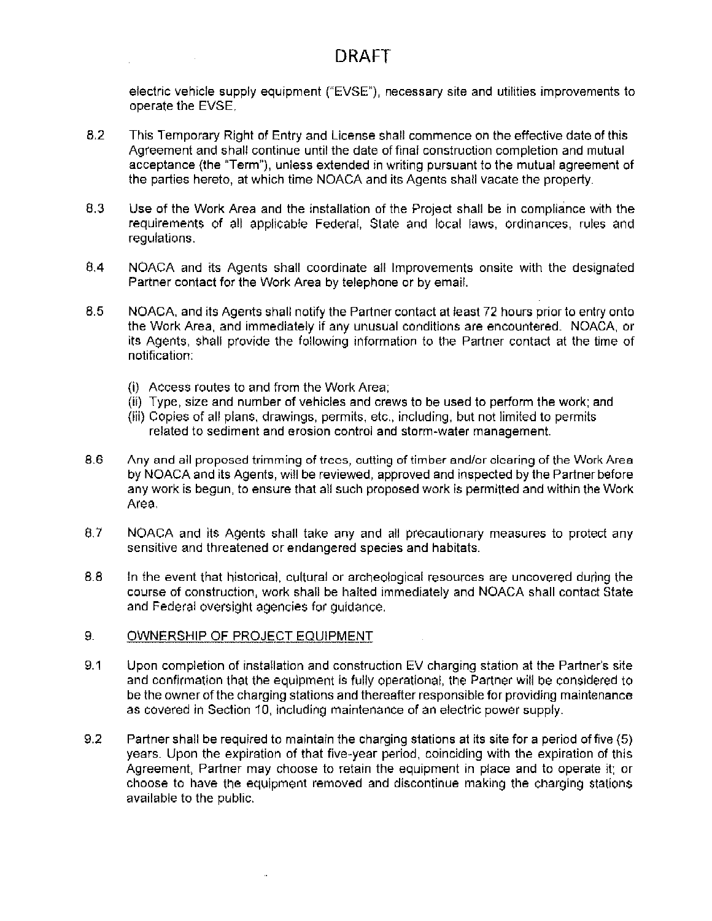electric vehicle supply equipment ("EVSE"), necessary site and utilities improvements to operate the EVSE.

- 8.2 This Temporary Right of Entry and License shall commence on the effective date of this Agreement and shall continue until the date of final construction completion and mutual acceptance (the "Term"), unless extended in writing pursuant to the mutual agreement of the parties hereto, at which time NOACA and its Agents shall vacate the property.
- $8,3$ Use of the Work Area and the installation of the Project shall be in compliance with the requirements of all applicable Federal, State and local laws, ordinances, rules and regulations.
- $8,4$ NOACA and its Agents shall coordinate all Improvements onsite with the designated Partner contact for the Work Area by telephone or by email.
- 8.5 NOACA, and its Agents shall notify the Partner contact at least 72 hours prior to entry onto the Work Area, and immediately if any unusual conditions are encountered. NOACA, or its Agents, shall provide the following information to the Partner contact at the time of notification:
	- (i) Access routes to and from the Work Area:
	- (ii) Type, size and number of vehicles and crews to be used to perform the work; and
	- (iii) Copies of all plans, drawings, permits, etc., including, but not limited to permits related to sediment and erosion control and storm-water management.
- 8.6 Any and all proposed trimming of trees, cutting of timber and/or clearing of the Work Area by NOACA and its Agents, will be reviewed, approved and inspected by the Partner before any work is begun, to ensure that all such proposed work is permitted and within the Work Area.
- 8.7 NOACA and its Agents shall take any and all precautionary measures to protect any sensitive and threatened or endangered species and habitats.
- 8.8 In the event that historical, cultural or archeological resources are uncovered during the course of construction, work shall be halted immediately and NOACA shall contact State and Federal oversight agencies for guidance.
- OWNERSHIP OF PROJECT EQUIPMENT 9.
- $9.1$ Upon completion of installation and construction EV charging station at the Partner's site and confirmation that the equipment is fully operational, the Partner will be considered to be the owner of the charging stations and thereafter responsible for providing maintenance as covered in Section 10, including maintenance of an electric power supply.
- 9.2 Partner shall be required to maintain the charging stations at its site for a period of five (5) years. Upon the expiration of that five-year period, coinciding with the expiration of this Agreement, Partner may choose to retain the equipment in place and to operate it; or choose to have the equipment removed and discontinue making the charging stations available to the public.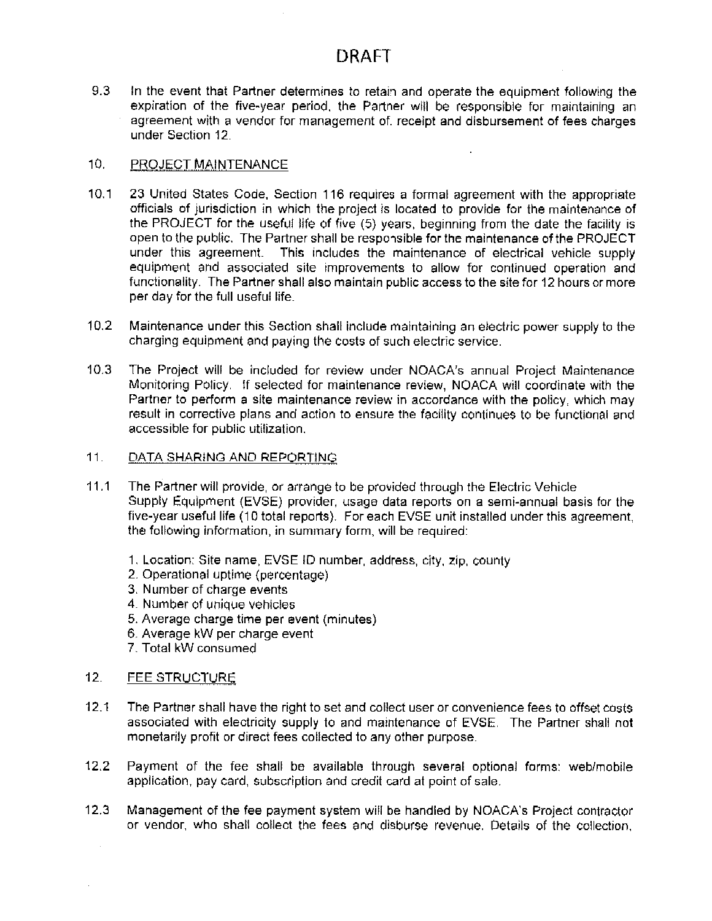$9.3$ In the event that Partner determines to retain and operate the equipment following the expiration of the five-year period, the Partner will be responsible for maintaining an agreement with a vendor for management of, receipt and disbursement of fees charges under Section 12.

### $10.$ PROJECT MAINTENANCE

- $10.1$ 23 United States Code, Section 116 requires a formal agreement with the appropriate officials of jurisdiction in which the project is located to provide for the maintenance of the PROJECT for the useful life of five (5) years, beginning from the date the facility is open to the public. The Partner shall be responsible for the maintenance of the PROJECT under this agreement. This includes the maintenance of electrical vehicle supply equipment and associated site improvements to allow for continued operation and functionality. The Partner shall also maintain public access to the site for 12 hours or more per day for the full useful life.
- $10.2$ Maintenance under this Section shall include maintaining an electric power supply to the charging equipment and paying the costs of such electric service.
- The Project will be included for review under NOACA's annual Project Maintenance  $10.3<sub>1</sub>$ Monitoring Policy. If selected for maintenance review, NOACA will coordinate with the Partner to perform a site maintenance review in accordance with the policy, which may result in corrective plans and action to ensure the facility continues to be functional and accessible for public utilization.

#### $11.$ DATA SHARING AND REPORTING

- $11.1$ The Partner will provide, or arrange to be provided through the Electric Vehicle Supply Equipment (EVSE) provider, usage data reports on a semi-annual basis for the five-year useful life (10 total reports). For each EVSE unit installed under this agreement, the following information, in summary form, will be required:
	- 1. Location: Site name, EVSE ID number, address, city, zip, county
	- 2. Operational uptime (percentage)
	- 3. Number of charge events
	- 4. Number of unique vehicles
	- 5. Average charge time per event (minutes)
	- 6. Average kW per charge event
	- 7. Total kW consumed

### $12.$ FEE STRUCTURE

- $12.1$ The Partner shall have the right to set and collect user or convenience fees to offset costs associated with electricity supply to and maintenance of EVSE. The Partner shall not monetarily profit or direct fees collected to any other purpose.
- $12.2$ Payment of the fee shall be available through several optional forms; web/mobile application, pay card, subscription and credit card at point of sale.
- $12.3$ Management of the fee payment system will be handled by NOACA's Project contractor or vendor, who shall collect the fees and disburse revenue. Details of the collection,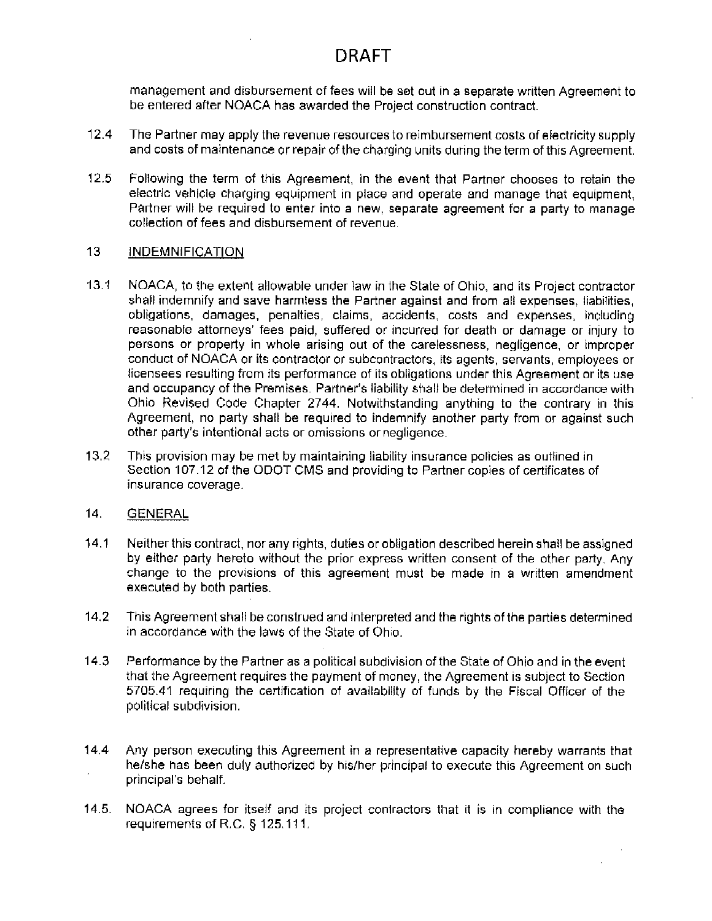management and disbursement of fees will be set out in a separate written Agreement to be entered after NOACA has awarded the Project construction contract.

- $12.4$ The Partner may apply the revenue resources to reimbursement costs of electricity supply and costs of maintenance or repair of the charging units during the term of this Agreement.
- $12.5$ Following the term of this Agreement, in the event that Partner chooses to retain the electric vehicle charging equipment in place and operate and manage that equipment. Partner will be required to enter into a new, separate agreement for a party to manage collection of fees and disbursement of revenue.

### $13<sup>°</sup>$ **INDEMNIFICATION**

- $13.1$ NOACA, to the extent allowable under law in the State of Ohio, and its Project contractor shall indemnify and save harmless the Partner against and from all expenses, liabilities, obligations, damages, penalties, claims, accidents, costs and expenses, including reasonable attorneys' fees paid, suffered or incurred for death or damage or injury to persons or property in whole arising out of the carelessness, negligence, or improper conduct of NOACA or its contractor or subcontractors, its agents, servants, employees or licensees resulting from its performance of its obligations under this Agreement or its use and occupancy of the Premises. Partner's liability shall be determined in accordance with Ohio Revised Code Chapter 2744. Notwithstanding anything to the contrary in this Agreement, no party shall be required to indemnify another party from or against such other party's intentional acts or omissions or negligence.
- $13.2$ This provision may be met by maintaining liability insurance policies as outlined in Section 107.12 of the ODOT CMS and providing to Partner copies of certificates of insurance coverage.

### $14.$ **GENERAL**

- $14.1$ Neither this contract, nor any rights, duties or obligation described herein shall be assigned by either party hereto without the prior express written consent of the other party. Any change to the provisions of this agreement must be made in a written amendment executed by both parties.
- $14.2$ This Agreement shall be construed and interpreted and the rights of the parties determined in accordance with the laws of the State of Ohio.
- $14.3$ Performance by the Partner as a political subdivision of the State of Ohio and in the event that the Agreement requires the payment of money, the Agreement is subject to Section 5705.41 requiring the certification of availability of funds by the Fiscal Officer of the political subdivision.
- $14.4$ Any person executing this Agreement in a representative capacity hereby warrants that he/she has been duly authorized by his/her principal to execute this Agreement on such principal's behalf.
- $14.5.$ NOACA agrees for itself and its project contractors that it is in compliance with the requirements of R.C.  $\S$  125.111.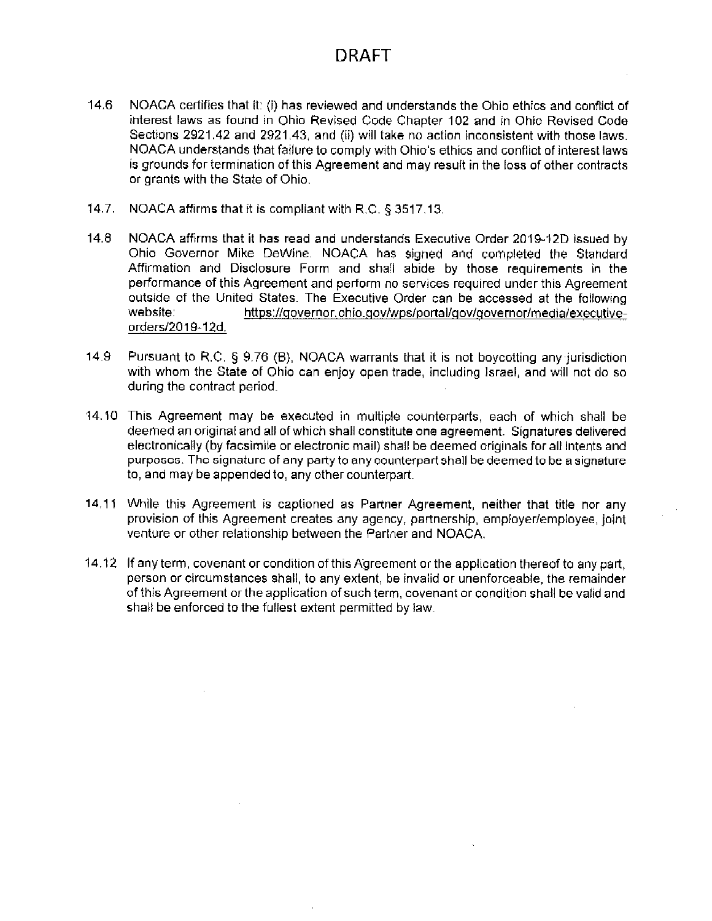- $14.6$ NOACA certifies that it: (i) has reviewed and understands the Ohio ethics and conflict of interest laws as found in Ohio Revised Code Chapter 102 and in Ohio Revised Code Sections 2921.42 and 2921.43, and (ii) will take no action inconsistent with those laws. NOACA understands that failure to comply with Ohio's ethics and conflict of interest laws is grounds for termination of this Agreement and may result in the loss of other contracts or grants with the State of Ohio.
- 14.7. NOACA affirms that it is compliant with R.C. § 3517.13.
- $14.8$ NOACA affirms that it has read and understands Executive Order 2019-12D issued by Ohio Governor Mike DeWine. NOACA has signed and completed the Standard Affirmation and Disclosure Form and shall abide by those requirements in the performance of this Agreement and perform no services required under this Agreement outside of the United States. The Executive Order can be accessed at the following website: https://governor.ohio.gov/wps/portal/gov/governor/media/executiveorders/2019-12d.
- 14.9 Pursuant to R.C. § 9.76 (B), NOACA warrants that it is not boycotting any jurisdiction with whom the State of Ohio can enjoy open trade, including Israel, and will not do so during the contract period.
- 14.10 This Agreement may be executed in multiple counterparts, each of which shall be deemed an original and all of which shall constitute one agreement. Signatures delivered electronically (by facsimile or electronic mail) shall be deemed originals for all intents and purposes. The signature of any party to any counterpart shall be deemed to be a signature to, and may be appended to, any other counterpart.
- 14.11 While this Agreement is captioned as Partner Agreement, neither that title nor any provision of this Agreement creates any agency, partnership, employer/employee, joint venture or other relationship between the Partner and NOACA.
- 14.12 If any term, covenant or condition of this Agreement or the application thereof to any part. person or circumstances shall, to any extent, be invalid or unenforceable, the remainder of this Agreement or the application of such term, covenant or condition shall be valid and shall be enforced to the fullest extent permitted by law.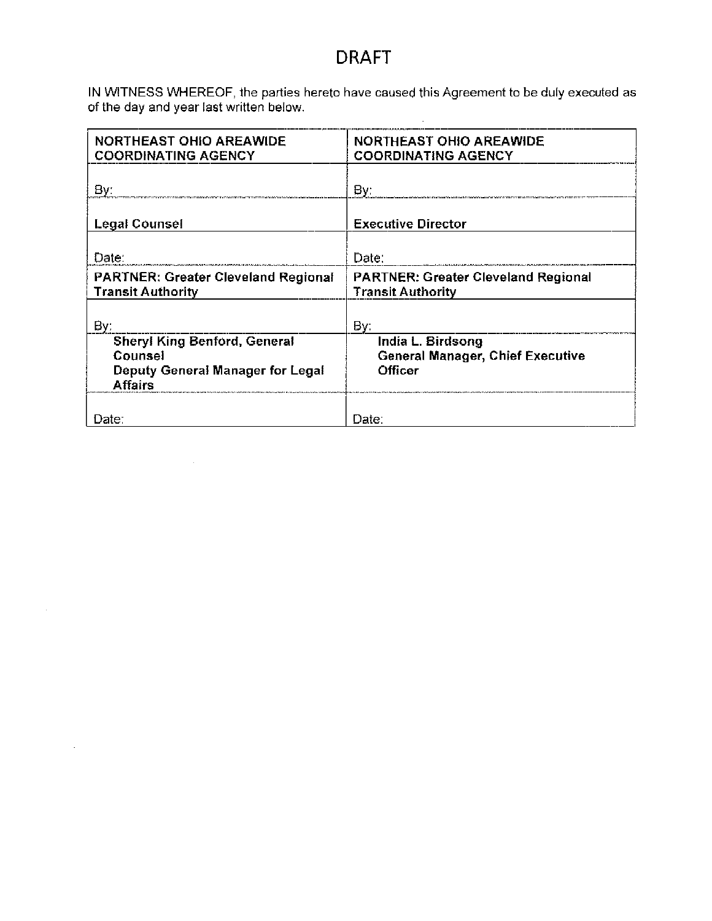IN WITNESS WHEREOF, the parties hereto have caused this Agreement to be duly executed as of the day and year last written below.

 $\sim$   $\sim$ 

| <b>NORTHEAST OHIO AREAWIDE</b><br><b>COORDINATING AGENCY</b>                                  | NORTHEAST OHIO AREAWIDE<br><b>COORDINATING AGENCY</b>                   |
|-----------------------------------------------------------------------------------------------|-------------------------------------------------------------------------|
| By:                                                                                           | By:                                                                     |
| Legal Counsel                                                                                 | <b>Executive Director</b>                                               |
| Date:                                                                                         | Date:                                                                   |
| <b>PARTNER: Greater Cleveland Regional</b><br><b>Transit Authority</b>                        | <b>PARTNER: Greater Cleveland Regional</b><br><b>Transit Authority</b>  |
| Bv:                                                                                           | By:                                                                     |
| <b>Sheryl King Benford, General</b><br>Counsel<br>Deputy General Manager for Legal<br>Affairs | India L. Birdsong<br><b>General Manager, Chief Executive</b><br>Officer |
| Date:                                                                                         | Date:                                                                   |

 $\mathcal{L}^{\text{max}}_{\text{max}}$  and  $\mathcal{L}^{\text{max}}_{\text{max}}$  and  $\mathcal{L}^{\text{max}}_{\text{max}}$ 

 $\sim$ 

 $\mathcal{L}_{\mathcal{A}}$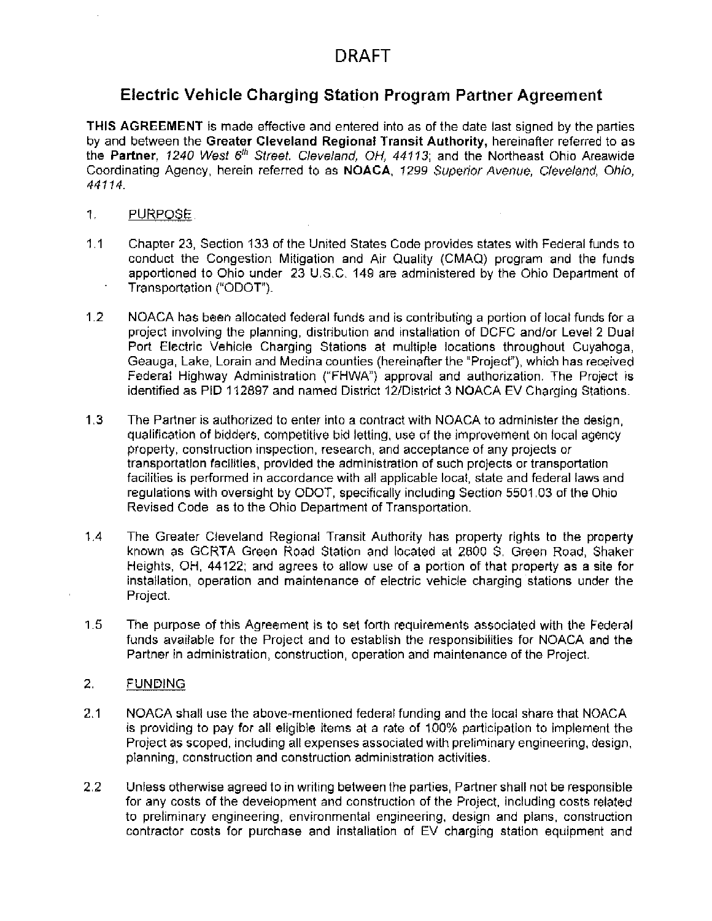# Electric Vehicle Charging Station Program Partner Agreement

THIS AGREEMENT is made effective and entered into as of the date last signed by the parties by and between the Greater Cleveland Regional Transit Authority, hereinafter referred to as the Partner, 1240 West 6th Street. Cleveland, OH, 44113; and the Northeast Ohio Areawide Coordinating Agency, herein referred to as NOACA, 1299 Superior Avenue, Cleveland, Ohio, 44114.

- 1. PURPOSE.
- $1.1$ Chapter 23, Section 133 of the United States Code provides states with Federal funds to conduct the Congestion Mitigation and Air Quality (CMAQ) program and the funds apportioned to Ohio under 23 U.S.C. 149 are administered by the Ohio Department of Transportation ("ODOT").
- $1.2$ NOACA has been allocated federal funds and is contributing a portion of local funds for a project involving the planning, distribution and installation of DCFC and/or Level 2 Dual Port Electric Vehicle Charging Stations at multiple locations throughout Cuyahoga, Geauga, Lake, Lorain and Medina counties (hereinafter the "Project"), which has received Federal Highway Administration ("FHWA") approval and authorization. The Project is identified as PID 112897 and named District 12/District 3 NOACA EV Charging Stations.
- $1.3$ The Partner is authorized to enter into a contract with NOACA to administer the design, qualification of bidders, competitive bid letting, use of the improvement on local agency property, construction inspection, research, and acceptance of any projects or transportation facilities, provided the administration of such projects or transportation facilities is performed in accordance with all applicable local, state and federal laws and regulations with oversight by ODOT, specifically including Section 5501.03 of the Ohio Revised Code as to the Ohio Department of Transportation.
- $1.4$ The Greater Cleveland Regional Transit Authority has property rights to the property known as GCRTA Green Road Station and located at 2800 S. Green Road, Shaker Heights, OH, 44122; and agrees to allow use of a portion of that property as a site for installation, operation and maintenance of electric vehicle charging stations under the Project.
- $1.5$ The purpose of this Agreement is to set forth requirements associated with the Federal funds available for the Project and to establish the responsibilities for NOACA and the Partner in administration, construction, operation and maintenance of the Project.
- 2. **FUNDING**
- $2.1$ NOACA shall use the above-mentioned federal funding and the local share that NOACA is providing to pay for all eligible items at a rate of 100% participation to implement the Project as scoped, including all expenses associated with preliminary engineering, design, planning, construction and construction administration activities.
- $2.2$ Unless otherwise agreed to in writing between the parties. Partner shall not be responsible for any costs of the development and construction of the Project, including costs related to preliminary engineering, environmental engineering, design and plans, construction contractor costs for purchase and installation of EV charging station equipment and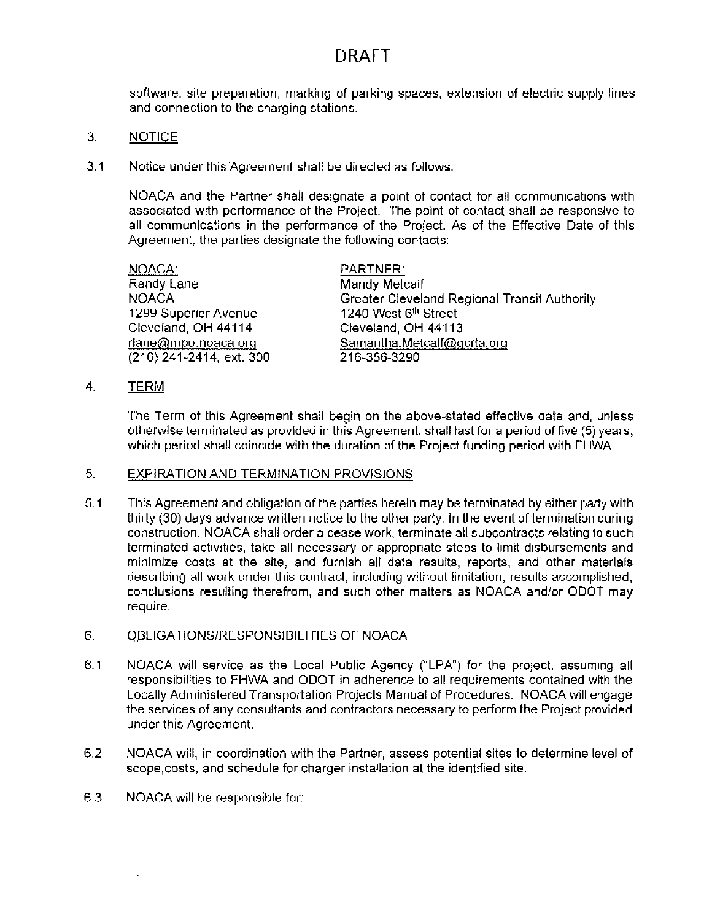software, site preparation, marking of parking spaces, extension of electric supply lines and connection to the charging stations.

- 3. **NOTICE**
- $3.1$ Notice under this Agreement shall be directed as follows:

NOACA and the Partner shall designate a point of contact for all communications with associated with performance of the Project. The point of contact shall be responsive to all communications in the performance of the Project. As of the Effective Date of this Agreement, the parties designate the following contacts:

| NOACA:                   | PARTNER:                                     |
|--------------------------|----------------------------------------------|
| Randy Lane               | Mandy Metcalf                                |
| <b>NOACA</b>             | Greater Cleveland Regional Transit Authority |
| 1299 Superior Avenue     | 1240 West 6 <sup>th</sup> Street             |
| Cleveland, OH 44114      | Cleveland, OH 44113                          |
| rlane@mpo.noaca.org      | Samantha.Metcalf@gcrta.org                   |
| (216) 241-2414, ext. 300 | 216-356-3290                                 |

 $4.$ TERM

> The Term of this Agreement shall begin on the above-stated effective date and, unless otherwise terminated as provided in this Agreement, shall last for a period of five (5) years, which period shall coincide with the duration of the Project funding period with FHWA.

### 5. **EXPIRATION AND TERMINATION PROVISIONS**

 $5.1$ This Agreement and obligation of the parties herein may be terminated by either party with thirty (30) days advance written notice to the other party. In the event of termination during construction, NOACA shall order a cease work, terminate all subcontracts relating to such terminated activities, take all necessary or appropriate steps to limit disbursements and minimize costs at the site, and furnish all data results, reports, and other materials describing all work under this contract, including without limitation, results accomplished. conclusions resulting therefrom, and such other matters as NOACA and/or ODOT may require.

### 6. OBLIGATIONS/RESPONSIBILITIES OF NOACA

- $6.1$ NOACA will service as the Local Public Agency ("LPA") for the project, assuming all responsibilities to FHWA and ODOT in adherence to all requirements contained with the Locally Administered Transportation Projects Manual of Procedures. NOACA will engage the services of any consultants and contractors necessary to perform the Project provided under this Agreement.
- $6.2$ NOACA will, in coordination with the Partner, assess potential sites to determine level of scope, costs, and schedule for charger installation at the identified site.
- 6.3 NOACA will be responsible for: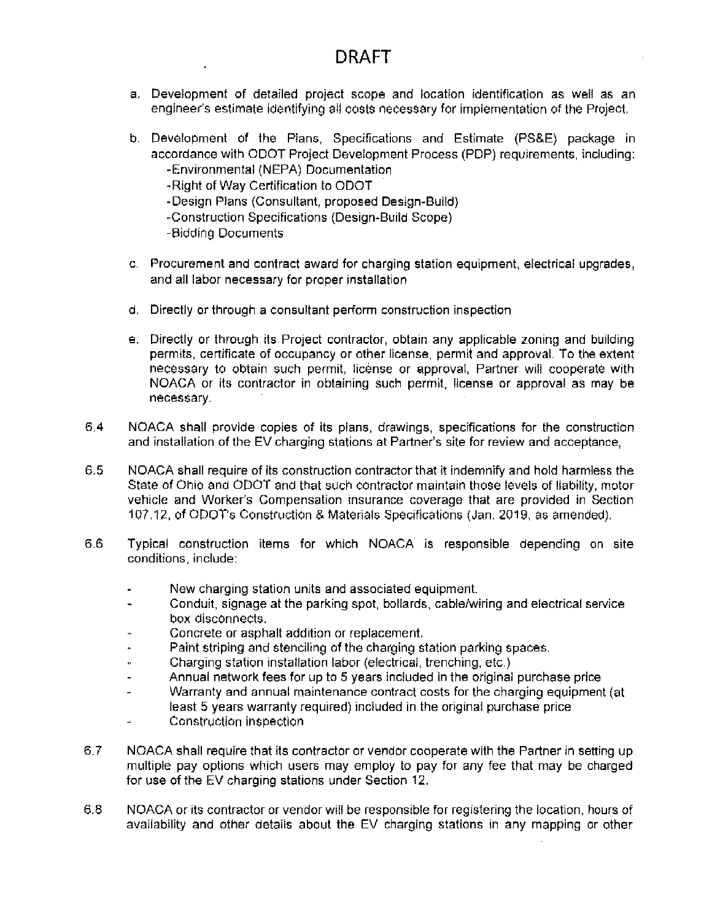- a. Development of detailed project scope and location identification as well as an engineer's estimate identifying all costs necessary for implementation of the Project.
- b. Development of the Plans, Specifications and Estimate (PS&E) package in accordance with ODOT Project Development Process (PDP) requirements, including: -Environmental (NEPA) Documentation
	-
	- -Right of Way Certification to ODOT
	- -Design Plans (Consultant, proposed Design-Build)
	- -Construction Specifications (Design-Build Scope)
	- -Bidding Documents
- c. Procurement and contract award for charging station equipment, electrical upgrades, and all labor necessary for proper installation
- d. Directly or through a consultant perform construction inspection
- e. Directly or through its Project contractor, obtain any applicable zoning and building permits, certificate of occupancy or other license, permit and approval. To the extent necessary to obtain such permit, license or approval, Partner will cooperate with NOACA or its contractor in obtaining such permit, license or approval as may be necessary.
- 6.4 NOACA shall provide copies of its plans, drawings, specifications for the construction and installation of the EV charging stations at Partner's site for review and acceptance,
- 6.5 NOACA shall require of its construction contractor that it indemnify and hold harmless the State of Ohio and ODOT and that such contractor maintain those levels of liability, motor vehicle and Worker's Compensation insurance coverage that are provided in Section 107.12, of ODOT's Construction & Materials Specifications (Jan. 2019, as amended).
- 6.6 Typical construction items for which NOACA is responsible depending on site conditions, include:
	- New charging station units and associated equipment.
	- Conduit, signage at the parking spot, bollards, cable/wiring and electrical service  $\ddot{\phantom{1}}$ box disconnects.
	- Concrete or asphalt addition or replacement.
	- Paint striping and stenciling of the charging station parking spaces. a.
	- Charging station installation labor (electrical, trenching, etc.)  $\blacksquare$
	- Annual network fees for up to 5 years included in the original purchase price ш
	- Warranty and annual maintenance contract costs for the charging equipment (at  $\overline{a}$ least 5 years warranty required) included in the original purchase price
	- Construction inspection ш.
- $6.7$ NOACA shall require that its contractor or vendor cooperate with the Partner in setting up multiple pay options which users may employ to pay for any fee that may be charged for use of the EV charging stations under Section 12.
- 6.8 NOACA or its contractor or vendor will be responsible for registering the location, hours of availability and other details about the EV charging stations in any mapping or other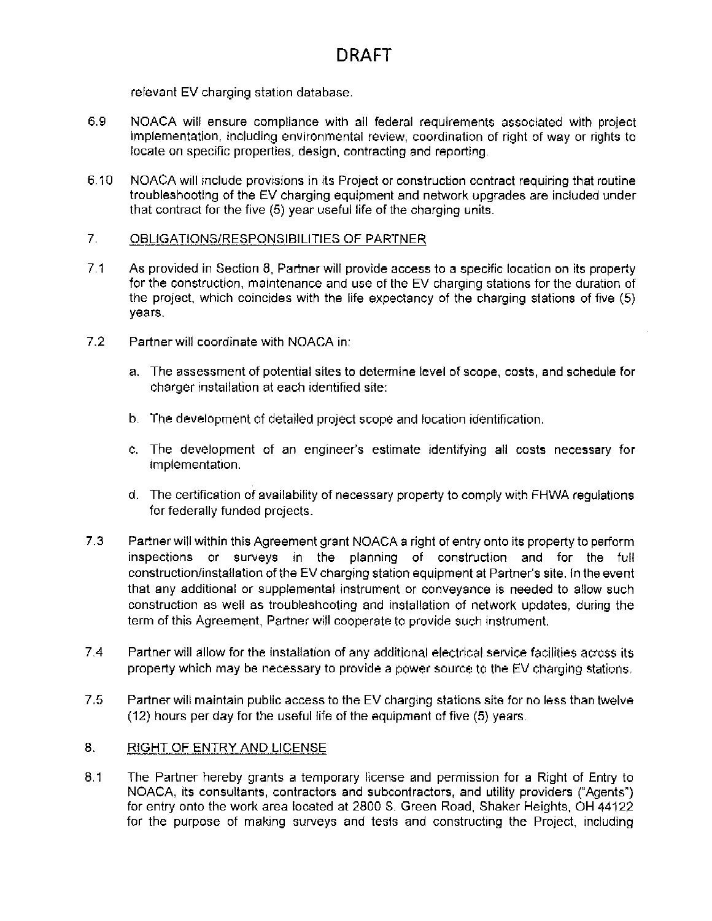relevant EV charging station database.

- 6.9 NOACA will ensure compliance with all federal requirements associated with project implementation, including environmental review, coordination of right of way or rights to locate on specific properties, design, contracting and reporting.
- $6.10$ NOACA will include provisions in its Project or construction contract requiring that routine troubleshooting of the EV charging equipment and network upgrades are included under that contract for the five (5) year useful life of the charging units.

### $7<sub>1</sub>$ OBLIGATIONS/RESPONSIBILITIES OF PARTNER

- $7.1$ As provided in Section 8, Partner will provide access to a specific location on its property for the construction, maintenance and use of the EV charging stations for the duration of the project, which coincides with the life expectancy of the charging stations of five (5) years.
- $7.2$ Partner will coordinate with NOACA in:
	- a. The assessment of potential sites to determine level of scope, costs, and schedule for charger installation at each identified site:
	- b. The development of detailed project scope and location identification.
	- c. The development of an engineer's estimate identifying all costs necessary for implementation.
	- d. The certification of availability of necessary property to comply with FHWA requiations for federally funded projects.
- $7.3$ Partner will within this Agreement grant NOACA a right of entry onto its property to perform inspections or surveys in the planning of construction and for the full construction/installation of the EV charging station equipment at Partner's site. In the event that any additional or supplemental instrument or conveyance is needed to allow such construction as well as troubleshooting and installation of network updates, during the term of this Agreement. Partner will cooperate to provide such instrument.
- $7.4$ Partner will allow for the installation of any additional electrical service facilities across its property which may be necessary to provide a power source to the EV charging stations.
- 7.5 Partner will maintain public access to the EV charging stations site for no less than twelve (12) hours per day for the useful life of the equipment of five (5) years.

### 8. RIGHT OF ENTRY AND LICENSE

8.1 The Partner hereby grants a temporary license and permission for a Right of Entry to NOACA, its consultants, contractors and subcontractors, and utility providers ("Agents") for entry onto the work area located at 2800 S. Green Road, Shaker Heights, OH 44122 for the purpose of making surveys and tests and constructing the Project, including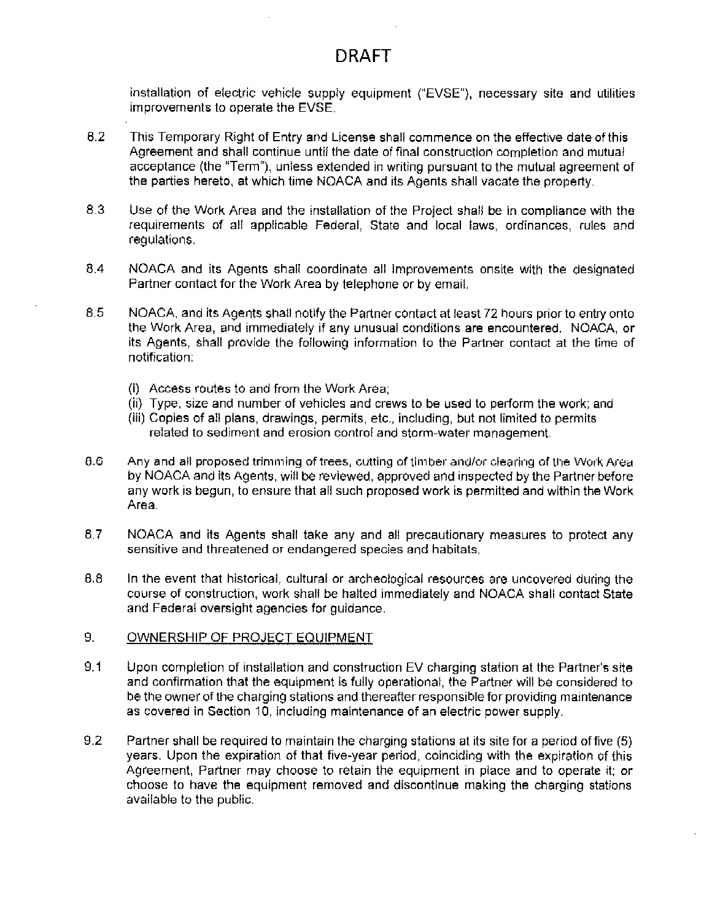installation of electric vehicle supply equipment ("EVSE"), necessary site and utilities improvements to operate the EVSE.

- 8.2 This Temporary Right of Entry and License shall commence on the effective date of this Agreement and shall continue until the date of final construction completion and mutual acceptance (the "Term"), unless extended in writing pursuant to the mutual agreement of the parties hereto, at which time NOACA and its Agents shall vacate the property.
- 8.3 Use of the Work Area and the installation of the Project shall be in compliance with the requirements of all applicable Federal. State and local laws, ordinances, rules and regulations.
- $8.4$ NOACA and its Agents shall coordinate all improvements onsite with the designated Partner contact for the Work Area by telephone or by email.
- 8.5 NOACA, and its Agents shall notify the Partner contact at least 72 hours prior to entry onto the Work Area, and immediately if any unusual conditions are encountered. NOACA, or its Agents, shall provide the following information to the Partner contact at the time of notification:
	- (i) Access routes to and from the Work Area;
	- (ii) Type, size and number of vehicles and crews to be used to perform the work; and
	- (iii) Copies of all plans, drawings, permits, etc., including, but not limited to permits related to sediment and erosion control and storm-water management.
- 8.6 Any and all proposed trimming of trees, cutting of timber and/or clearing of the Work Area by NOACA and its Agents, will be reviewed, approved and inspected by the Partner before any work is begun, to ensure that all such proposed work is permitted and within the Work Area.
- 8.7 NOACA and its Agents shall take any and all precautionary measures to protect any sensitive and threatened or endangered species and habitats.
- $8.8$ In the event that historical, cultural or archeological resources are uncovered during the course of construction, work shall be halted immediately and NOACA shall contact State and Federal oversight agencies for guidance.

### 9. OWNERSHIP OF PROJECT EQUIPMENT

- $9,1$ Upon completion of installation and construction EV charging station at the Partner's site and confirmation that the equipment is fully operational, the Partner will be considered to be the owner of the charging stations and thereafter responsible for providing maintenance as covered in Section 10, including maintenance of an electric power supply.
- $9.2$ Partner shall be required to maintain the charging stations at its site for a period of five (5) years. Upon the expiration of that five-year period, coinciding with the expiration of this Agreement. Partner may choose to retain the equipment in place and to operate it: or choose to have the equipment removed and discontinue making the charging stations available to the public.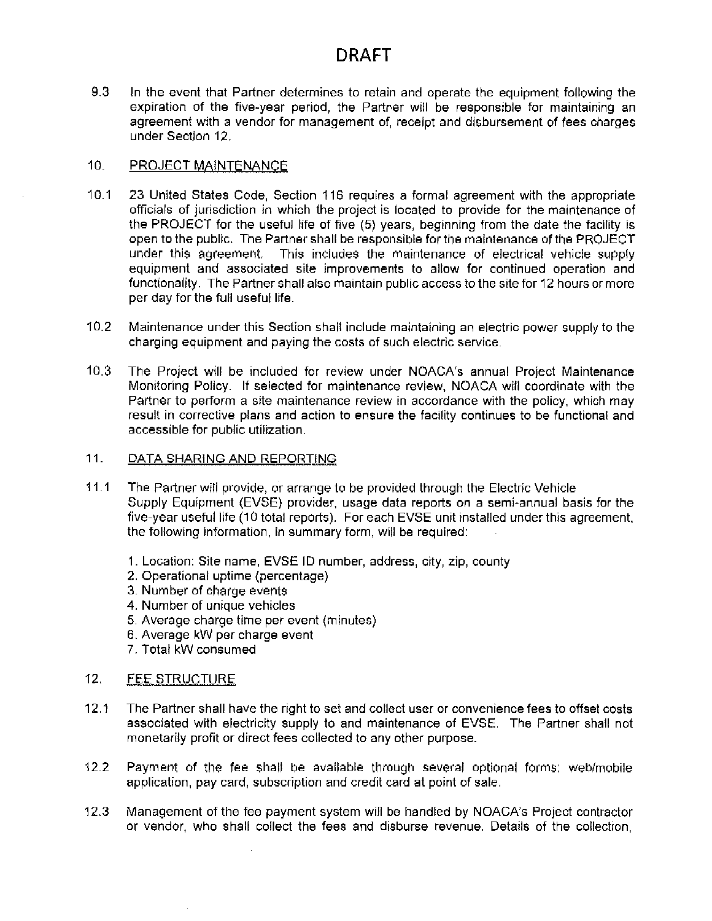$9.3$ In the event that Partner determines to retain and operate the equipment following the expiration of the five-year period, the Partner will be responsible for maintaining an agreement with a vendor for management of, receipt and disbursement of fees charges under Section 12.

### $10<sub>1</sub>$ PROJECT MAINTENANCE

- $10.1$ 23 United States Code, Section 116 requires a formal agreement with the appropriate officials of jurisdiction in which the project is located to provide for the maintenance of the PROJECT for the useful life of five (5) years, beginning from the date the facility is open to the public. The Partner shall be responsible for the maintenance of the PROJECT under this agreement. This includes the maintenance of electrical vehicle supply equipment and associated site improvements to allow for continued operation and functionality. The Partner shall also maintain public access to the site for 12 hours or more per day for the full useful life.
- $10.2$ Maintenance under this Section shall include maintaining an electric power supply to the charging equipment and paying the costs of such electric service.
- $10.3$ The Project will be included for review under NOACA's annual Project Maintenance Monitoring Policy. If selected for maintenance review, NOACA will coordinate with the Partner to perform a site maintenance review in accordance with the policy, which may result in corrective plans and action to ensure the facility continues to be functional and accessible for public utilization.
- $11.$ DATA SHARING AND REPORTING
- $11.1$ The Partner will provide, or arrange to be provided through the Electric Vehicle Supply Equipment (EVSE) provider, usage data reports on a semi-annual basis for the five-year useful life (10 total reports). For each EVSE unit installed under this agreement, the following information, in summary form, will be required:
	- 1. Location: Site name, EVSE ID number, address, city, zip, county
	- 2. Operational uptime (percentage)
	- 3. Number of charge events
	- 4. Number of unique vehicles
	- 5. Average charge time per event (minutes)
	- 6. Average kW per charge event
	- 7. Total kW consumed

### $12.$ **FEE STRUCTURE**

- $12.1$ The Partner shall have the right to set and collect user or convenience fees to offset costs associated with electricity supply to and maintenance of EVSE. The Partner shall not monetarily profit or direct fees collected to any other purpose.
- $12.2$ Payment of the fee shall be available through several optional forms: web/mobile application, pay card, subscription and credit card at point of sale.
- $12.3$ Management of the fee payment system will be handled by NOACA's Project contractor or vendor, who shall collect the fees and disburse revenue. Details of the collection,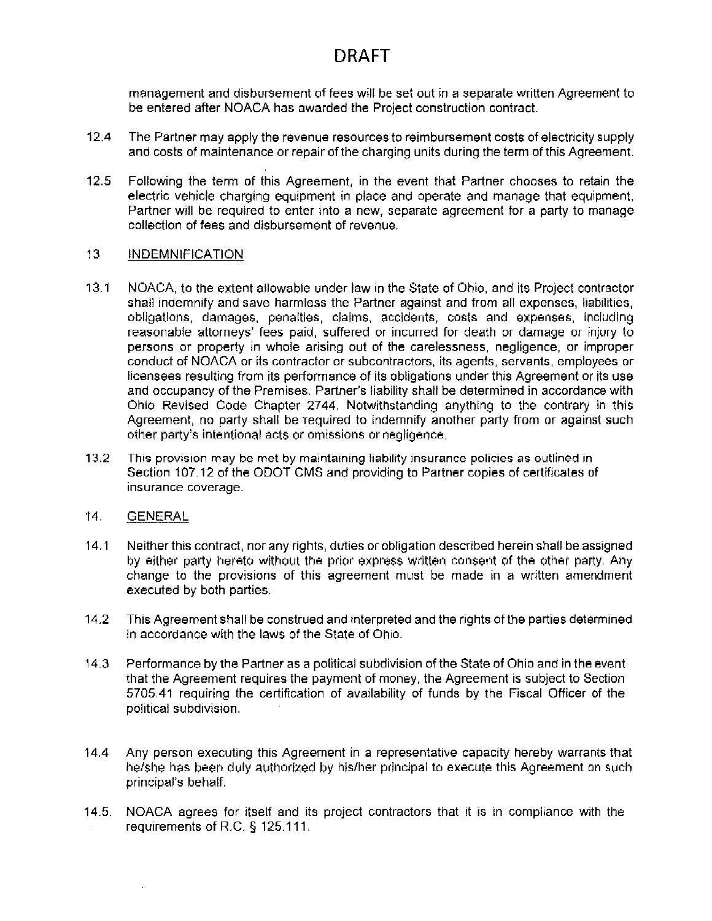management and disbursement of fees will be set out in a separate written Agreement to be entered after NOACA has awarded the Project construction contract.

- $12.4$ The Partner may apply the revenue resources to reimbursement costs of electricity supply and costs of maintenance or repair of the charging units during the term of this Agreement.
- $12.5$ Following the term of this Agreement, in the event that Partner chooses to retain the electric vehicle charging equipment in place and operate and manage that equipment, Partner will be required to enter into a new, separate agreement for a party to manage collection of fees and disbursement of revenue.

### $13<sub>1</sub>$ **INDEMNIFICATION**

- $13.1$ NOACA, to the extent allowable under law in the State of Ohio, and its Project contractor shall indemnify and save harmless the Partner against and from all expenses, liabilities, obligations, damages, penalties, claims, accidents, costs and expenses, including reasonable attorneys' fees paid, suffered or incurred for death or damage or injury to persons or property in whole arising out of the carelessness, negligence, or improper conduct of NOACA or its contractor or subcontractors, its agents, servants, employees or licensees resulting from its performance of its obligations under this Agreement or its use and occupancy of the Premises. Partner's liability shall be determined in accordance with Ohio Revised Code Chapter 2744. Notwithstanding anything to the contrary in this Agreement, no party shall be required to indernify another party from or against such other party's intentional acts or omissions or negligence.
- $13.2$ This provision may be met by maintaining liability insurance policies as outlined in Section 107.12 of the ODOT CMS and providing to Partner copies of certificates of insurance coverage.

### 14. **GENERAL**

- $14.1$ Neither this contract, nor any rights, duties or obligation described herein shall be assigned by either party hereto without the prior express written consent of the other party. Any change to the provisions of this agreement must be made in a written amendment executed by both parties.
- $14.2$ This Agreement shall be construed and interpreted and the rights of the parties determined in accordance with the laws of the State of Ohio.
- $14.3$ Performance by the Partner as a political subdivision of the State of Ohio and in the event that the Agreement requires the payment of money, the Agreement is subject to Section 5705.41 requiring the certification of availability of funds by the Fiscal Officer of the political subdivision.
- Any person executing this Agreement in a representative capacity hereby warrants that  $14.4$ he/she has been duly authorized by his/her principal to execute this Agreement on such principal's behalf.
- 14.5. NOACA agrees for itself and its project contractors that it is in compliance with the requirements of R.C. § 125.111.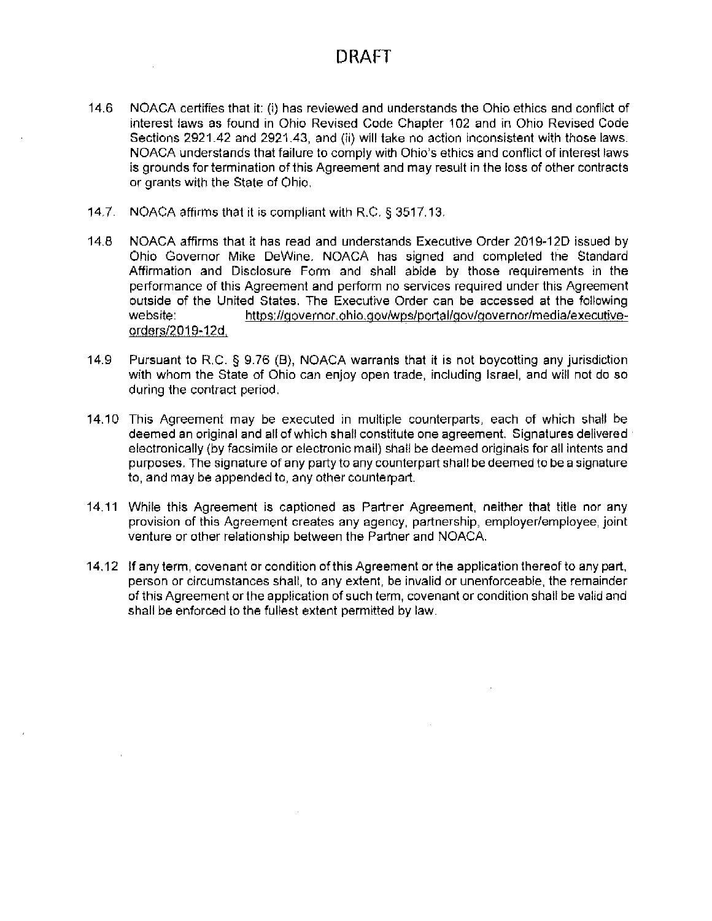- 14.6 NOACA certifies that it: (i) has reviewed and understands the Ohio ethics and conflict of interest laws as found in Ohio Revised Code Chapter 102 and in Ohio Revised Code Sections 2921.42 and 2921.43, and (ii) will take no action inconsistent with those laws. NOACA understands that failure to comply with Ohio's ethics and conflict of interest laws is grounds for termination of this Agreement and may result in the loss of other contracts or grants with the State of Ohio.
- $14.7$ NOACA affirms that it is compliant with R.C. § 3517.13.
- $14.8$ NOACA affirms that it has read and understands Executive Order 2019-12D issued by Ohio Governor Mike DeWine, NOACA has signed and completed the Standard Affirmation and Disclosure Form and shall abide by those requirements in the performance of this Agreement and perform no services required under this Agreement outside of the United States. The Executive Order can be accessed at the following website: https://governor.ohio.gov/wps/portal/gov/governor/media/executiveorders/2019-12d.
- 14.9 Pursuant to R.C. § 9.76 (B), NOACA warrants that it is not boycotting any jurisdiction with whom the State of Ohio can enjoy open trade, including Israel, and will not do so during the contract period.
- 14.10 This Agreement may be executed in multiple counterparts, each of which shall be deemed an original and all of which shall constitute one agreement. Signatures delivered electronically (by facsimile or electronic mail) shall be deemed originals for all intents and purposes. The signature of any party to any counterpart shall be deemed to be a signature to, and may be appended to, any other counterpart.
- 14.11 While this Agreement is captioned as Partner Agreement, neither that title nor any provision of this Agreement creates any agency, partnership, employer/employee, joint venture or other relationship between the Partner and NOACA.
- 14.12 If any term, covenant or condition of this Agreement or the application thereof to any part, person or circumstances shall, to any extent, be invalid or unenforceable, the remainder of this Agreement or the application of such term, covenant or condition shall be valid and shall be enforced to the fullest extent permitted by law.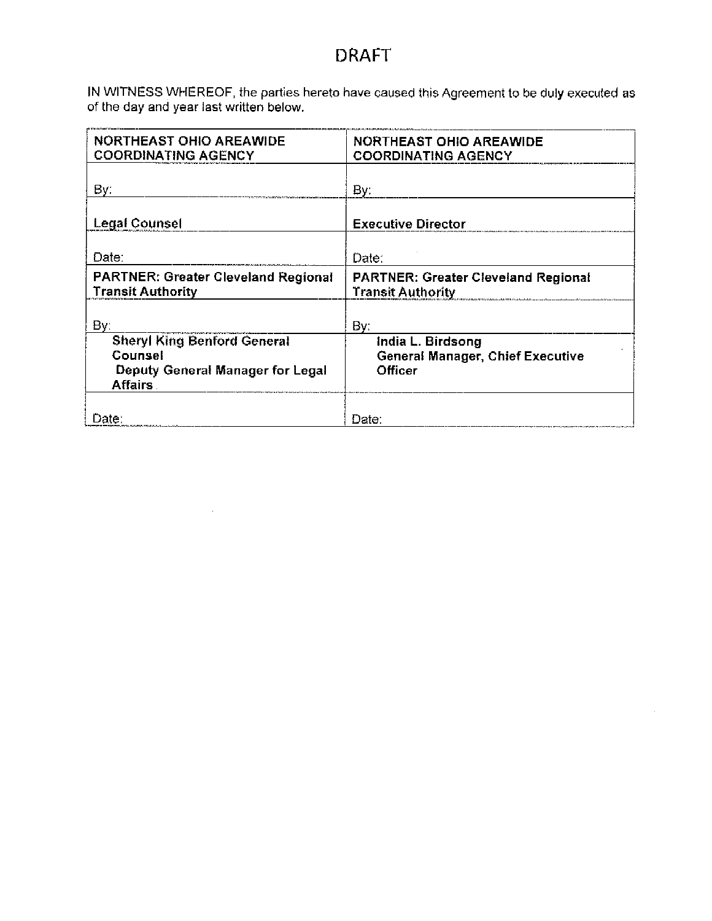IN WITNESS WHEREOF, the parties hereto have caused this Agreement to be duly executed as of the day and year last written below.

| <b>NORTHEAST OHIO AREAWIDE</b><br><b>COORDINATING AGENCY</b>                                        | <b>NORTHEAST OHIO AREAWIDE</b><br><b>COORDINATING AGENCY</b>           |
|-----------------------------------------------------------------------------------------------------|------------------------------------------------------------------------|
| By:                                                                                                 | By:                                                                    |
| <b>Legal Counsel</b>                                                                                | <b>Executive Director</b>                                              |
| Date:                                                                                               | Date:                                                                  |
| <b>PARTNER: Greater Cleveland Regional</b><br><b>Transit Authority</b>                              | <b>PARTNER: Greater Cleveland Regional</b><br><b>Transit Authority</b> |
| Bγ∶                                                                                                 | By:                                                                    |
| <b>Sheryl King Benford General</b><br>Counsel<br>Deputy General Manager for Legal<br><b>Affairs</b> | India L. Birdsong<br>General Manager, Chief Executive<br>Officer       |
| Date:<br>if which is a small with a more company                                                    | Date:                                                                  |

 $\bar{z}$ 

 $\mathcal{L}^{\text{max}}_{\text{max}}$  , where  $\mathcal{L}^{\text{max}}_{\text{max}}$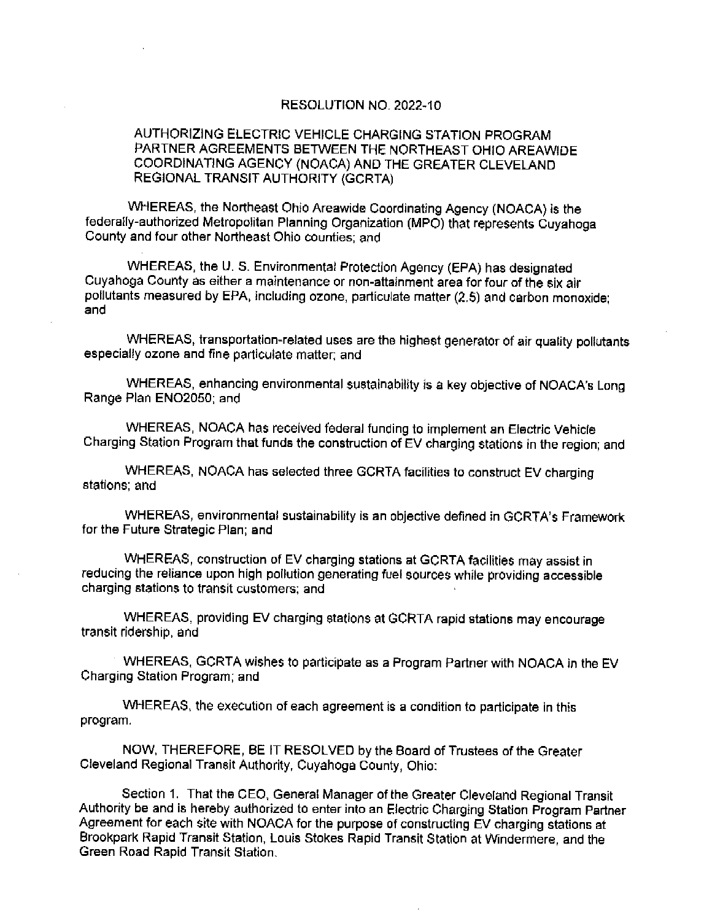### RESOLUTION NO. 2022-10

### AUTHORIZING ELECTRIC VEHICLE CHARGING STATION PROGRAM PARTNER AGREEMENTS BETWEEN THE NORTHEAST OHIO AREAWIDE COORDINATING AGENCY (NOACA) AND THE GREATER CLEVELAND REGIONAL TRANSIT AUTHORITY (GCRTA)

WHEREAS, the Northeast Ohio Areawide Coordinating Agency (NOACA) is the federally-authorized Metropolitan Planning Organization (MPO) that represents Cuyahoga County and four other Northeast Ohio counties; and

WHEREAS, the U. S. Environmental Protection Agency (EPA) has designated Cuyahoga County as either a maintenance or non-attainment area for four of the six air pollutants measured by EPA, including ozone, particulate matter (2.5) and carbon monoxide; and

WHEREAS, transportation-related uses are the highest generator of air quality pollutants especially ozone and fine particulate matter; and

WHEREAS, enhancing environmental sustainability is a key objective of NOACA's Long Range Plan ENO2050; and

WHEREAS, NOACA has received federal funding to implement an Electric Vehicle Charging Station Program that funds the construction of EV charging stations in the region; and

WHEREAS, NOACA has selected three GCRTA facilities to construct EV charging stations; and

WHEREAS, environmental sustainability is an objective defined in GCRTA's Framework for the Future Strategic Plan; and

WHEREAS, construction of EV charging stations at GCRTA facilities may assist in reducing the reliance upon high pollution generating fuel sources while providing accessible charging stations to transit customers; and

WHEREAS, providing EV charging stations at GCRTA rapid stations may encourage transit ridership, and

WHEREAS, GCRTA wishes to participate as a Program Partner with NOACA in the EV Charging Station Program; and

WHEREAS, the execution of each agreement is a condition to participate in this program.

NOW, THEREFORE, BE IT RESOLVED by the Board of Trustees of the Greater Cleveland Regional Transit Authority, Cuyahoga County, Ohio:

Section 1. That the CEO, General Manager of the Greater Cleveland Regional Transit Authority be and is hereby authorized to enter into an Electric Charging Station Program Partner Agreement for each site with NOACA for the purpose of constructing EV charging stations at Brookpark Rapid Transit Station, Louis Stokes Rapid Transit Station at Windermere, and the Green Road Rapid Transit Station.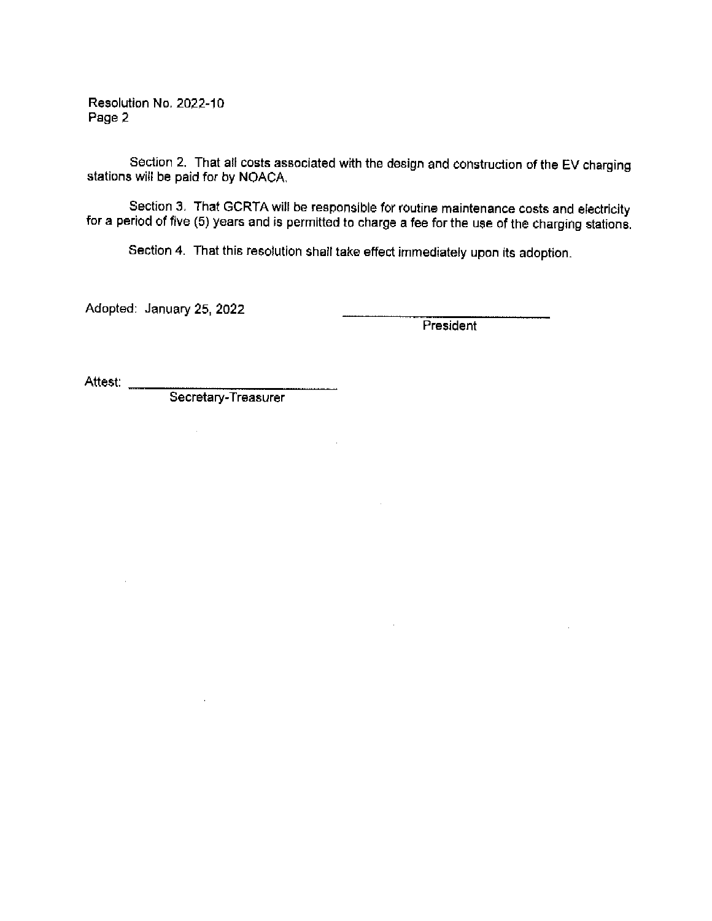Resolution No. 2022-10 Page 2

Section 2. That all costs associated with the design and construction of the EV charging stations will be paid for by NOACA.

Section 3. That GCRTA will be responsible for routine maintenance costs and electricity for a period of five (5) years and is permitted to charge a fee for the use of the charging stations.

Section 4. That this resolution shall take effect immediately upon its adoption.

 $\sim$ 

 $\mathcal{L}_{\mathcal{A}}$ 

Adopted: January 25, 2022

President

Attest: \_\_\_\_

Secretary-Treasurer

 $\sim$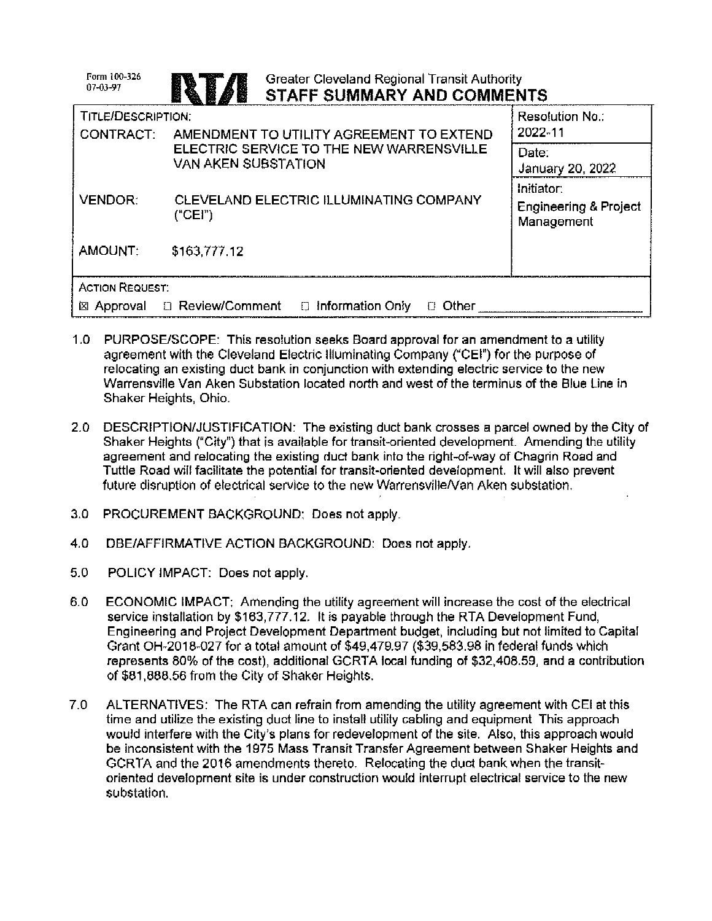| Form 100-326<br>07-03-97  | <b>Greater Cleveland Regional Transit Authority</b><br>STAFF SUMMARY AND COMMENTS    |                                                              |
|---------------------------|--------------------------------------------------------------------------------------|--------------------------------------------------------------|
| <b>TITLE/DESCRIPTION:</b> |                                                                                      | <b>Resolution No.∶</b><br>2022-11                            |
| <b>CONTRACT:</b>          | AMENDMENT TO UTILITY AGREEMENT TO EXTEND<br>ELECTRIC SERVICE TO THE NEW WARRENSVILLE | Date:                                                        |
|                           | <b>VAN AKEN SUBSTATION</b>                                                           | January 20, 2022                                             |
| <b>VENDOR:</b>            | CLEVELAND ELECTRIC ILLUMINATING COMPANY<br>("CEI")                                   | Initiator:<br><b>Engineering &amp; Project</b><br>Management |
| AMOUNT:                   | \$163,777.12                                                                         |                                                              |
| <b>ACTION REQUEST:</b>    |                                                                                      |                                                              |
| ⊠ Approval                | □ Review/Comment<br>$\Box$ Information Only<br>Other                                 |                                                              |

- 1.0 PURPOSE/SCOPE: This resolution seeks Board approval for an amendment to a utility agreement with the Cleveland Electric Illuminating Company ("CEI") for the purpose of relocating an existing duct bank in conjunction with extending electric service to the new Warrensville Van Aken Substation located north and west of the terminus of the Blue Line in Shaker Heights, Ohio.
- 2.0 DESCRIPTION/JUSTIFICATION: The existing duct bank crosses a parcel owned by the City of Shaker Heights ("City") that is available for transit-oriented development. Amending the utility agreement and relocating the existing duct bank into the right-of-way of Chagrin Road and Tuttle Road will facilitate the potential for transit-oriented development. It will also prevent future disruption of electrical service to the new Warrensville/Van Aken substation.
- 3.0 PROCUREMENT BACKGROUND: Does not apply.
- $4.0$ DBE/AFFIRMATIVE ACTION BACKGROUND: Does not apply.
- $5.0$ POLICY IMPACT: Does not apply.
- 6.0 ECONOMIC IMPACT: Amending the utility agreement will increase the cost of the electrical service installation by \$163.777.12. It is payable through the RTA Development Fund. Engineering and Project Development Department budget, including but not limited to Capital Grant OH-2018-027 for a total amount of \$49,479.97 (\$39,583.98 in federal funds which represents 80% of the cost), additional GCRTA local funding of \$32,408.59, and a contribution of \$81,888.56 from the City of Shaker Heights.
- $7.0$ ALTERNATIVES: The RTA can refrain from amending the utility agreement with CEI at this time and utilize the existing duct line to install utility cabling and equipment This approach would interfere with the City's plans for redevelopment of the site. Also, this approach would be inconsistent with the 1975 Mass Transit Transfer Agreement between Shaker Heights and GCRTA and the 2016 amendments thereto. Relocating the duct bank when the transitoriented development site is under construction would interrupt electrical service to the new substation.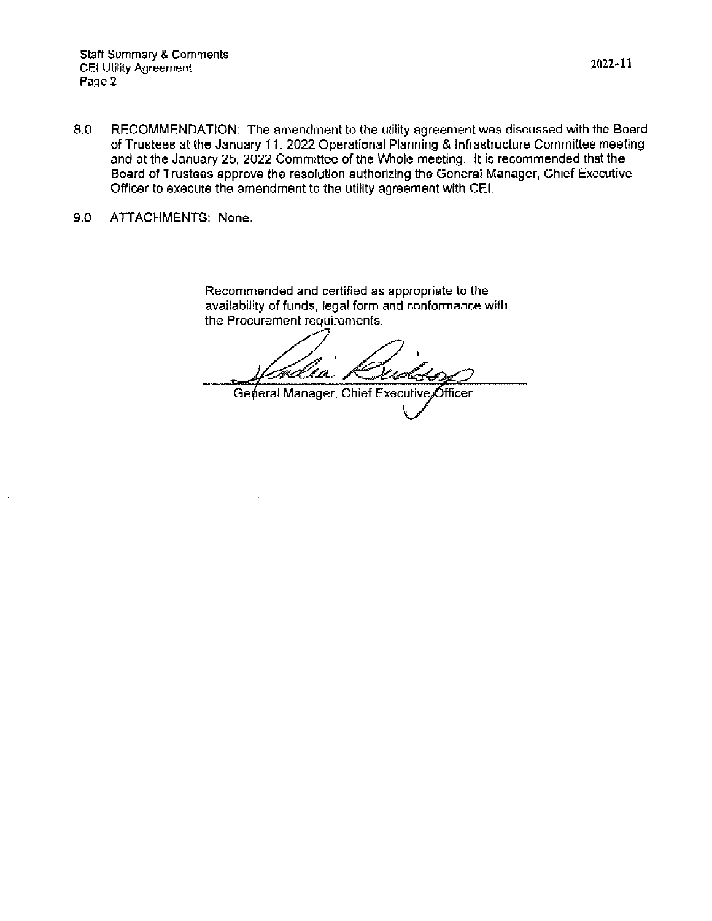**Staff Summary & Comments** CEI Utility Agreement Page 2

- 8.0 RECOMMENDATION: The amendment to the utility agreement was discussed with the Board of Trustees at the January 11, 2022 Operational Planning & Infrastructure Committee meeting and at the January 25, 2022 Committee of the Whole meeting. It is recommended that the Board of Trustees approve the resolution authorizing the General Manager, Chief Executive Officer to execute the amendment to the utility agreement with CEI.
- $9.0$ ATTACHMENTS: None.

Recommended and certified as appropriate to the availability of funds, legal form and conformance with the Procurement requirements.

R. L. C. C. فحصيت

General Manager, Chief Executive Officer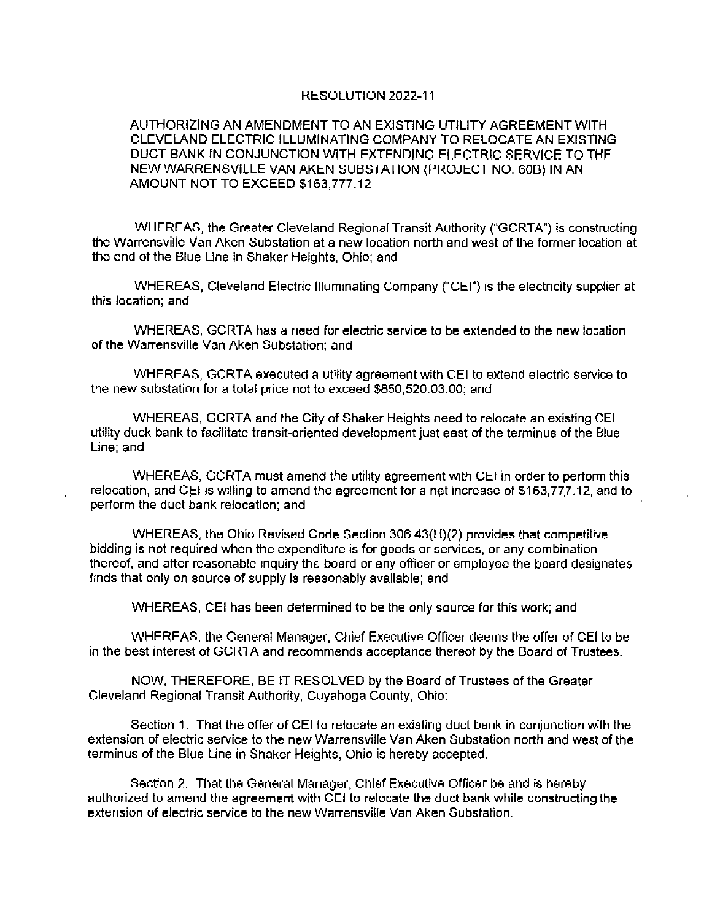### RESOLUTION 2022-11

### AUTHORIZING AN AMENDMENT TO AN EXISTING UTILITY AGREEMENT WITH CLEVELAND ELECTRIC ILLUMINATING COMPANY TO RELOCATE AN EXISTING DUCT BANK IN CONJUNCTION WITH EXTENDING ELECTRIC SERVICE TO THE NEW WARRENSVILLE VAN AKEN SUBSTATION (PROJECT NO. 60B) IN AN AMOUNT NOT TO EXCEED \$163,777.12

WHEREAS, the Greater Cleveland Regional Transit Authority ("GCRTA") is constructing the Warrensville Van Aken Substation at a new location north and west of the former location at the end of the Blue Line in Shaker Heights, Ohio; and

WHEREAS, Cleveland Electric Illuminating Company ("CEI") is the electricity supplier at this location; and

WHEREAS, GCRTA has a need for electric service to be extended to the new location of the Warrensville Van Aken Substation; and

WHEREAS, GCRTA executed a utility agreement with CEI to extend electric service to the new substation for a total price not to exceed \$850,520.03.00; and

WHEREAS, GCRTA and the City of Shaker Heights need to relocate an existing CEI utility duck bank to facilitate transit-oriented development just east of the terminus of the Blue Line: and

WHEREAS, GCRTA must amend the utility agreement with CEI in order to perform this relocation, and CEI is willing to amend the agreement for a net increase of \$163,777.12, and to perform the duct bank relocation; and

WHEREAS, the Ohio Revised Code Section 306.43(H)(2) provides that competitive bidding is not required when the expenditure is for goods or services, or any combination thereof, and after reasonable inquiry the board or any officer or employee the board designates finds that only on source of supply is reasonably available; and

WHEREAS, CEI has been determined to be the only source for this work; and

WHEREAS, the General Manager, Chief Executive Officer deems the offer of CEI to be in the best interest of GCRTA and recommends acceptance thereof by the Board of Trustees.

NOW, THEREFORE, BE IT RESOLVED by the Board of Trustees of the Greater Cleveland Regional Transit Authority, Cuyahoga County, Ohio:

Section 1. That the offer of CEI to relocate an existing duct bank in conjunction with the extension of electric service to the new Warrensville Van Aken Substation north and west of the terminus of the Blue Line in Shaker Heights, Ohio is hereby accepted.

Section 2. That the General Manager, Chief Executive Officer be and is hereby authorized to amend the agreement with CEI to relocate the duct bank while constructing the extension of electric service to the new Warrensville Van Aken Substation.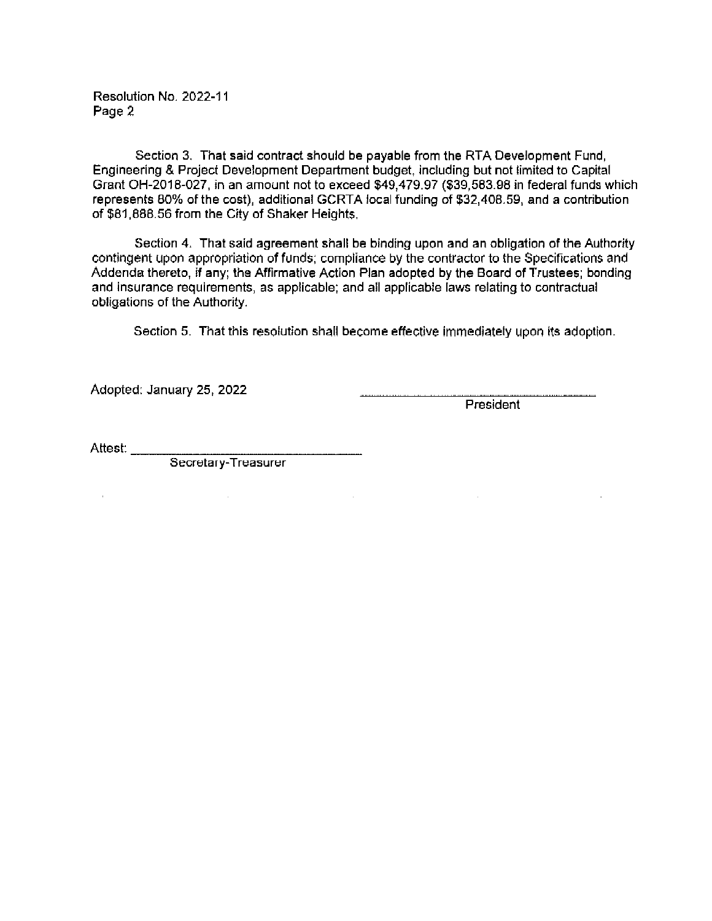Resolution No. 2022-11 Page 2

Section 3. That said contract should be payable from the RTA Development Fund, Engineering & Project Development Department budget, including but not limited to Capital Grant OH-2018-027, in an amount not to exceed \$49,479.97 (\$39,583.98 in federal funds which represents 80% of the cost), additional GCRTA local funding of \$32,408.59, and a contribution of \$81,888.56 from the City of Shaker Heights.

Section 4. That said agreement shall be binding upon and an obligation of the Authority contingent upon appropriation of funds; compliance by the contractor to the Specifications and Addenda thereto, if any; the Affirmative Action Plan adopted by the Board of Trustees; bonding and insurance requirements, as applicable; and all applicable laws relating to contractual obligations of the Authority.

Section 5. That this resolution shall become effective immediately upon its adoption.

 $\sim 10^{-10}$ 

Adopted: January 25, 2022

President

 $\sim 10^{-11}$ 

Attest:

 $\alpha$  .

 $\sim 10^{-10}$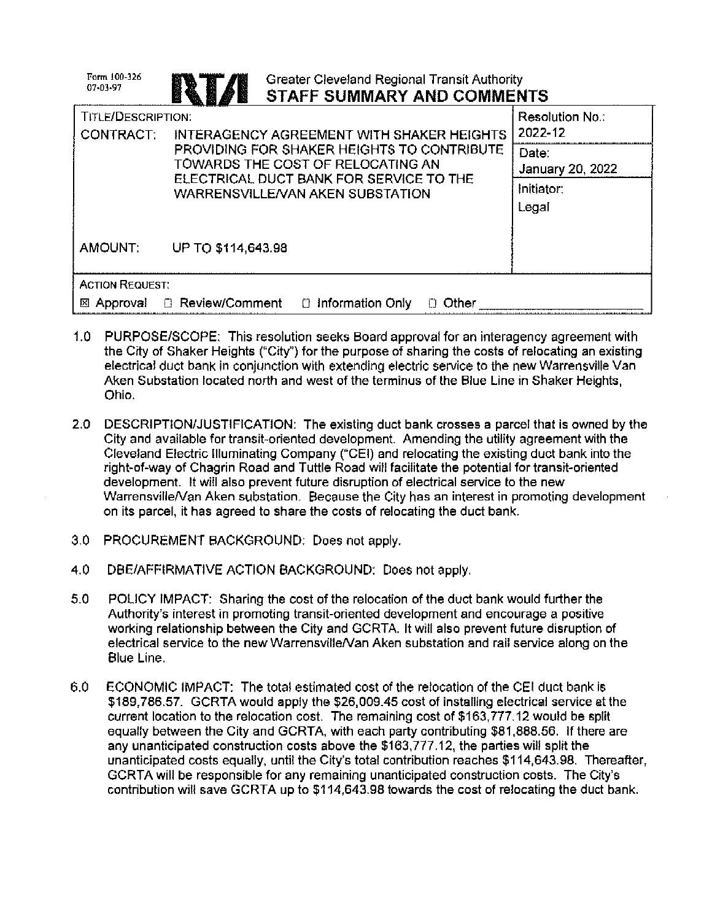| Form 100-326<br>07-03-97               | <b>Greater Cleveland Regional Transit Authority</b><br><b>STAFF SUMMARY AND COMMENTS</b>                                                                       |                                                  |
|----------------------------------------|----------------------------------------------------------------------------------------------------------------------------------------------------------------|--------------------------------------------------|
| <b>TITLE/DESCRIPTION:</b><br>CONTRACT: | <b>INTERAGENCY AGREEMENT WITH SHAKER HEIGHTS</b>                                                                                                               | Resolution No.:<br>2022-12                       |
|                                        | PROVIDING FOR SHAKER HEIGHTS TO CONTRIBUTE<br>TOWARDS THE COST OF RELOCATING AN<br>ELECTRICAL DUCT BANK FOR SERVICE TO THE<br>WARRENSVILLE/VAN AKEN SUBSTATION | Date:<br>January 20, 2022<br>Initiator:<br>Legal |
| AMOUNT:                                | UP TO \$114,643.98                                                                                                                                             |                                                  |
| <b>ACTION REQUEST:</b>                 |                                                                                                                                                                |                                                  |
|                                        | ⊠ Approval [ Review/Comment<br>⊟ Information Only<br>Other                                                                                                     |                                                  |

- 1.0 PURPOSE/SCOPE: This resolution seeks Board approval for an interagency agreement with the City of Shaker Heights ("City") for the purpose of sharing the costs of relocating an existing electrical duct bank in conjunction with extending electric service to the new Warrensville Van Aken Substation located north and west of the terminus of the Blue Line in Shaker Heights. Ohio.
- 2.0 DESCRIPTION/JUSTIFICATION: The existing duct bank crosses a parcel that is owned by the City and available for transit-oriented development. Amending the utility agreement with the Cleveland Electric Illuminating Company ("CEI) and relocating the existing duct bank into the right-of-way of Chagrin Road and Tuttle Road will facilitate the potential for transit-oriented development. It will also prevent future disruption of electrical service to the new Warrensville/Van Aken substation. Because the City has an interest in promoting development on its parcel, it has agreed to share the costs of relocating the duct bank.
- 3.0 PROCUREMENT BACKGROUND: Does not apply.
- 4.0 DBE/AFFIRMATIVE ACTION BACKGROUND: Does not apply.
- 5.0 POLICY IMPACT: Sharing the cost of the relocation of the duct bank would further the Authority's interest in promoting transit-oriented development and encourage a positive working relationship between the City and GCRTA. It will also prevent future disruption of electrical service to the new Warrensville/Van Aken substation and rail service along on the Blue Line.
- 6.0 ECONOMIC IMPACT: The total estimated cost of the relocation of the CEI duct bank is \$189,786.57. GCRTA would apply the \$26,009.45 cost of installing electrical service at the current location to the relocation cost. The remaining cost of \$163,777.12 would be split equally between the City and GCRTA, with each party contributing \$81,888.56. If there are any unanticipated construction costs above the \$163,777.12, the parties will split the unanticipated costs equally, until the City's total contribution reaches \$114,643.98. Thereafter, GCRTA will be responsible for any remaining unanticipated construction costs. The City's contribution will save GCRTA up to \$114,643.98 towards the cost of relocating the duct bank.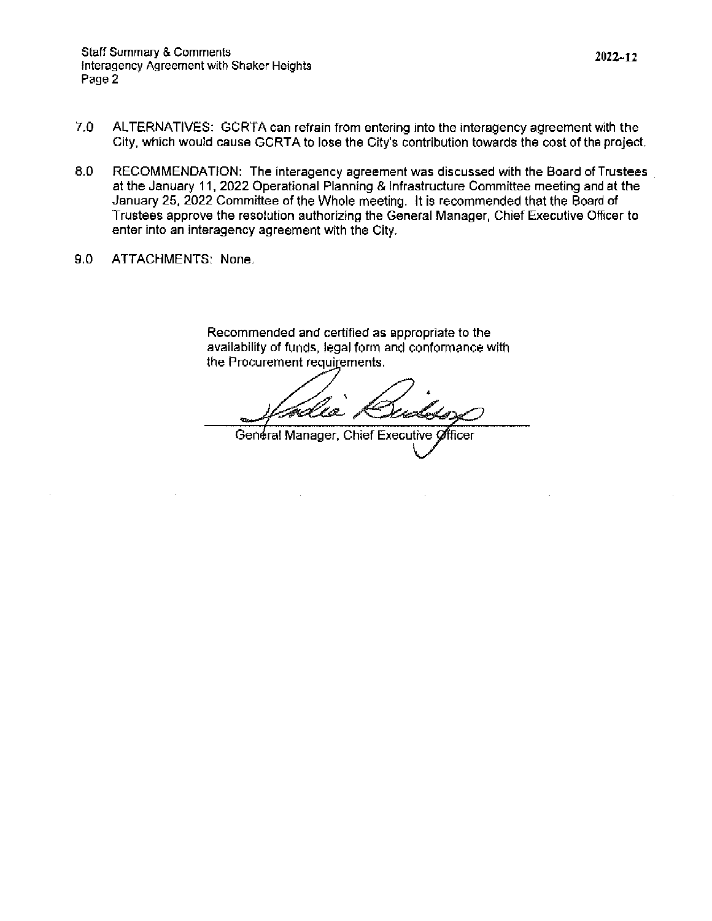- $7.0$ ALTERNATIVES: GCRTA can refrain from entering into the interagency agreement with the City, which would cause GCRTA to lose the City's contribution towards the cost of the project.
- 8.0 RECOMMENDATION: The interagency agreement was discussed with the Board of Trustees at the January 11, 2022 Operational Planning & Infrastructure Committee meeting and at the January 25, 2022 Committee of the Whole meeting. It is recommended that the Board of Trustees approve the resolution authorizing the General Manager, Chief Executive Officer to enter into an interagency agreement with the City.
- 9.0 ATTACHMENTS: None.

Recommended and certified as appropriate to the availability of funds, legal form and conformance with the Procurement requirements.

بو<br>موس

General Manager, Chief Executive Officer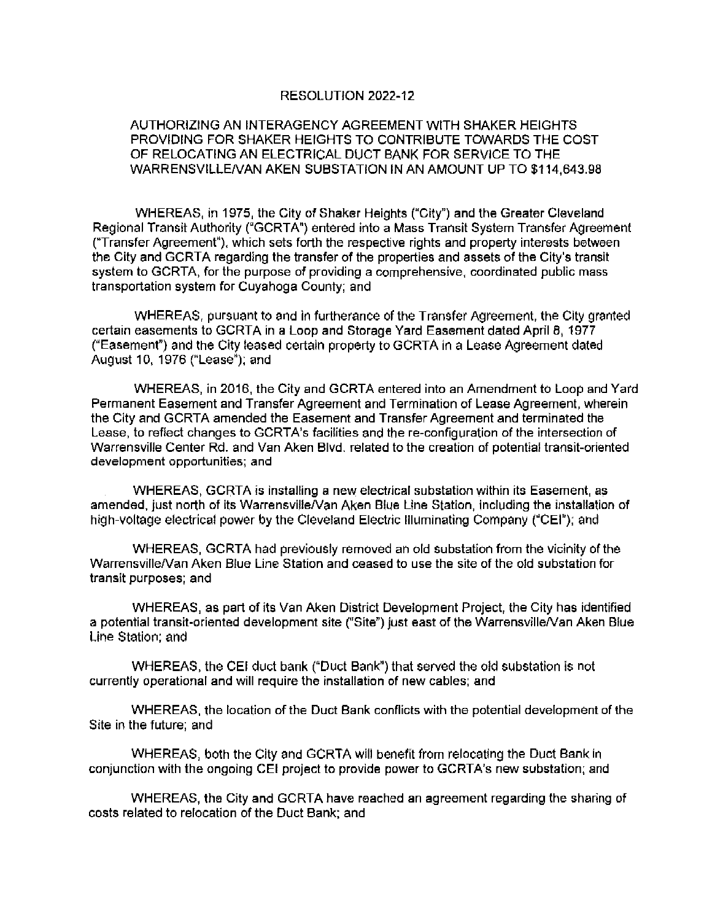### RESOLUTION 2022-12

### AUTHORIZING AN INTERAGENCY AGREEMENT WITH SHAKER HEIGHTS PROVIDING FOR SHAKER HEIGHTS TO CONTRIBUTE TOWARDS THE COST OF RELOCATING AN ELECTRICAL DUCT BANK FOR SERVICE TO THE WARRENSVILLE/VAN AKEN SUBSTATION IN AN AMOUNT UP TO \$114,643.98

WHEREAS, in 1975, the City of Shaker Heights ("City") and the Greater Cleveland Regional Transit Authority ("GCRTA") entered into a Mass Transit System Transfer Agreement ("Transfer Agreement"), which sets forth the respective rights and property interests between the City and GCRTA regarding the transfer of the properties and assets of the City's transit system to GCRTA, for the purpose of providing a comprehensive, coordinated public mass transportation system for Cuyahoga County; and

WHEREAS, pursuant to and in furtherance of the Transfer Agreement, the City granted certain easements to GCRTA in a Loop and Storage Yard Easement dated April 8, 1977 ("Easement") and the City leased certain property to GCRTA in a Lease Agreement dated August 10, 1976 ("Lease"); and

WHEREAS, in 2016, the City and GCRTA entered into an Amendment to Loop and Yard Permanent Easement and Transfer Agreement and Termination of Lease Agreement, wherein the City and GCRTA amended the Easement and Transfer Agreement and terminated the Lease, to reflect changes to GCRTA's facilities and the re-configuration of the intersection of Warrensville Center Rd, and Van Aken Blvd, related to the creation of potential transit-oriented development opportunities; and

WHEREAS, GCRTA is installing a new electrical substation within its Easement, as amended, just north of its Warrensville/Van Aken Blue Line Station, including the installation of high-voltage electrical power by the Cleveland Electric Illuminating Company ("CEI"); and

WHEREAS, GCRTA had previously removed an old substation from the vicinity of the Warrensville/Van Aken Blue Line Station and ceased to use the site of the old substation for transit purposes; and

WHEREAS, as part of its Van Aken District Development Project, the City has identified a potential transit-oriented development site ("Site") just east of the Warrensville/Van Aken Blue Line Station; and

WHEREAS, the CEI duct bank ("Duct Bank") that served the old substation is not currently operational and will require the installation of new cables; and

WHEREAS, the location of the Duct Bank conflicts with the potential development of the Site in the future: and

WHEREAS, both the City and GCRTA will benefit from relocating the Duct Bank in conjunction with the ongoing CEI project to provide power to GCRTA's new substation; and

WHEREAS, the City and GCRTA have reached an agreement regarding the sharing of costs related to relocation of the Duct Bank; and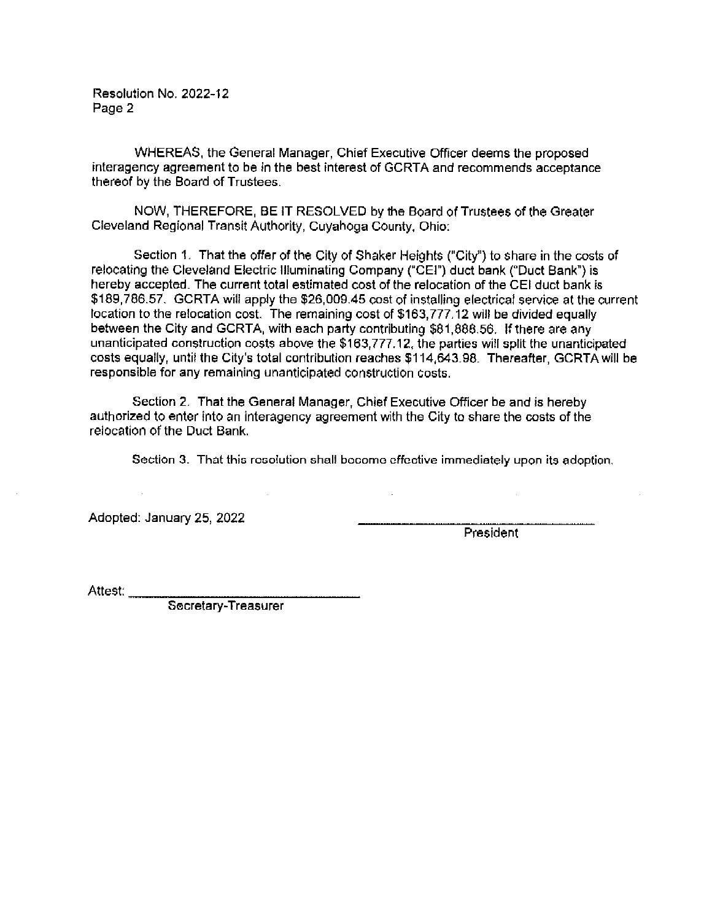Resolution No. 2022-12 Page 2

WHEREAS, the General Manager, Chief Executive Officer deems the proposed interagency agreement to be in the best interest of GCRTA and recommends acceptance thereof by the Board of Trustees.

NOW, THEREFORE, BE IT RESOLVED by the Board of Trustees of the Greater Cleveland Regional Transit Authority, Cuvahoga County, Ohio;

Section 1. That the offer of the City of Shaker Heights ("City") to share in the costs of relocating the Cleveland Electric Illuminating Company ("CEI") duct bank ("Duct Bank") is hereby accepted. The current total estimated cost of the relocation of the CEI duct bank is \$189,786.57. GCRTA will apply the \$26,009.45 cost of installing electrical service at the current location to the relocation cost. The remaining cost of \$163,777.12 will be divided equally between the City and GCRTA, with each party contributing \$81,888.56. If there are any unanticipated construction costs above the \$163,777.12, the parties will split the unanticipated costs equally, until the City's total contribution reaches \$114,643.98. Thereafter, GCRTA will be responsible for any remaining unanticipated construction costs.

Section 2. That the General Manager, Chief Executive Officer be and is hereby authorized to enter into an interagency agreement with the City to share the costs of the relocation of the Duct Bank.

Section 3. That this resolution shall become effective immediately upon its adoption.

Adopted: January 25, 2022

President

Attest: \_\_\_\_

Secretary-Treasurer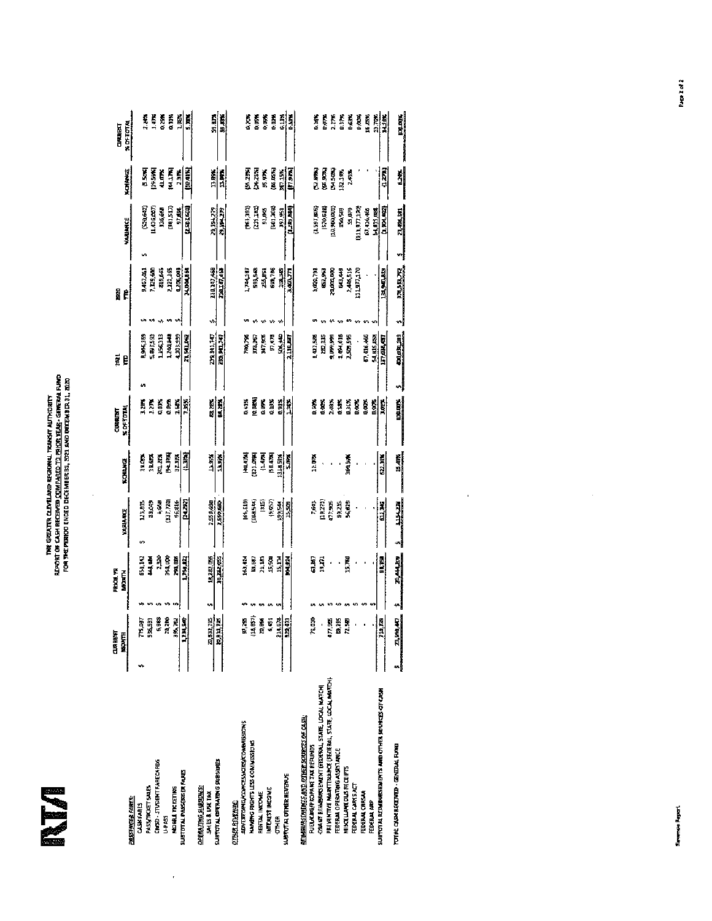I

 $\mathcal{L}_{\mathcal{A}}$ 

## THE GREATER CLIVELARD RESORNAL TRANSIT AUTHORITY<br>RIFSHT OF CASH RECEIVED <u>ICOMPARED TO PRIOR YEAR</u>-GERERAL FUND<br>FOR THE FERROT ENDED DECEMBER 31, 2021 AND DOEENHIJER 31, 2020

 $\frac{1}{2}$ 

|                                                        | 西南西                                   | <b>PROBER</b>   |                 |               | <b>CURRALITY</b> | ã                    | a.             |                    |                         | <b>CARDRED</b> |
|--------------------------------------------------------|---------------------------------------|-----------------|-----------------|---------------|------------------|----------------------|----------------|--------------------|-------------------------|----------------|
| <b>PASTRATE FARES</b>                                  | <b>RONTH</b>                          | <b>MARINE</b>   | <b>YARIA RE</b> | KOINKE        | <b>KINTH</b>     | ę                    | Ê              | <b>VALLANCE</b>    | 型型                      | <b>XDFTOTA</b> |
| CLASS FAILES                                           | IS AST                                | 61,142          |                 |               |                  |                      |                |                    |                         |                |
|                                                        |                                       |                 | 123,8%          | 19.076        | 3.2M             | 1946, 169            | 1467.41        | <b>SAME</b><br>s   | š                       | 174            |
| PASA/TRUCT SALS                                        | 53,35                                 | ज<br>बाह्य      | 39,049          | 19.67%        | $\frac{1}{2}$    | 5,88,188,2           | 1,129,400      | 1.436,257          | 19.591                  | ŗ,             |
| СМБО- СТАБЕЙТ БАНЕСАНИЗ                                | 5,985                                 | ą               | i, id           | JULIA.        | 0.03%            | iirkii               | 49,643         | 13,69              | 41.07%                  | 0.7%           |
| u pres                                                 | 2210                                  | 34,00           | (131,174)       | 医足肉           | 3.053            | 1241.48              | 212116         | <b>SOLS17</b>      | <b>ELLIN</b>            | a.ira          |
| <b>MOBAL TICKETING</b>                                 |                                       | 浅胞              | 96.216          | 31.JFR        | 155              | 101, 95              | <b>LINGS</b>   | 50,0%              | <b>A</b>                |                |
| <b>SUBTDTAL PASSERS FARES</b>                          | $\frac{35.70}{133.59}$                | EL BART, 1      | ist ng          | 12.38%        | 18%              | <b>71,541,152</b>    | MINAISE        | <b>CENSIS 25</b>   |                         | 副              |
|                                                        |                                       |                 |                 |               |                  |                      |                |                    | <b>DOM</b>              | IJ             |
| <b>CATCLES HOURS</b>                                   |                                       |                 |                 |               |                  |                      |                |                    |                         |                |
| SHES&USE TAX                                           |                                       | 14,282,055<br>v | 2550,680        | إثالنا        |                  | 19,141,147           | 201217,468     | <b>SI LIBILITY</b> |                         | ri<br>R        |
| <b>SURFORAL OPERATING SUBSIDED</b>                     | $\frac{2152.75}{10.011.78}$           | 地理感             | <b>Raid</b>     | ă.            | 휇                | 医细胞                  | 14,14,16       | <b>BLANTS</b>      | $\frac{13.896}{2}$<br>ᆒ | 闡              |
| <u>other reverse</u>                                   |                                       |                 |                 |               |                  |                      |                |                    |                         |                |
| <b>ADVERTISHEAT CARDINAL STATES</b>                    |                                       |                 |                 |               |                  |                      |                |                    |                         |                |
|                                                        | 57,25                                 | 163,414         | 166,139         | <b>HELMIN</b> | 0.41%            | 180,78               | 744,587        | 1961.331           | E.                      | 0.20%          |
| NAMNO RIGHTS LES COMMESIDIES                           | 1467                                  | ia a            | <b>SOLL 44</b>  | 121.054       | p.uak)           | 373,367              | 191.542        | [215,183]          | ia as                   | 0.0%           |
| REATAL INCOME                                          | 10,856                                | 21,141          | Ë               | $\frac{1}{2}$ | d.BM             | 347,548              | <b>ALL ARE</b> | 92,045             | <b>35.07%</b>           | 0.II.A         |
| <b>INTEREST INFOWER</b>                                | 6.65                                  | 15,500          | 1989)           | [58.407]      | 0.03%            | 57,475               | 690,786        | (401.404)          | (M.D.)                  | 0.00%          |
| 医百                                                     |                                       | 15,114          | 195541          | 111851X       | 0.91%            | S06,349              | in 36          | 191,953            | 剧                       |                |
| SUSTOTAL OTHER REVERUS                                 | 214.679<br>1924.67                    | 14.             | 15,589          | S.O.S         | i it             | <b>Lating</b>        | 3.400 FT       | 再用                 | [7.973]                 | 諧              |
|                                                        |                                       |                 |                 |               |                  |                      |                |                    |                         |                |
| <b>RETHANDERITS AND OTHER SOURCES OF CASH:</b>         |                                       |                 |                 |               |                  |                      |                |                    |                         |                |
| <b>PUEL/CEG/PROPARE TAX REFUNDS</b>                    | ng a                                  | 63 M.T          | 1,643           | 12.00%        | 0.XX             | 1,412,906            | 1000.791       | (1,591,005)        | 医眼区                     | G. BIS         |
| GSART RENEWED MATT (FEDERAL, STATE, LOCAL MATCH)       | ł                                     | щ.              | 119,771)        |               | ţ.               | 110, IS              | 62,93          | <b>IS70,614</b>    | (E.R.                   | 0.07%          |
| PREVENTIVE MARNTEROARTE (FEATERAL, STATE, SOCAL MATCH) | 477,905                               |                 | 177,905         |               | 2.0%             | 1,099,999            | 71000.00       | 10,900,003         | r<br>En Sal             | 1.TH           |
| <b>FEDERAL OPERATIG ASSISTANCE</b>                     | a.<br>S                               |                 | 89. IS          |               | t.               | 1.494,018            | an an          | 医窝                 | 132,19%                 | 0.37%          |
| <b>MISCELLANEOUS RECEIPES</b>                          | <b>B</b><br>2.5                       | 15,740          | 大地地             | 161,596       | á.               | 2,50 km 5            | 446.15         | SG, 0, PS          | <b>ABS</b>              | 0.63%          |
| <b>FERENCIARS AT</b>                                   |                                       |                 |                 |               | tian.            | $\ddot{\phantom{0}}$ | erturin        | <b>PATIES</b>      |                         | 0,00%          |
| <b>FEDERAL CRICAR</b>                                  |                                       |                 |                 |               | ļ.               | 67,416,466           |                | 67, 116, 466       |                         | 16.5%          |
| FEDERAL ARP                                            | $\frac{8\pi^2\sigma_0^2}{\sigma_0^2}$ |                 |                 |               | ists.            | <b>SLASPER</b>       |                | <b>SLATS, RE</b>   |                         |                |
| SUSTOTAL REDUCATION TO AND OTHER ACRESS OF CASH        |                                       | 电阻              | aria<br>B       | <b>SZL315</b> | lor's            | 17,000,07            | 13,90,00       | 0,504.627          | n zrij                  | 贈              |
| TOTAL CASH RECEIVED - GENERAL FURED                    |                                       |                 |                 |               |                  |                      |                |                    |                         |                |
|                                                        | 1,88,47                               | 引起              | 里当              | $\frac{1}{2}$ | <b>Littletin</b> | <b>ENLIGHTEN</b>     | <b>PALLATE</b> | <u>446.81</u><br>ฯ | \$                      | <b>Figure</b>  |

 $\sim$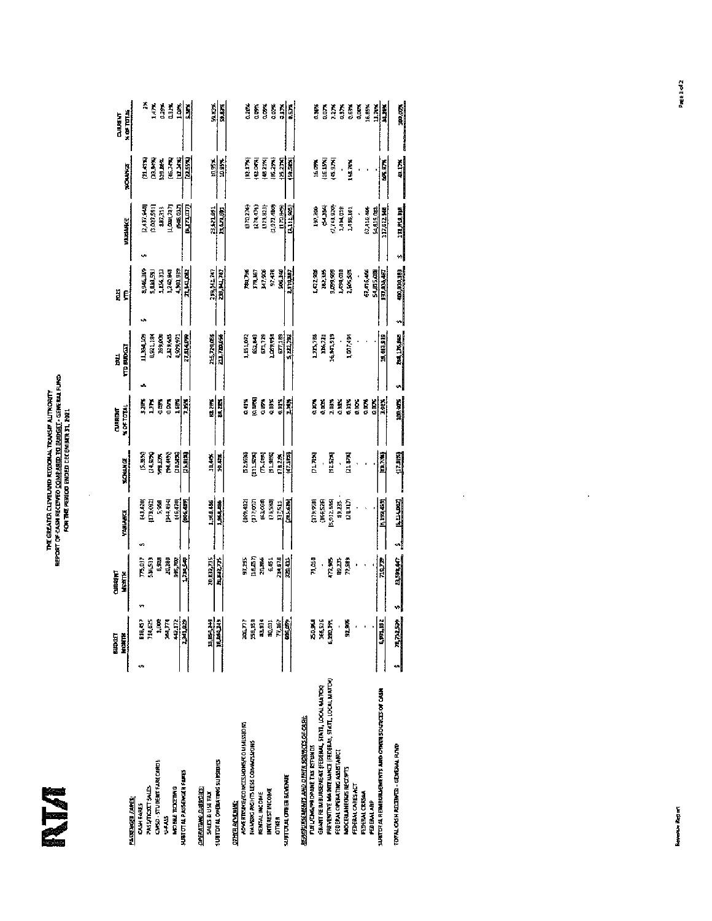NI

### the Greater Cleveland Regional Transit Alithority<br>Report of Casa Recordo <u>Conferged to Broget</u> - Ge**re**ral Fund<br>For the Train Report of Phoed Decembre 31, 2021

Ŷ,

|                                                        | 网络鱼               | CURRING      |               |                |                              |                | <b>CURRENT</b>     |    | Ę                         | ä                |                          |                | <b>CURRENT</b>    |
|--------------------------------------------------------|-------------------|--------------|---------------|----------------|------------------------------|----------------|--------------------|----|---------------------------|------------------|--------------------------|----------------|-------------------|
|                                                        | MRNET.            | <b>TENTH</b> |               | <b>VIOLARE</b> |                              | <b>SCHONGS</b> | 1071190            |    | <b>TTD BUDGT</b>          | ę                | <b>VARIANCE</b>          | <b>SOUNDS</b>  | $\times 00$ TITLE |
| PASSENGER FARES:<br><b>CANTHER</b>                     | 88,87             |              |               |                |                              |                |                    |    |                           |                  |                          |                |                   |
|                                                        |                   |              | T75,037       |                | 13,420                       | <b>D.33%)</b>  | 32R                |    | <b>BATACTI</b>            | 3,946,369        | 2.437.640                | (11.4FF)       | Ą                 |
| <b>CASSING TOOLS ALC</b>                               | 114,52            |              | 54653         |                | 179,032                      | (24.97%)       | ă                  |    | 6,921,184                 | 5,191,59         | 3.027.591                | <b>Band</b> ED | Í.                |
| CAND - STUDERS FARECARDS                               | il.               |              | ś,            |                | 5,588                        | <b>REBR</b>    | uters,             |    | 169,000                   | 1,154,313        | 387,313                  | 28.8%          | i<br>155          |
| ar i d                                                 | Î.                |              | 20,280        |                | 医半期                          | 医毛豆            | 0.00%              |    | 2,33,535                  | <b>END 242,1</b> | 1,448,787)               | (46.74%)       | L1K               |
| <b>NORM TOGETHIC</b>                                   |                   |              | HK,TOP        |                |                              | 0.513          | 1663               |    | 1,909.91                  | 4,301,939        | (Kua, Cit)               | щщ             | Í.                |
| <b>MBITTALPASSEWEERE AFTER</b>                         | 41.172<br>DELINEO |              | <b>DAYAD</b>  |                | [16,470]<br><b>[NK 457</b> ] | (25.91%)       | 734                |    | 77.114.079                | <b>TLUCK</b>     | 胆血的                      | <u>[21534]</u> | J)                |
| <b>DAMING DUDDES</b>                                   |                   |              |               |                |                              |                |                    |    |                           |                  |                          |                |                   |
| <b>SALE &amp; USE FAX</b>                              | 14,84,249         |              | 20,832,735    |                | 1,848,446                    | 10.44%         | <b>BA215</b>       |    |                           | 255,542,747      | 23,121,591               |                | 52.82             |
| <b>SURFITURE OFFICIATING SUPPORTS</b>                  | <b>SECRETIS</b>   |              | <b>MARZIN</b> |                | 引到                           | 10.41%         | a.m                |    | <u> 사진 전후</u><br>고고, 100명 | 医儿童              | 马马克                      | 쵉              | 39.0.75           |
| <b>DAYA REYORK:</b>                                    |                   |              |               |                |                              |                |                    |    |                           |                  |                          |                |                   |
| <b>PORTELLARE CONTINUES COMMISSION</b>                 | ing 777           |              | 51,285        |                | (109, 132)                   | 52.8%          | 0.41%              |    | 1,851,072                 | 医尿               | 300 BCB)                 | 医血细胞           | 0.21%             |
| NANSO SALID LES COMMONS                                | 158,150           |              | na an         |                | (177,051)                    | <b>ALLSON</b>  | (ALLAN)            |    | <b>SALAS</b>              | TAL 67           | (274.475)                | 14.05.1        | 0.00%             |
| <b>RENTALINOME</b>                                     | 11394             |              | 20,866        |                | (63,758)                     | 医细             | CLUPS <sup>2</sup> |    | 61,129                    | <b>Иг.906</b>    | (333,823)                | 148.21%        | dona              |
| INTEREST INCOME                                        | 30,331            |              | 55            |                | (23,580)                     | <b>P19FR</b>   | 0.03%              |    | 1,003,943                 | 97,478           | 1,972,480)               | 18,294         | 40.76             |
| <b>OTHER</b>                                           | 質<br>だくの          |              | 214,678       |                | Eristi                       | 178.20%        | 6.91%              |    | 67,189                    | <b>SO6, 200</b>  | 12,85%                   | <b>PE2110</b>  | 5<br>Jur          |
| SUBTUTAL OTHER BUYENUE                                 |                   |              | <b>RAMI</b>   |                | 西方尼                          | 同盟             | Ē,                 |    | 5, 222, 702               | <b>CTRUT</b>     | (1,111,985)              | 医院医院           | ģ.                |
| <b>REMOVALISMO DE EL SORTO EL CASE.</b>                |                   |              |               |                |                              |                |                    |    |                           |                  |                          |                |                   |
| <b>DIEL/ENGEROPARE TAX REPUBLIS</b>                    | 30%               |              | am Li         |                | (179, 958)                   | pina           | ā.                 |    | una                       | <b>ԼՀՀ</b><br>3  | 197,200                  | 压成剂            | 6.363             |
| GRANT REIMBURSEMENT (FEDERAL, STATE, LOCAL MAITOR)     | 166,526           |              |               |                | (366,526)                    |                | t, pr              |    | 116,73                    | 10,375           | 医反应                      | $\frac{15}{2}$ | S<br>Burg         |
| PREVENTIVE MAINITERANCE FEEDERAL STATT, LOCAL MATCHI   | 6,880,FFI         |              | 17.56         |                | 5,932.536                    | <b>内部</b>      | 2.03%              |    | 16,341,919                | 1559.99          | (7, 76, 970)             | 8.970          | 12TC              |
| FEDERAL OPERATING ASSISTANCE                           |                   |              | 39,235        |                | 49,235                       | ,              | 0.38%              |    |                           | 1,390,003        | 1494,018                 | ï              | 03TF              |
| ANGERIANEONS RECEPTS                                   | 51,578            |              | 72,589        |                | Cremio                       | 21475          | 0.316              |    | 1,007,494                 | 2,40,593         | 1,495,101                | tus m          | 0.63%             |
| <b>FDFANCHISHT</b>                                     |                   |              | ł             |                |                              |                | C.IRT              |    |                           |                  |                          |                | Q.UUR             |
| <b>FOREAL CREAT</b>                                    |                   |              |               |                |                              |                | Ē.                 |    |                           | 57,476,466       | 67,115,166               |                | 16.85%            |
| <b>FEDERALAR</b>                                       |                   |              |               |                |                              |                | Q.DOK              |    |                           | 54,85,09         | 54,015,059               |                |                   |
| SURTER AL REPRISOR SURFAITS AND OTHER SURFACES OF CASH | 6,901,192         |              | PLOTT,        |                | 医非网络鸡                        | 医阿             | 巃                  |    | 19,413.919                | 137,036,467      | 117,522.MA               | ia<br>S        | 11.700<br>Presid  |
| TOTAL CASH ASCENTED - GENERAL PUND                     | 电话                |              |               | √              | 乳汁                           | E              | 191.905            | v, | <b>RALLAS</b>             | 400,030,183      | <b>THE REAL PROPERTY</b> | <b>Alia</b>    | lainn.            |
|                                                        |                   |              |               |                |                              |                |                    |    |                           |                  |                          |                |                   |

 $\hat{\mathcal{A}}$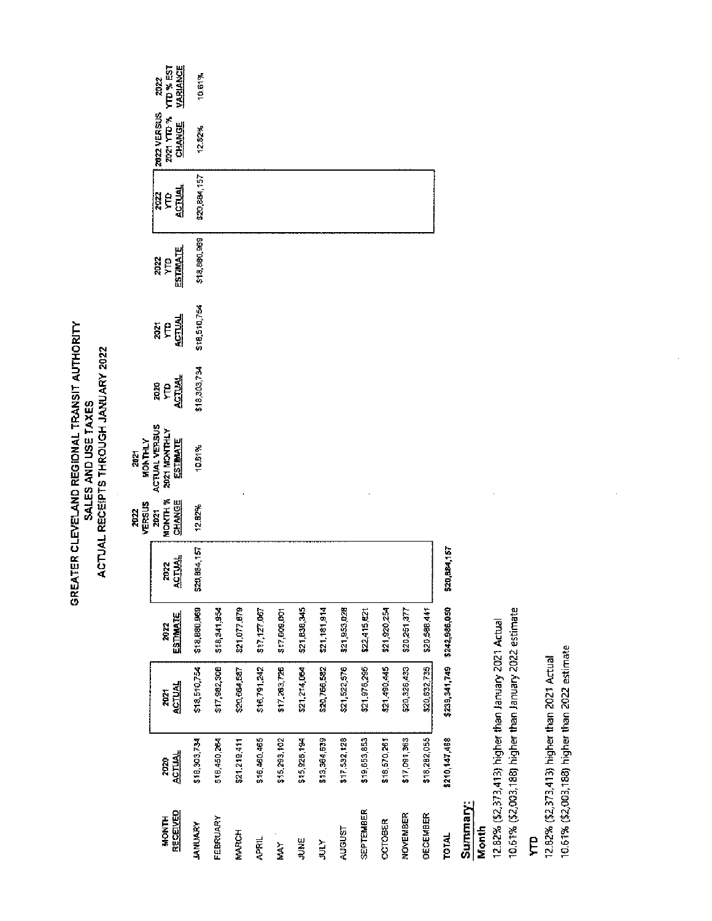2021

2022

|                          |                      |                             |                  |                       | VERSUS                         | <b>NUNTHLY</b>                                                 |                            |                     |                               |               |                                     |                                            |
|--------------------------|----------------------|-----------------------------|------------------|-----------------------|--------------------------------|----------------------------------------------------------------|----------------------------|---------------------|-------------------------------|---------------|-------------------------------------|--------------------------------------------|
| RECEIVED<br><b>HONTH</b> | <b>ACTUAL</b><br>70Z | <b>ACTUAL</b><br>7021       | ESTIMATE<br>20 K | <b>ACTUAL</b><br>2022 | <b>MONUM</b><br>CHANGE<br>2021 | <b>ACTUAL VERSUS</b><br><b>2021 MONTHLY</b><br><b>ESTIMATE</b> | <b>ACTUAL</b><br>2020<br>ę | $\frac{1}{2}$<br>ãe | <b>ESTIMATE</b><br>2022<br>ÎК | 心叫<br>e<br>Re | 2021 YTD %<br>2022 VERSUS<br>Clinic | <b>VARIANCE</b><br><b>TO % EST</b><br>2022 |
| <b>JANUARY</b>           | 518,303,734          | \$18,510,754                | \$18,880,969     | \$20,884,157          | 12.82%                         | 10.61%                                                         | \$18,303,734               | \$18,510,754        | \$18,880,969                  | \$20,884,157  | 12.32%                              | 10.61%                                     |
| FEBRUARY                 | \$18,450,264         | \$17,982,308                | \$16,341,954     |                       |                                |                                                                |                            |                     |                               |               |                                     |                                            |
| MARCH                    | \$21,219,411         | \$20,664,587                | \$21,077,879     |                       |                                |                                                                |                            |                     |                               |               |                                     |                                            |
| <b>APRIL</b>             | \$16,460,465         | \$16,791,242                | 517, 177, 067    |                       |                                |                                                                |                            |                     |                               |               |                                     |                                            |
| MAY                      | \$15,293,102         | 517,263,726                 | \$17,609,001     |                       |                                |                                                                |                            |                     |                               |               |                                     |                                            |
| JUNE                     | \$15,926,194         | \$21,214,064                | \$21,838,345     |                       |                                |                                                                |                            |                     |                               |               |                                     |                                            |
| <b>NBI</b>               | \$13,364,539         | \$20,766,582                | \$21,181,914     |                       |                                |                                                                |                            |                     |                               |               |                                     |                                            |
| AIGUST                   | \$17592,128          | \$21,522,576                | \$21,953,028     |                       |                                |                                                                |                            |                     |                               |               |                                     |                                            |
| SEPTEMBER                | \$19,653,853         | \$21,976,295                | \$22,415,621     |                       |                                |                                                                |                            |                     |                               |               |                                     |                                            |
| <b>OCTOBER</b>           | \$18,570,261         | \$21,490,445                | 521,920,254      |                       |                                |                                                                |                            |                     |                               |               |                                     |                                            |
| NOVEMBER                 | \$17,091,363         | \$20,326,433                | \$20,251,377     |                       |                                |                                                                |                            |                     |                               |               |                                     |                                            |
| DECEMBER                 | \$18,282,055         | \$20,832,735                | \$20,598,441     |                       |                                |                                                                |                            |                     |                               |               |                                     |                                            |
| <b>TOTAL</b>             | \$210,147,468        | \$239,341,749 \$242,986,050 |                  | \$20,884,157          |                                |                                                                |                            |                     |                               |               |                                     |                                            |
|                          |                      |                             |                  |                       |                                |                                                                |                            |                     |                               |               |                                     |                                            |

### Summary:<br>Month

12.82% (\$2,373,413) higher than January 2021 Actual<br>10.61% (\$2,003,188) higher than January 2022 estimate

 $\hat{\mathcal{A}}$ 

### E

12.82% (\$2,373,413) higher than 2021 Actual<br>10.61% (\$2,003,188) higher than 2022 estimate

 $\hat{\vec{r}}$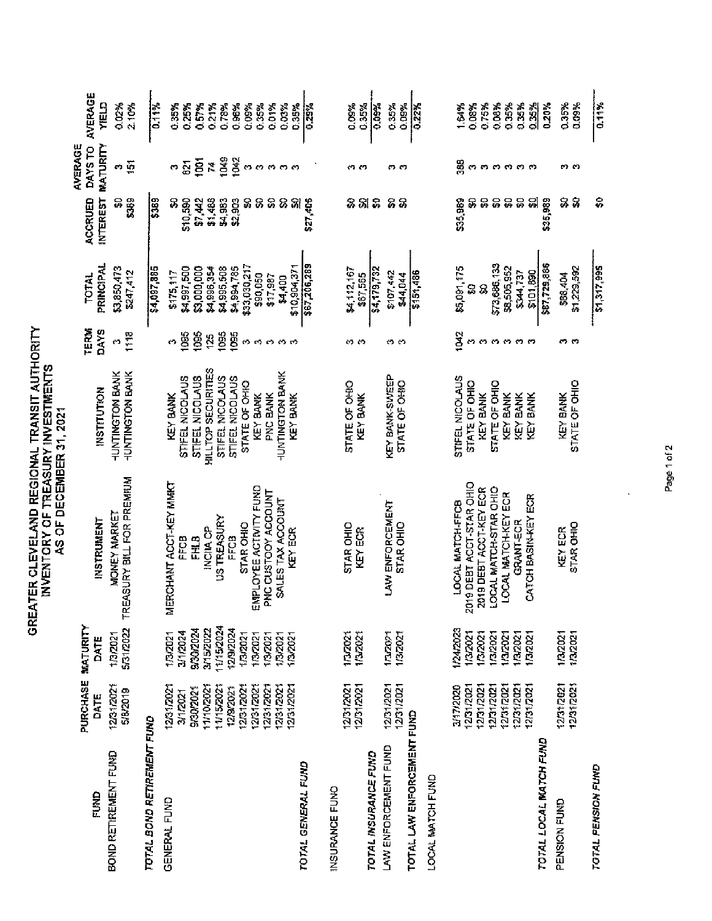|                                                                        |                                                                                                                                    |                                                                                                                        | AS OF DECEMBER 31, 2021                                                                                                                                          |                                                                                                                                                                                      |                                                                            |                                                                                                                                               |                                                                             |                                                                                                                       |                                                                                        |
|------------------------------------------------------------------------|------------------------------------------------------------------------------------------------------------------------------------|------------------------------------------------------------------------------------------------------------------------|------------------------------------------------------------------------------------------------------------------------------------------------------------------|--------------------------------------------------------------------------------------------------------------------------------------------------------------------------------------|----------------------------------------------------------------------------|-----------------------------------------------------------------------------------------------------------------------------------------------|-----------------------------------------------------------------------------|-----------------------------------------------------------------------------------------------------------------------|----------------------------------------------------------------------------------------|
| 요<br>그러나                                                               | PURCHASE<br>DATE                                                                                                                   | MATURITY<br>DATE                                                                                                       | <b>INSTRUMENT</b>                                                                                                                                                | <b>INSTITUTION</b>                                                                                                                                                                   | TERM<br>DAYS                                                               | PRINCIPAL<br><b>TOTAL</b>                                                                                                                     | <b>INTEREST</b><br>ACCRUED                                                  | AVERAGE<br>MATURITY<br>DAYS TO                                                                                        | AVERAGE<br><b>CTEN</b>                                                                 |
| BOND RETIREMENT FUND                                                   | 12/31/2021<br>5/8/2019                                                                                                             | 5/31/2022<br>10,2021                                                                                                   | EASURY BILL FOR PREMIUM<br><b>MONEY MARKET</b><br>Ē                                                                                                              | HUNTINGTON BANK<br><b>HUNTINGTON BANK</b>                                                                                                                                            | 1118<br>ø                                                                  | \$3,850,473<br>5247,412                                                                                                                       | $\frac{9}{24}$<br>5,                                                        | ត<br><u>ក</u>                                                                                                         | 0.02%<br>2.10%                                                                         |
| TOTAL BOND RETIREMENT FUND                                             |                                                                                                                                    |                                                                                                                        |                                                                                                                                                                  |                                                                                                                                                                                      |                                                                            | \$4,097,885                                                                                                                                   | <b>Sat.</b>                                                                 |                                                                                                                       | $\frac{11}{11}$                                                                        |
| GENERAL FUND                                                           | 12031/2021<br>1110/2021<br>1115/2021<br>12/31/2021<br>12/31/2021<br>12/31/2021<br>12/31/2021<br>12/9/2021<br>9/30/2021<br>3/1/2021 | 11/15/2024<br>1202024<br>9/30/2024<br>3/15/2022<br>J/1/2024<br>1,3/2021<br>1,3/2021<br>13/2021<br>1/3/2021<br>1/3/2021 | MERCHANT ACCT-KEY MMKT<br>EMPLOYEE ACTIVITY FUND<br>PNC CUSTOOY ACCOUNT<br>SALES TAX ACCOUNT<br>US TREASURY<br>STAR OHIO<br>INCIIA CP<br>FFCB<br>EN B<br>FFCB    | HILLTOP SECURITIES<br>HUNTINGTON BANK<br>STIFEL NICOLAUS<br>STIFEL NICOLAUS<br>STIFEL NICOLAUS<br>STIFEL NICOLAUS<br>STATE OF OHIO<br><b>PNC BANK</b><br><b>KEY BANK</b><br>KEY BANK | ios<br><u>Sol</u><br>1095<br>105<br>125<br>$\omega$<br>Ø<br>c,<br>C)<br>ကက | \$33,030,217<br>\$4,997,500<br>\$3,000,000<br>\$4,995,508<br>\$4,994,785<br>\$4,996,354<br>\$175,117<br>\$90,050<br>\$17,987<br><b>S4,400</b> | 5<br>\$1,486<br>S,<br>\$10,590<br>27,442<br>54,983<br>52,903<br>3<br>5<br>8 | 1049<br>1042<br>$\overline{\mathbf{g}}$<br>$\overline{\mathbb{S}}$<br>쿹<br>$\mathbf{C}$<br><b>CO</b><br>O<br>C)<br>ოო | 0.78%<br>0.96%<br>0.09%<br>0.35%<br>0.01%<br>0,03%<br>0.35%<br>0.25%<br>0.57%<br>0.21% |
| TOTAL GENERAL FUND                                                     | 12/31/2021                                                                                                                         | 10/2021                                                                                                                | KEY ECR                                                                                                                                                          | key Bank                                                                                                                                                                             |                                                                            | \$67,206,289<br>\$10,904,371                                                                                                                  | 외<br>\$27,406                                                               |                                                                                                                       | 0.35%<br>0.29%                                                                         |
| TOTAL INSURANCE FUND<br>INSURANCE FUNO                                 | 12/31/2021<br>12/31/2021                                                                                                           | 102021<br>18/2021                                                                                                      | STAR OHIO<br>KEY EOR                                                                                                                                             | STATE OF OHIO<br>KEY BANK                                                                                                                                                            | 43<br>57                                                                   | \$4,112,167<br>\$67,565                                                                                                                       | 영 양<br>З                                                                    | 67 CZ                                                                                                                 | 0.09%<br>0.35%                                                                         |
| TOTAL LAW ENFORCEMENT FUND<br>LAW ENFORCEMENT FUND<br>LOCAL MATCH FUND | 12/31/2021<br>12/31/2021                                                                                                           | 13/2021<br>102021                                                                                                      | LAW ENFORCEMENT<br><b>STAR OHIO</b>                                                                                                                              | <b>KEY BANK-SINEEP</b><br>STATE OF OHIO                                                                                                                                              | თი                                                                         | \$4,179,732<br>\$151,486<br>\$107,442<br>\$44,044                                                                                             | 8<br>5                                                                      | ოო                                                                                                                    | <b>Neo-0</b><br>0.35%<br>0.09%<br>0.22%                                                |
|                                                                        | 1231/2021<br>12/311/2021<br>12/31/2021<br>12/31/2021<br>3/17/2020<br>1231/2021<br>1231/2021                                        | 1/24/2023<br>1/3/2021<br>13/2021<br>13/2021<br>132021<br>13/2021<br>1/3/2021                                           | 2019 DEBT ACCT-STAR OHIO<br>2019 DEBT ACCT-KEY ECR<br>OCAL MATCH-STAR OHIO<br>LOCAL MATCH-KEY ECR<br>CATCH BASIN-KEY ECR<br>LOCAL MATCH FFCB<br><b>GRANT-ECR</b> | STIFEL NICOLAUS<br>STATE OF OHIO<br>STATE OF OHIO<br>KEY BANK<br>KEY BANK<br>KEY BANK<br><b>KEY BANK</b>                                                                             | 1042<br>ოოოო<br>ოო                                                         | \$73,686,133<br>\$5,091,175<br>\$8,505,952<br>\$101,690<br>244,737<br>S<br>3                                                                  | \$35,989<br>욿<br>S)<br>ន្ល<br>g<br>읽<br>5,                                  | 38<br>ოო<br>ကကကက                                                                                                      | 0.08%<br>0.35%<br>0.08%<br>0.75%<br>0.35%<br>0.35%<br>184%                             |
| TOTAL LOCAL MATCH FUND                                                 |                                                                                                                                    |                                                                                                                        |                                                                                                                                                                  |                                                                                                                                                                                      |                                                                            | \$87,729,886                                                                                                                                  | \$35,989                                                                    |                                                                                                                       | 9.20%                                                                                  |
| PENSION FUND                                                           | 12/31/2021<br>12/31/2021                                                                                                           | 132021<br>11312021                                                                                                     | STAR OHIO<br><b>KEY ECR</b>                                                                                                                                      | STATE OF OHIO<br><b>KEY BANK</b>                                                                                                                                                     | ოო                                                                         | \$1,229,592<br>\$88,404                                                                                                                       | 88                                                                          | ოო                                                                                                                    | 0.35%<br>0.09%                                                                         |
| TOTAL PENSION FUND                                                     |                                                                                                                                    |                                                                                                                        |                                                                                                                                                                  |                                                                                                                                                                                      |                                                                            | \$1,317,995                                                                                                                                   | S,                                                                          |                                                                                                                       | 0.11%                                                                                  |

GREATER CLEVELAND REGIONAL TRANSIT AUTHORITY<br>INVENTORY OF TREASURY INVESTMENTS

Page 1 of 2

 $\overline{1}$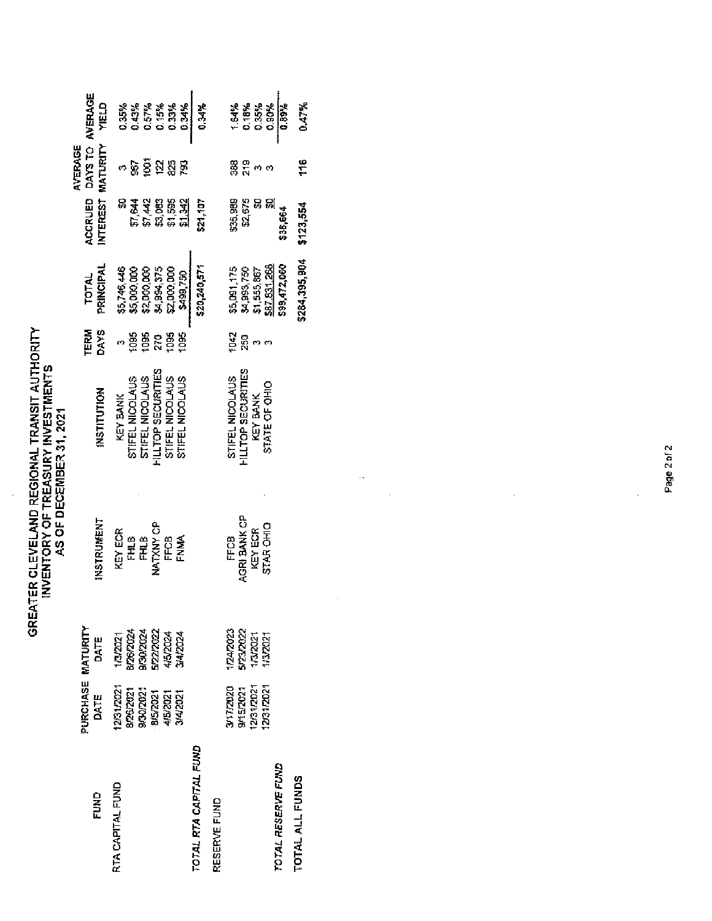$\hat{\boldsymbol{\epsilon}}$ 

| FUND                   | PURCHASE MATURITY<br>DATE                                                | DATE                                                                      | INSTRUMENT                                                    | INSTITUTION                                                                                                       | <b>DAYS</b><br><b>TERM</b>                        | PRINCIPAL<br><b>LOTAL</b>                                                           | <b>INTEREST</b><br>ACCRUED                               | DAYS TO AVERAGE<br>MATURITY<br>AVERAGE                         | <b>CI3</b>                                        |
|------------------------|--------------------------------------------------------------------------|---------------------------------------------------------------------------|---------------------------------------------------------------|-------------------------------------------------------------------------------------------------------------------|---------------------------------------------------|-------------------------------------------------------------------------------------|----------------------------------------------------------|----------------------------------------------------------------|---------------------------------------------------|
| RTA CAPITAL FUND       | 12/31/2021<br>8/25/2021<br>9/30/2023<br>3/4/2021<br>8/5/2021<br>4/5/2021 | 9/30/2024<br>5,22,202<br>8/26/2024<br><b>PZ024</b><br>4/5/2024<br>13/2021 | NATXIY CP<br>KEY ECR<br>은<br>도<br>FHLB<br><b>ENMA</b><br>FFCB | <b>HILLTOP SECURITIES</b><br>STIFEL NICOLAUS<br>STIFEL NICOLAUS<br>STIFEL NICOLAUS<br>STIFEL NICOLAUS<br>KEY BANK | 1095<br>tos<br>tes<br>tos,<br>$\overline{2}$<br>ø | \$5,746,446<br>\$5,000,000<br>\$2,000,000<br>\$4,994,375<br>\$2,000,000<br>X499,750 | g<br>\$1,644<br>\$1,442<br>\$3,083<br>\$1,595<br>\$1,342 | $\tilde{g}$<br>អ្ន<br>ķ,<br>g<br>49                            | 0.57%<br>0.35%<br>0.3%<br>0.15%<br>0.33%<br>0.34% |
| TOTAL RTA CAPITAL FUND |                                                                          |                                                                           |                                                               |                                                                                                                   |                                                   | \$20,240,571                                                                        | \$21,107                                                 |                                                                | 0.34%                                             |
| RESERVE FUND           | 12/31/2021<br>12/31/2021<br>3/17/2020<br>9/15/2021                       | 5/23/2022<br>124/2023<br>13/2021<br>13/2021                               | AGRI BANK OP<br>STAR OHIO<br>KEY ECR<br>FFCB                  | <b>HILLTOP SECURITIES</b><br>STIFEL NICOLAUS<br>STATE OF OHIO<br>KEY BANK                                         | 1042<br>250<br>ø<br>ო                             | \$87,831,268<br>\$5,091,175<br>\$4,993,750<br>\$1,555,867                           | \$19.53<br>\$35,989<br>g<br>읝                            | 88<br>20<br>$\left\langle \mathbf{r}\right\rangle$<br>$\sigma$ | 0.18%<br>1.64%<br>0.35%<br>0.90%                  |
| TOTAL RESERVE FUND     |                                                                          |                                                                           |                                                               |                                                                                                                   |                                                   | \$99,472,060                                                                        | \$38,664                                                 |                                                                | <b>V60'0</b>                                      |
| TOTAL ALL FUNDS        |                                                                          |                                                                           |                                                               |                                                                                                                   |                                                   | \$284,395,904                                                                       | \$123,554                                                | t'6                                                            | 0.47%                                             |
|                        |                                                                          |                                                                           |                                                               |                                                                                                                   |                                                   |                                                                                     |                                                          |                                                                |                                                   |
|                        |                                                                          |                                                                           |                                                               |                                                                                                                   |                                                   |                                                                                     |                                                          |                                                                |                                                   |
|                        |                                                                          |                                                                           |                                                               |                                                                                                                   |                                                   |                                                                                     |                                                          |                                                                |                                                   |
|                        |                                                                          |                                                                           |                                                               |                                                                                                                   |                                                   |                                                                                     |                                                          |                                                                |                                                   |
|                        |                                                                          |                                                                           |                                                               |                                                                                                                   |                                                   |                                                                                     |                                                          |                                                                |                                                   |

 $\label{eq:2} \frac{1}{2} \int_{0}^{2\pi} \frac{1}{2} \, \mathrm{d} \theta \, \mathrm{d} \theta \, \mathrm{d} \theta \, \mathrm{d} \theta \, \mathrm{d} \theta \, \mathrm{d} \theta \, \mathrm{d} \theta \, \mathrm{d} \theta \, \mathrm{d} \theta \, \mathrm{d} \theta \, \mathrm{d} \theta \, \mathrm{d} \theta \, \mathrm{d} \theta \, \mathrm{d} \theta \, \mathrm{d} \theta \, \mathrm{d} \theta \, \mathrm{d} \theta \, \mathrm{d} \theta \, \mathrm{d} \theta \, \mathrm{d} \theta \, \mathrm{d} \theta$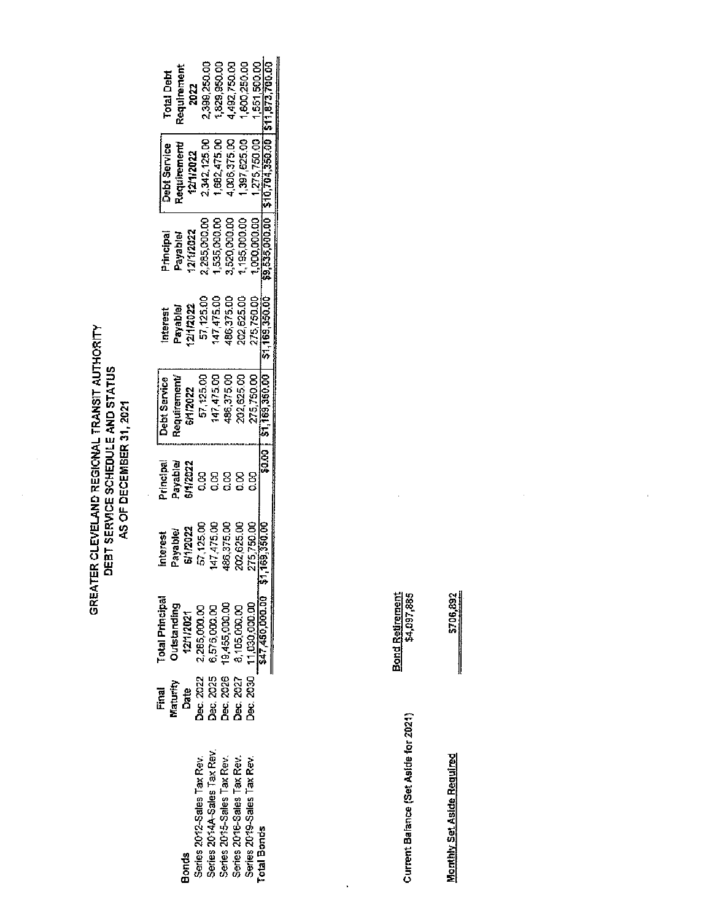$\ddot{\phantom{0}}$ 

| ,399,250.00<br><b>BOD, 250.DD</b><br>551,500,00<br>1,829,950.00<br>1,492,750.00<br>teaulrement<br><b>Total Deht</b><br>2022<br>\$11873.7                                   |
|----------------------------------------------------------------------------------------------------------------------------------------------------------------------------|
| $10.704.350$ Or $1$<br>,397,625.00<br>2,342,125 M<br>1,006,375.00<br>275,750.00<br>,582,475 DO<br><b>Debt Service</b><br>equirement<br>211/2022                            |
| 195,000,00<br>,285,000.00<br>,520,000.00<br>,535,000.00<br>,000,000.00<br>211/2022<br>rincipal<br>leiqeke,                                                                 |
| 02,625.00<br>57,125.00<br>47,475.00<br>275,750.00<br>\$1,169,350.00<br>86,375.00<br>2112022<br>iapeta <sub>s</sub><br>nterest                                              |
| 57,125.00<br>47,475.00<br>C \$1,169,350.DV<br>186,375.00<br>102,625.CO<br><b>Debt Service</b><br>tequirement<br>75,750.00<br>11/2022                                       |
| <b>SO.00</b><br>rincipal<br>layable<br>11/2022<br>g<br>g<br>g<br>g<br>ខ្មី                                                                                                 |
| 169.350.00<br>202,625.00<br>486,375.00<br>57,125.0"<br>147,475.0<br>275,750.00<br>112022<br>1<br>eldsva'<br>rieresi                                                        |
| $\frac{11,030,000.00}{547,450,000.00}$ \$1,<br>iotal Principal<br>Outstanding<br>19,455,000.00<br>3,105,000.00<br>2,285,000.00<br>6,575,000.00<br>12/1/2021                |
| Dec. 2030<br>Dec. 2022<br>Dec, 2025<br>Dec, 2026<br>Dec. 2027<br>Maturity<br>Date<br>Date<br>Final                                                                         |
| Series 2014A-Sales Tax Rev<br>Series 2015-Sales Tax Rev.<br>Series 2012-Sales Tax Rev.<br>Series 2016-Sales Tax Rev.<br>Series 2019-Sales Tax Rev.<br>Total Bonds<br>Bonds |

| ţ |
|---|
|   |
| Ì |
|   |
| ĵ |
|   |

Bond Retirement<br>\$4,097,885

 $\frac{1}{2}$ 

**Monthly Set Aside Required** 

\$706,892

 $\frac{1}{2}$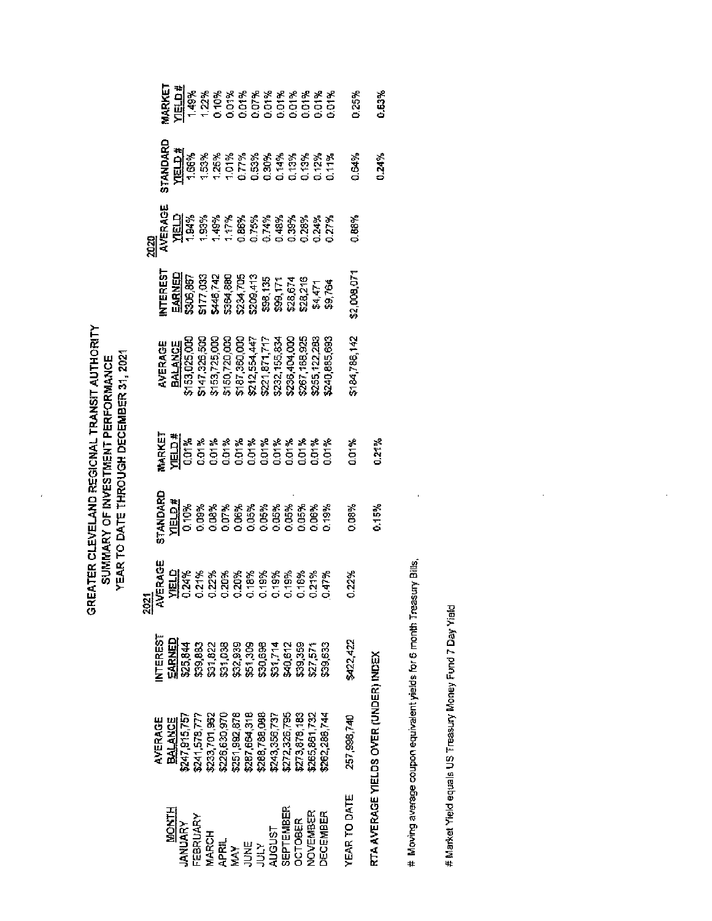GREATER CLEVELAND REGIONAL TRANSIT AUTHORITY<br>SUMMARY OF INVESTMENT PERFORMANCE<br>YEAR TO DATE THROUGH DECEMBER 31, 2021

 $\overline{1}$ 

| $\begin{array}{l} 8247,916,757\\ 8241,578,777\\ 8233,701,862\\ 8233,701,862\\ 8256,830,970\\ 8256,830,970\\ 8257,892,878\\ 8287,864,318\\ 8288,788,1989\\ \end{array}$<br>AVERAGE<br><b>BALANCE</b> | <b>NTEREST</b><br><u>Earned</u><br>ង្គន្លន្តខ្លួនខ្លួន ដូចខ្លួ<br>ឆ្លន្តន្ត្រីខ្លួនខ្លួន ដូចខ្លួន<br>ឆ្លន្តត្តន្ត្រី ឆ្លន្តន្ត្រី ឆ្លន្ត | <b>RACE<br/>ELIX * * * * * * * * * * * * *</b><br>PLIX 7 7 8 8 8 8 8 8 8 8 8 8 7 7<br>PLIX 7 8 8 8 8 8 8 8 8 8 8 8 7 7<br><u>ង្គា</u><br>님 | <b>EXAMPLE DESCRIPTION OF SALE RESPONSE AND RELATIONS SESSION CONTINUES.</b><br>THE CONSTRUCTION OF SALE RESPONSE AND RELATION OF SALE RESPONSE AND RELATION CONTINUES.<br>TRANSPORT OF SALE RESPONSE AND RELATION OF SALE RELATIONS OF S |       | AVERAGE<br><u>BALANCE</u><br>\$153,025,000<br>\$153,725,000<br>\$153,725,000<br>\$16,725,000<br>\$16,725,155,825<br>\$222,155,825,122,285<br>\$255,122,285<br>\$255,122,285<br>\$26,763,325 | <b>FEEST</b><br><b>EANED</b><br><b>EANED 83 REE 35 REE 12 REE 12 REE 12 REE 12 REE 12 REE 12 REE 12 REE 12 REE 12 REE 12 REE 12 REE 12 REE 12 RE</b><br><b>EAN 83 REE 13 REE 12 REE 12 REE 12 REE 12 REE 12 REE 12 REE 12 REE 12 REE 12 REE 12 REE 12 R</b> | <b>NEWS SEARCH SEARCH SEARCH SEARCH SEARCH SEARCH SEARCH SEARCH SEARCH SEARCH SEARCH SEARCH SEARCH SEARCH SEARCH</b><br><b>NEWS SEARCH SEARCH SEARCH SEARCH SEARCH SEARCH SEARCH SEARCH SEARCH SEARCH SEARCH SEARCH SEARCH SEARCH SEARCH</b> |       | <b>EXEL<br/>ESPARANTE EN EN 1878</b><br>ESPARANTE EN EN 1878<br>ESPARANTE EN 1878 EN 1878 EN 1878 EN 1878 EN 1878 EN 1878 EN 1879 EN 1879 EN 1879 EN 1879 EN 1879 EN 1879 EN 18 |
|-----------------------------------------------------------------------------------------------------------------------------------------------------------------------------------------------------|------------------------------------------------------------------------------------------------------------------------------------------|--------------------------------------------------------------------------------------------------------------------------------------------|-------------------------------------------------------------------------------------------------------------------------------------------------------------------------------------------------------------------------------------------|-------|---------------------------------------------------------------------------------------------------------------------------------------------------------------------------------------------|-------------------------------------------------------------------------------------------------------------------------------------------------------------------------------------------------------------------------------------------------------------|----------------------------------------------------------------------------------------------------------------------------------------------------------------------------------------------------------------------------------------------|-------|---------------------------------------------------------------------------------------------------------------------------------------------------------------------------------|
|                                                                                                                                                                                                     |                                                                                                                                          |                                                                                                                                            |                                                                                                                                                                                                                                           |       |                                                                                                                                                                                             |                                                                                                                                                                                                                                                             |                                                                                                                                                                                                                                              |       |                                                                                                                                                                                 |
|                                                                                                                                                                                                     |                                                                                                                                          |                                                                                                                                            |                                                                                                                                                                                                                                           |       |                                                                                                                                                                                             |                                                                                                                                                                                                                                                             |                                                                                                                                                                                                                                              |       |                                                                                                                                                                                 |
|                                                                                                                                                                                                     |                                                                                                                                          |                                                                                                                                            |                                                                                                                                                                                                                                           |       |                                                                                                                                                                                             |                                                                                                                                                                                                                                                             |                                                                                                                                                                                                                                              |       |                                                                                                                                                                                 |
| 1243,356,737                                                                                                                                                                                        |                                                                                                                                          |                                                                                                                                            |                                                                                                                                                                                                                                           |       |                                                                                                                                                                                             |                                                                                                                                                                                                                                                             |                                                                                                                                                                                                                                              |       |                                                                                                                                                                                 |
|                                                                                                                                                                                                     |                                                                                                                                          |                                                                                                                                            |                                                                                                                                                                                                                                           |       |                                                                                                                                                                                             |                                                                                                                                                                                                                                                             |                                                                                                                                                                                                                                              |       |                                                                                                                                                                                 |
| \$272,326,795<br>\$273,878,183<br>\$265,861,732                                                                                                                                                     |                                                                                                                                          |                                                                                                                                            |                                                                                                                                                                                                                                           |       |                                                                                                                                                                                             |                                                                                                                                                                                                                                                             |                                                                                                                                                                                                                                              |       |                                                                                                                                                                                 |
|                                                                                                                                                                                                     |                                                                                                                                          |                                                                                                                                            |                                                                                                                                                                                                                                           |       |                                                                                                                                                                                             |                                                                                                                                                                                                                                                             |                                                                                                                                                                                                                                              |       |                                                                                                                                                                                 |
| 262,288,744                                                                                                                                                                                         | \$39,633                                                                                                                                 |                                                                                                                                            |                                                                                                                                                                                                                                           |       |                                                                                                                                                                                             |                                                                                                                                                                                                                                                             |                                                                                                                                                                                                                                              |       |                                                                                                                                                                                 |
| 257,998,740                                                                                                                                                                                         | 6422,422                                                                                                                                 | 0.22%                                                                                                                                      | 1.08%                                                                                                                                                                                                                                     | 0.01% | 184,786,142                                                                                                                                                                                 | 2,009,071                                                                                                                                                                                                                                                   | 0.88%                                                                                                                                                                                                                                        | 1,64% | 0.25%                                                                                                                                                                           |
|                                                                                                                                                                                                     | RTA AVERAGE YIELDS OVER (UNDER) INDEX                                                                                                    |                                                                                                                                            | 1,15%                                                                                                                                                                                                                                     | 0.21% |                                                                                                                                                                                             |                                                                                                                                                                                                                                                             |                                                                                                                                                                                                                                              | 3.24% | 0.63%                                                                                                                                                                           |
|                                                                                                                                                                                                     |                                                                                                                                          |                                                                                                                                            |                                                                                                                                                                                                                                           |       |                                                                                                                                                                                             |                                                                                                                                                                                                                                                             |                                                                                                                                                                                                                                              |       |                                                                                                                                                                                 |

# Moving average coupon equivalent yields for 6 month Treasury Bills,

# Market Yield equals US Treasury Money Fund 7 Day Yield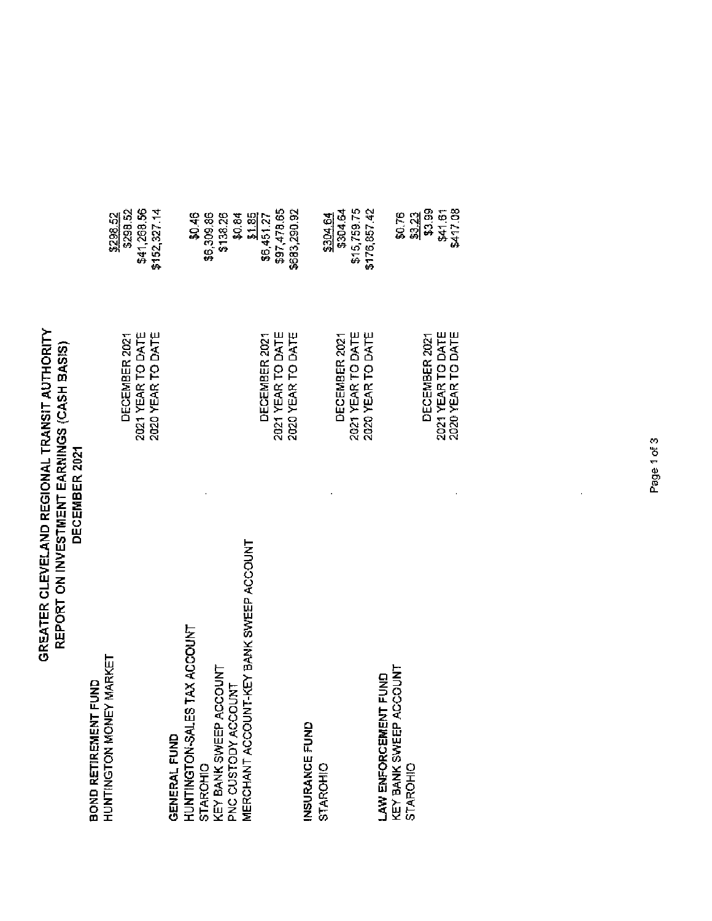# **GREATER CLEVELAND REGIONAL TRANSIT AUTHORITY<br>REPORT ON INVESTMENT EARNINGS (CASH BASIS)**<br>DECEMBER 2021

**Bond retirement fund**<br>Huntington Money Mar

| HUNING ION MONEY MARKET                                   |                   | \$298.52           |
|-----------------------------------------------------------|-------------------|--------------------|
|                                                           | DECEMBER 2021     | \$298.52           |
|                                                           | 2021 YEAR TO DATE | \$41,268.56        |
|                                                           | 2020 YEAR TO DATE | \$152,327.14       |
| GENERAL FUND                                              |                   |                    |
| ES TAX ACCOUNT<br><b>HUNTINGTON-SAL</b>                   |                   | \$0.46             |
|                                                           |                   | \$6,309.86         |
| STAROHIO<br>KEY BANK SWEEP ACCOUNT<br>PNC CUSTODY ACCOUNT |                   | \$138.26           |
|                                                           |                   | \$0.84             |
| MERCHANT ACCOUNT-KEY BANK SWEEP ACCOUNT                   |                   | $\frac{31.85}{21}$ |
|                                                           | DECEMBER 2021     | \$6,451.27         |
|                                                           | 2021 YEAR TO DATE | \$97,478.65        |
|                                                           | 2020 YEAR TO DATE | \$683,290,92       |
| INSURANCE FUND                                            |                   |                    |
| STAROHIO                                                  |                   | 3304.64            |
|                                                           | DECEMBER 2021     | \$304.64           |
|                                                           | 2021 YEAR TO DATE | \$15,759.75        |
|                                                           | 2020 YEAR TO DATE | \$176,857.42       |
| LAW ENFORCEMENT FUND                                      |                   |                    |
| <b>ACCOUNT</b><br>KEY BANK SWEEP                          |                   | \$0.76             |
| STAROHIO                                                  |                   | \$3.23             |
|                                                           | DECEMBER 2021     | \$3.99             |
|                                                           | 2021 YEAR TO DATE | \$41.61            |
|                                                           | 2020 YEAR TO DATE | <b>S417.08</b>     |

 $\hat{\boldsymbol{\beta}}$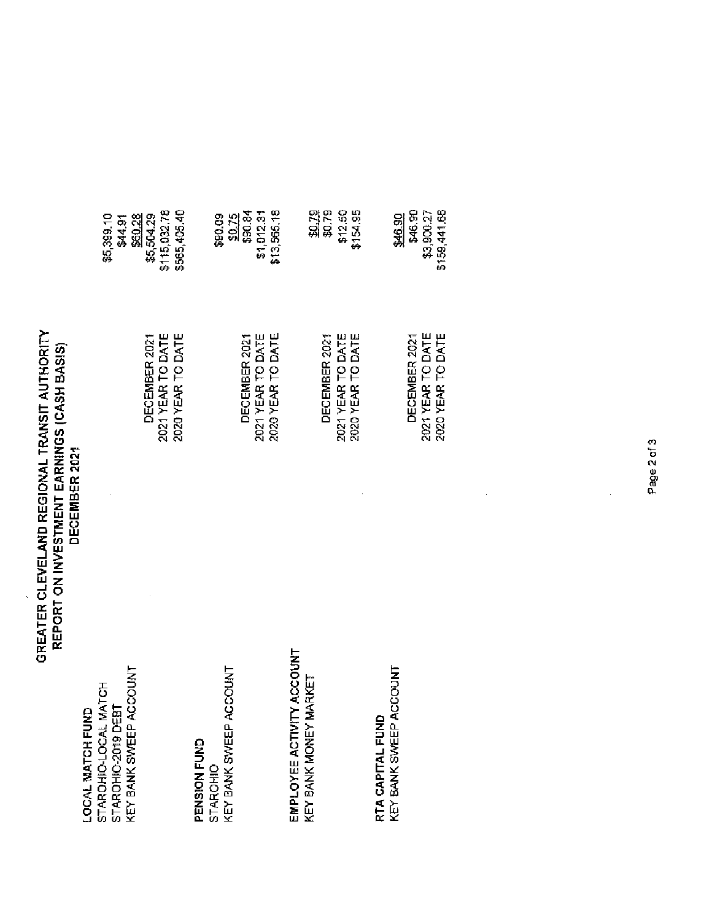### GREATER CLEVELAND REGIONAL TRANSIT AUTHORITY REPORT ON INVESTMENT EARNINGS (CASH BASIS)<br>DECEMBER 2021

| LOCAL MATCH FUND | STAROHIO-LOCAL MATCH | STAROHIO-2019 DEBT | KEY BANK SWEEP ACCOUNT |
|------------------|----------------------|--------------------|------------------------|
|                  |                      |                    |                        |

ł,

|                      |          | EP ACCOUN         |
|----------------------|----------|-------------------|
| <b>芝ラエ</b><br>NOISNI | STAROHIC | とり<br><b>BANK</b> |

### EMPLOYEE ACTIVITY ACCOUNT<br>KEY BANK MONEY MARKET

RTA CAPITAL FUND<br>KEY BANK SWEEP ACCOUNT

| \$565,405.40<br>\$115,032.78<br>\$5,399.10<br>\$60.28<br>\$5,504.29<br>\$44.91 | \$13,565,18<br>\$90.84<br>\$1,012.31<br>\$0.75<br>ຣສ<br>ຣອ | \$0.79<br>\$12.50<br>\$154.95<br>\$0.79 | 546.90<br>\$159,441.56<br>\$3,900.27<br>\$46.90 |
|--------------------------------------------------------------------------------|------------------------------------------------------------|-----------------------------------------|-------------------------------------------------|
| 2020 YEAR TO DATE                                                              | 2020 YEAR TO DATE                                          | 2021 YEAR TO DATE                       | 2021 YEAR TO DATE                               |
| 2021 YEAR TO DATE                                                              | 2021 YEAR TO DATE                                          | 2020 YEAR TO DATE                       | 2020 YEAR TO DATE                               |
| DECEMBER 2021                                                                  | DECEMBER 2021                                              | DECEMBER 2021                           | DECEMBER 2021                                   |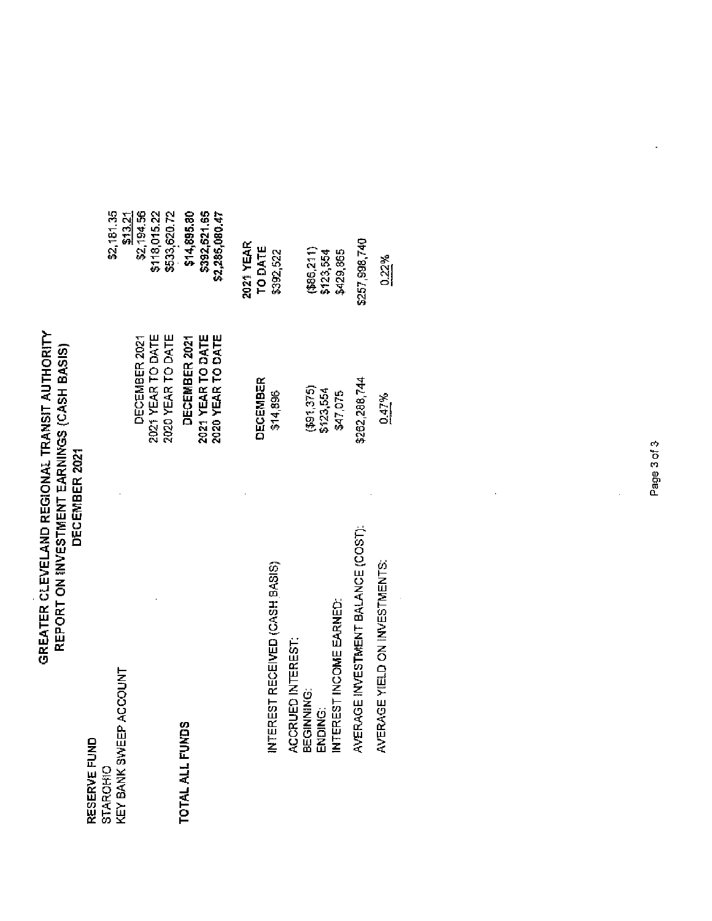# **GREATER CLEVELAND REGIONAL TRANSIT AUTHORITY<br>REPORT ON INVESTMENT EARNINGS (CASH BASIS)**<br>DECEMBER 2021

RESERVE FUND<br>STAROHO<br>KEY BANK SWEEF

| STAROHIO                                                              |                                                         | \$2,181.35                                    |
|-----------------------------------------------------------------------|---------------------------------------------------------|-----------------------------------------------|
| KEY BANK SWEEP ACCOUNT                                                |                                                         | \$13.21                                       |
|                                                                       | 2020 YEAR TO DATE<br>2021 YEAR TO DATE<br>DECEMBER 2021 | \$2,194.56<br>\$118,015.22<br>\$533,620.72    |
| TOTAL ALL FUNDS                                                       | 2020 YEAR TO DATE<br>DECEMBER 2021<br>2021 YEAR TO DATE | \$14,895.80<br>\$392,521.65<br>\$2,285,080.47 |
|                                                                       |                                                         | 2021 YEAR                                     |
|                                                                       | DECEMBER                                                | TO DATE                                       |
| EREST RECEIVED (CASH BASIS)<br>Ę                                      | \$14,896                                                | \$392,522                                     |
|                                                                       |                                                         |                                               |
| ACCRUED INTEREST:<br>BEGINNING:<br>ENDING:<br>INTEREST INCOME EARNED: | (591, 375)                                              | (886,211)                                     |
|                                                                       | \$123,554                                               | \$123,554                                     |
|                                                                       | \$47,075                                                | \$429,865                                     |
| AVERAGE INVESTMENT BALANCE (COST):                                    | \$262,288,744                                           | \$257,998,740                                 |
| AVERAGE YIELD ON INVESTMENTS:                                         | 0.47%                                                   | $\frac{0.22\%}{2.5}$                          |

 $\frac{1}{2}$ 

 $\ddot{\phantom{0}}$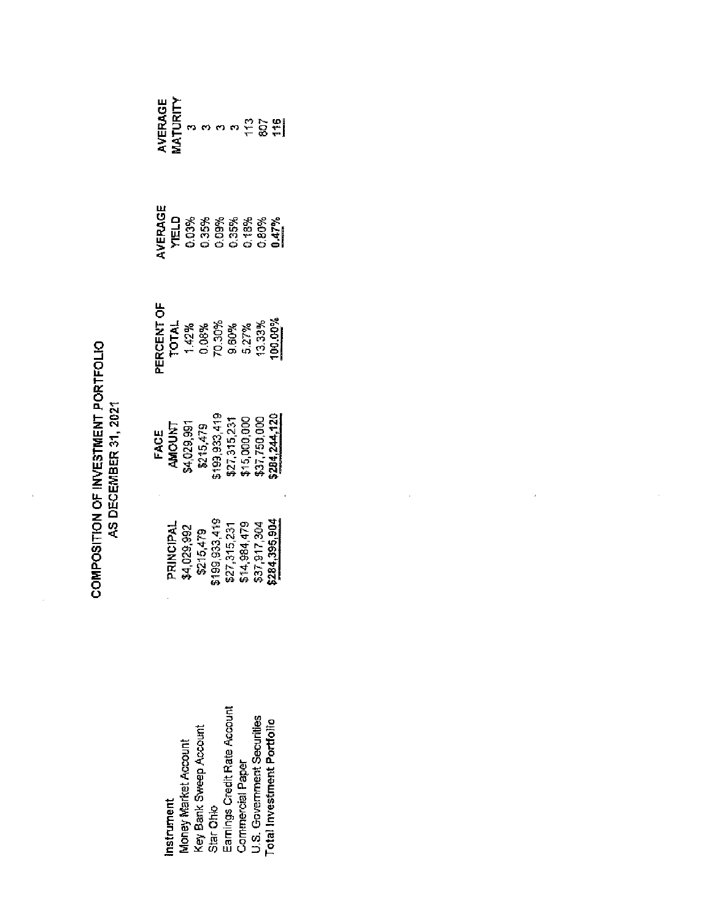| h<br>D<br>ĺ<br>í<br>Î<br>こじこ<br>į | さつらさ<br>ś |
|-----------------------------------|-----------|
| č                                 |           |

| nstrument                         |                                                                                                        |                                                                                                                          |                                                                                         |                                                                     |
|-----------------------------------|--------------------------------------------------------------------------------------------------------|--------------------------------------------------------------------------------------------------------------------------|-----------------------------------------------------------------------------------------|---------------------------------------------------------------------|
| Vioney Market Account             | PRINCIPAL<br>\$4,029,992<br>\$215,479<br>\$199,933,419<br>\$27,315,231<br>\$37,917,304<br>\$37,917,304 |                                                                                                                          |                                                                                         |                                                                     |
| Key Bank Sweep Account            |                                                                                                        |                                                                                                                          |                                                                                         |                                                                     |
| Star Ohio                         |                                                                                                        |                                                                                                                          |                                                                                         |                                                                     |
| Earnings Credit Rate Account      |                                                                                                        |                                                                                                                          |                                                                                         |                                                                     |
| <b>Commercial Paper</b>           |                                                                                                        |                                                                                                                          |                                                                                         |                                                                     |
| U.S. Government Securities        |                                                                                                        |                                                                                                                          |                                                                                         |                                                                     |
| <b>Total Investment Portfolio</b> |                                                                                                        | <b>FACE</b><br><b>AMOUNT</b><br>\$4,029,991<br>\$215,479<br>\$15,315,231<br>\$21,750,000<br>\$15,000,000<br>\$31,750,000 | <b>FRCENT OF<br/>TOTAL 142%</b><br>1,42% 2008%<br>0.000% 5.27% 2008%<br>9.0000% 100000% | <b>XERAGE</b><br>YELD<br>YELD 35% XXXX<br>YELD 35% XXXXXX<br>VERAGE |

 $\hat{\vec{r}}$ 

 $\frac{1}{2}$ 

**AVERAGE<br>MATURITY**<br>MATURITY<br>MATURITY